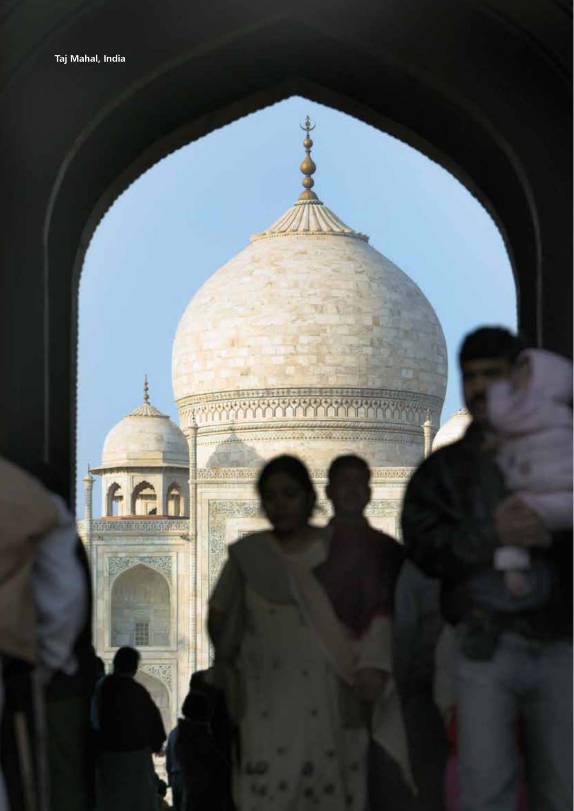

ió,

 $-10\%$ 

传统

als and coup

 $257.32.3$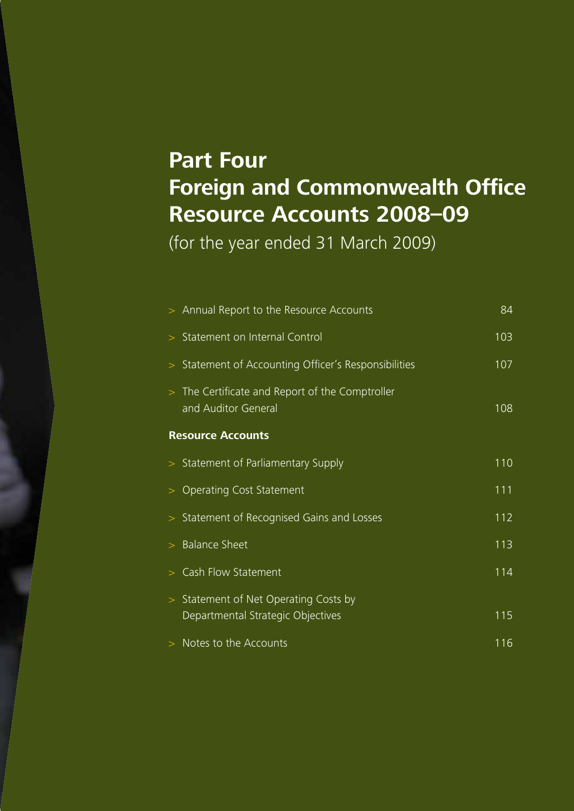# **Part Four Foreign and Commonwealth Office Resource Accounts 2008–09**

(for the year ended 31 March 2009)

| > Annual Report to the Resource Accounts                                           | 84  |
|------------------------------------------------------------------------------------|-----|
| > Statement on Internal Control                                                    | 103 |
| Statement of Accounting Officer's Responsibilities<br>$\,>$                        | 107 |
| > The Certificate and Report of the Comptroller<br>and Auditor General             | 108 |
| <b>Resource Accounts</b>                                                           |     |
| > Statement of Parliamentary Supply                                                | 110 |
| <b>Operating Cost Statement</b><br>>                                               | 111 |
| Statement of Recognised Gains and Losses<br>$\geq$                                 | 112 |
| <b>Balance Sheet</b>                                                               | 113 |
| Cash Flow Statement                                                                | 114 |
| Statement of Net Operating Costs by<br>$\geq$<br>Departmental Strategic Objectives | 115 |
| > Notes to the Accounts                                                            | 116 |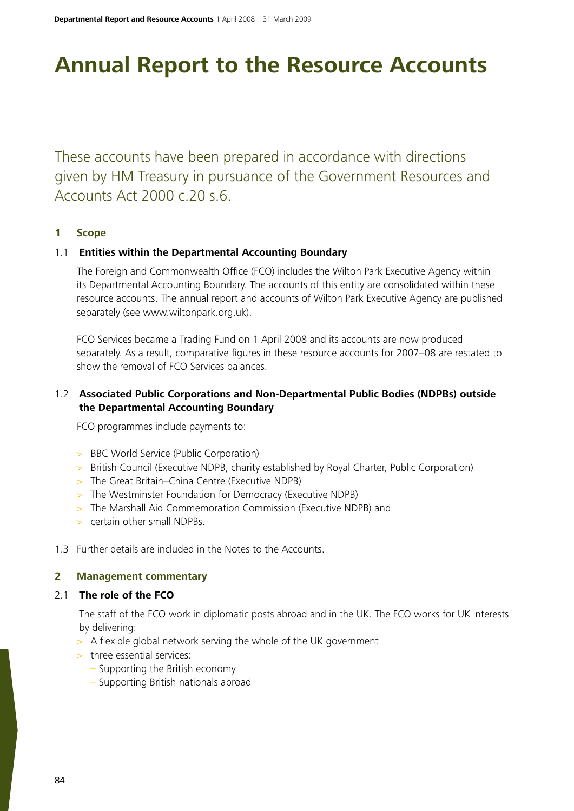# **Annual Report to the Resource Accounts**

These accounts have been prepared in accordance with directions given by HM Treasury in pursuance of the Government Resources and Accounts Act 2000 c.20 s.6.

# **1 Scope**

# 1.1 **Entities within the Departmental Accounting Boundary**

The Foreign and Commonwealth Office (FCO) includes the Wilton Park Executive Agency within its Departmental Accounting Boundary. The accounts of this entity are consolidated within these resource accounts. The annual report and accounts of Wilton Park Executive Agency are published separately (see www.wiltonpark.org.uk).

FCO Services became a Trading Fund on 1 April 2008 and its accounts are now produced separately. As a result, comparative figures in these resource accounts for 2007–08 are restated to show the removal of FCO Services balances.

# 1.2 **Associated Public Corporations and Non-Departmental Public Bodies (NDPBs) outside the Departmental Accounting Boundary**

FCO programmes include payments to:

- > BBC World Service (Public Corporation)
- > British Council (Executive NDPB, charity established by Royal Charter, Public Corporation)
- > The Great Britain–China Centre (Executive NDPB)
- > The Westminster Foundation for Democracy (Executive NDPB)
- > The Marshall Aid Commemoration Commission (Executive NDPB) and
- > certain other small NDPBs.
- 1.3 Further details are included in the Notes to the Accounts.

#### **2 Management commentary**

#### 2.1 **The role of the FCO**

The staff of the FCO work in diplomatic posts abroad and in the UK. The FCO works for UK interests by delivering:

- > A flexible global network serving the whole of the UK government
- > three essential services:
	- Supporting the British economy
	- Supporting British nationals abroad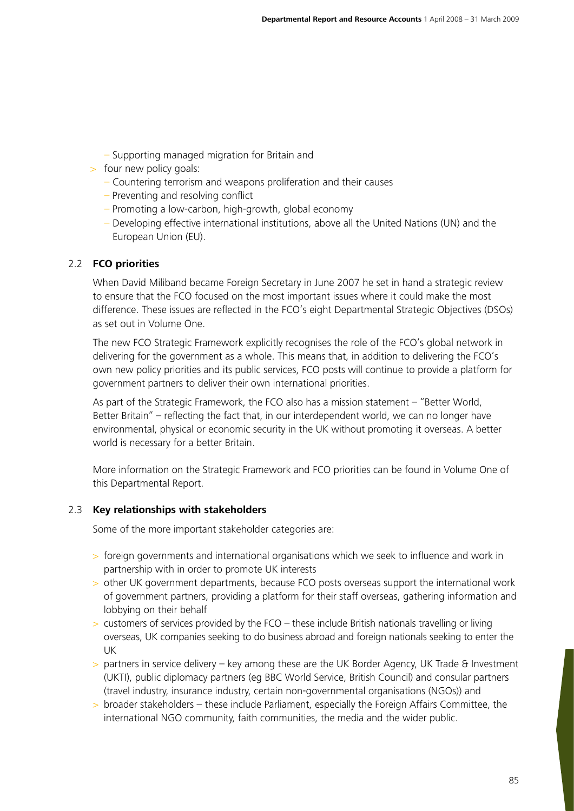- Supporting managed migration for Britain and
- > four new policy goals:
	- Countering terrorism and weapons proliferation and their causes
	- Preventing and resolving conflict
	- Promoting a low-carbon, high-growth, global economy
	- Developing effective international institutions, above all the United Nations (UN) and the European Union (EU).

# 2.2 **FCO priorities**

When David Miliband became Foreign Secretary in June 2007 he set in hand a strategic review to ensure that the FCO focused on the most important issues where it could make the most difference. These issues are reflected in the FCO's eight Departmental Strategic Objectives (DSOs) as set out in Volume One.

The new FCO Strategic Framework explicitly recognises the role of the FCO's global network in delivering for the government as a whole. This means that, in addition to delivering the FCO's own new policy priorities and its public services, FCO posts will continue to provide a platform for government partners to deliver their own international priorities.

As part of the Strategic Framework, the FCO also has a mission statement – "Better World, Better Britain" – reflecting the fact that, in our interdependent world, we can no longer have environmental, physical or economic security in the UK without promoting it overseas. A better world is necessary for a better Britain.

More information on the Strategic Framework and FCO priorities can be found in Volume One of this Departmental Report.

# 2.3 **Key relationships with stakeholders**

Some of the more important stakeholder categories are:

- > foreign governments and international organisations which we seek to influence and work in partnership with in order to promote UK interests
- > other UK government departments, because FCO posts overseas support the international work of government partners, providing a platform for their staff overseas, gathering information and lobbying on their behalf
- $>$  customers of services provided by the FCO these include British nationals travelling or living overseas, UK companies seeking to do business abroad and foreign nationals seeking to enter the UK
- > partners in service delivery key among these are the UK Border Agency, UK Trade & Investment (UKTI), public diplomacy partners (eg BBC World Service, British Council) and consular partners (travel industry, insurance industry, certain non-governmental organisations (NGOs)) and
- > broader stakeholders these include Parliament, especially the Foreign Affairs Committee, the international NGO community, faith communities, the media and the wider public.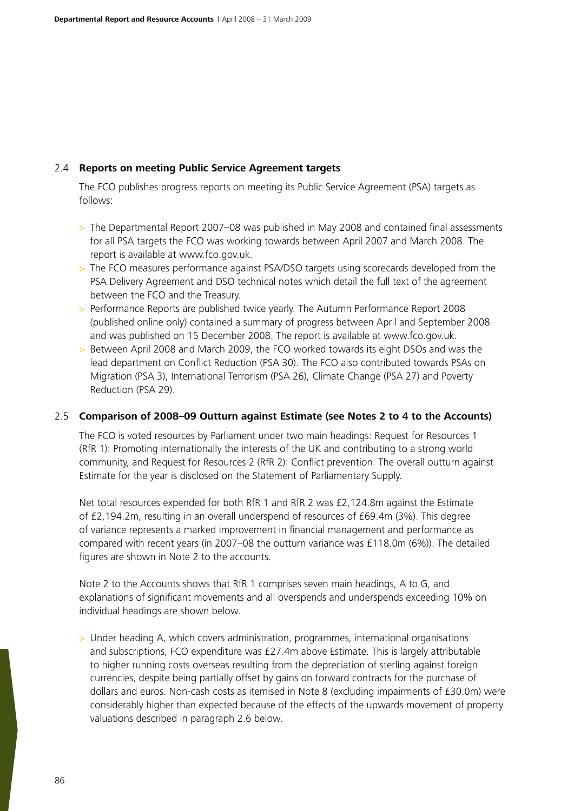# 2.4 **Reports on meeting Public Service Agreement targets**

The FCO publishes progress reports on meeting its Public Service Agreement (PSA) targets as follows:

- > The Departmental Report 2007–08 was published in May 2008 and contained final assessments for all PSA targets the FCO was working towards between April 2007 and March 2008. The report is available at www.fco.gov.uk.
- > The FCO measures performance against PSA/DSO targets using scorecards developed from the PSA Delivery Agreement and DSO technical notes which detail the full text of the agreement between the FCO and the Treasury.
- > Performance Reports are published twice yearly. The Autumn Performance Report 2008 (published online only) contained a summary of progress between April and September 2008 and was published on 15 December 2008. The report is available at www.fco.gov.uk.
- > Between April 2008 and March 2009, the FCO worked towards its eight DSOs and was the lead department on Conflict Reduction (PSA 30). The FCO also contributed towards PSAs on Migration (PSA 3), International Terrorism (PSA 26), Climate Change (PSA 27) and Poverty Reduction (PSA 29).

## 2.5 **Comparison of 2008–09 Outturn against Estimate (see Notes 2 to 4 to the Accounts)**

The FCO is voted resources by Parliament under two main headings: Request for Resources 1 (RfR 1): Promoting internationally the interests of the UK and contributing to a strong world community, and Request for Resources 2 (RfR 2): Conflict prevention. The overall outturn against Estimate for the year is disclosed on the Statement of Parliamentary Supply.

Net total resources expended for both RfR 1 and RfR 2 was £2,124.8m against the Estimate of £2,194.2m, resulting in an overall underspend of resources of £69.4m (3%). This degree of variance represents a marked improvement in financial management and performance as compared with recent years (in 2007–08 the outturn variance was £118.0m (6%)). The detailed figures are shown in Note 2 to the accounts.

Note 2 to the Accounts shows that RfR 1 comprises seven main headings, A to G, and explanations of significant movements and all overspends and underspends exceeding 10% on individual headings are shown below.

> Under heading A, which covers administration, programmes, international organisations and subscriptions, FCO expenditure was £27.4m above Estimate. This is largely attributable to higher running costs overseas resulting from the depreciation of sterling against foreign currencies, despite being partially offset by gains on forward contracts for the purchase of dollars and euros. Non-cash costs as itemised in Note 8 (excluding impairments of £30.0m) were considerably higher than expected because of the effects of the upwards movement of property valuations described in paragraph 2.6 below.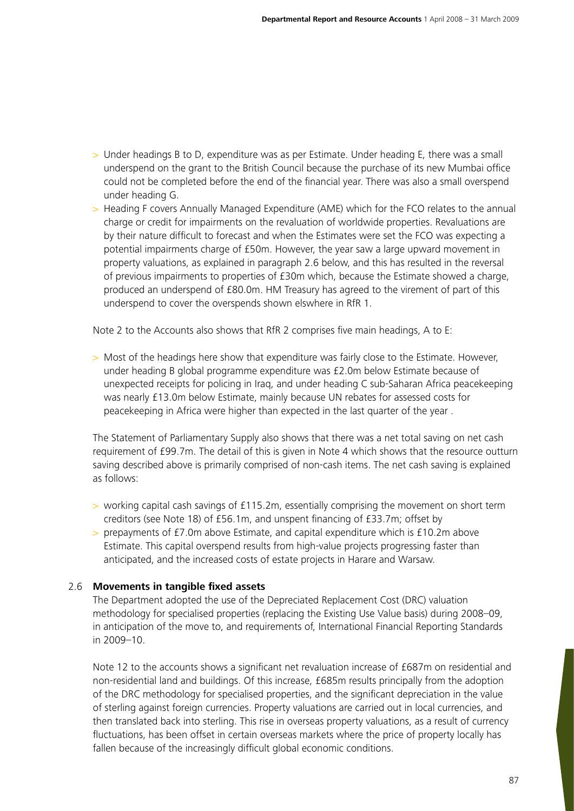- > Under headings B to D, expenditure was as per Estimate. Under heading E, there was a small underspend on the grant to the British Council because the purchase of its new Mumbai office could not be completed before the end of the financial year. There was also a small overspend under heading G.
- > Heading F covers Annually Managed Expenditure (AME) which for the FCO relates to the annual charge or credit for impairments on the revaluation of worldwide properties. Revaluations are by their nature difficult to forecast and when the Estimates were set the FCO was expecting a potential impairments charge of £50m. However, the year saw a large upward movement in property valuations, as explained in paragraph 2.6 below, and this has resulted in the reversal of previous impairments to properties of £30m which, because the Estimate showed a charge, produced an underspend of £80.0m. HM Treasury has agreed to the virement of part of this underspend to cover the overspends shown elswhere in RfR 1.

Note 2 to the Accounts also shows that RfR 2 comprises five main headings, A to E:

> Most of the headings here show that expenditure was fairly close to the Estimate. However, under heading B global programme expenditure was £2.0m below Estimate because of unexpected receipts for policing in Iraq, and under heading C sub-Saharan Africa peacekeeping was nearly £13.0m below Estimate, mainly because UN rebates for assessed costs for peacekeeping in Africa were higher than expected in the last quarter of the year .

The Statement of Parliamentary Supply also shows that there was a net total saving on net cash requirement of £99.7m. The detail of this is given in Note 4 which shows that the resource outturn saving described above is primarily comprised of non-cash items. The net cash saving is explained as follows:

- > working capital cash savings of £115.2m, essentially comprising the movement on short term creditors (see Note 18) of £56.1m, and unspent financing of £33.7m; offset by
- > prepayments of £7.0m above Estimate, and capital expenditure which is £10.2m above Estimate. This capital overspend results from high-value projects progressing faster than anticipated, and the increased costs of estate projects in Harare and Warsaw.

# 2.6 **Movements in tangible fixed assets**

The Department adopted the use of the Depreciated Replacement Cost (DRC) valuation methodology for specialised properties (replacing the Existing Use Value basis) during 2008–09, in anticipation of the move to, and requirements of, International Financial Reporting Standards in 2009–10.

Note 12 to the accounts shows a significant net revaluation increase of £687m on residential and non-residential land and buildings. Of this increase, £685m results principally from the adoption of the DRC methodology for specialised properties, and the significant depreciation in the value of sterling against foreign currencies. Property valuations are carried out in local currencies, and then translated back into sterling. This rise in overseas property valuations, as a result of currency fluctuations, has been offset in certain overseas markets where the price of property locally has fallen because of the increasingly difficult global economic conditions.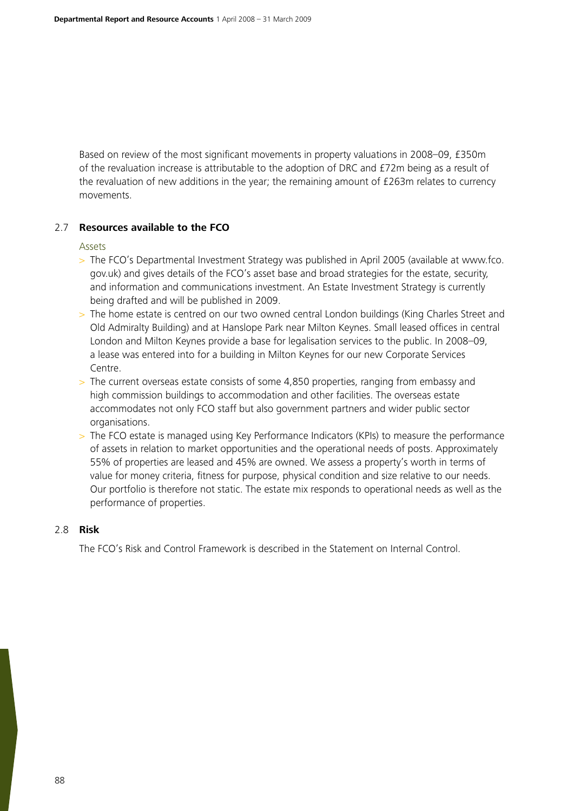Based on review of the most significant movements in property valuations in 2008–09, £350m of the revaluation increase is attributable to the adoption of DRC and £72m being as a result of the revaluation of new additions in the year; the remaining amount of £263m relates to currency movements.

# 2.7 **Resources available to the FCO**

Assets

- > The FCO's Departmental Investment Strategy was published in April 2005 (available at www.fco. gov.uk) and gives details of the FCO's asset base and broad strategies for the estate, security, and information and communications investment. An Estate Investment Strategy is currently being drafted and will be published in 2009.
- > The home estate is centred on our two owned central London buildings (King Charles Street and Old Admiralty Building) and at Hanslope Park near Milton Keynes. Small leased offices in central London and Milton Keynes provide a base for legalisation services to the public. In 2008–09, a lease was entered into for a building in Milton Keynes for our new Corporate Services Centre.
- > The current overseas estate consists of some 4,850 properties, ranging from embassy and high commission buildings to accommodation and other facilities. The overseas estate accommodates not only FCO staff but also government partners and wider public sector organisations.
- > The FCO estate is managed using Key Performance Indicators (KPIs) to measure the performance of assets in relation to market opportunities and the operational needs of posts. Approximately 55% of properties are leased and 45% are owned. We assess a property's worth in terms of value for money criteria, fitness for purpose, physical condition and size relative to our needs. Our portfolio is therefore not static. The estate mix responds to operational needs as well as the performance of properties.

## 2.8 **Risk**

The FCO's Risk and Control Framework is described in the Statement on Internal Control.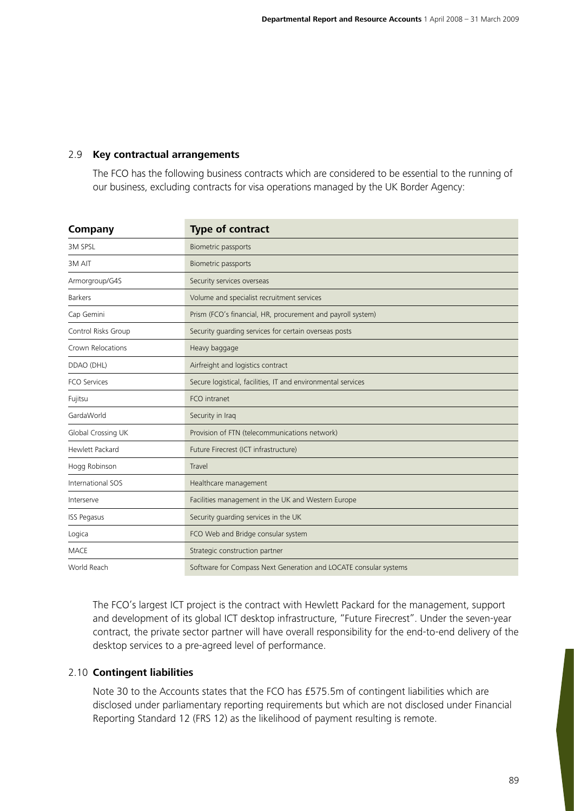# 2.9 **Key contractual arrangements**

The FCO has the following business contracts which are considered to be essential to the running of our business, excluding contracts for visa operations managed by the UK Border Agency:

| <b>Company</b>      | <b>Type of contract</b>                                          |
|---------------------|------------------------------------------------------------------|
| <b>3M SPSL</b>      | Biometric passports                                              |
| 3M AIT              | Biometric passports                                              |
| Armorgroup/G4S      | Security services overseas                                       |
| <b>Barkers</b>      | Volume and specialist recruitment services                       |
| Cap Gemini          | Prism (FCO's financial, HR, procurement and payroll system)      |
| Control Risks Group | Security guarding services for certain overseas posts            |
| Crown Relocations   | Heavy baggage                                                    |
| DDAO (DHL)          | Airfreight and logistics contract                                |
| <b>FCO Services</b> | Secure logistical, facilities, IT and environmental services     |
| Fujitsu             | FCO intranet                                                     |
| GardaWorld          | Security in Iraq                                                 |
| Global Crossing UK  | Provision of FTN (telecommunications network)                    |
| Hewlett Packard     | Future Firecrest (ICT infrastructure)                            |
| Hogg Robinson       | Travel                                                           |
| International SOS   | Healthcare management                                            |
| Interserve          | Facilities management in the UK and Western Europe               |
| <b>ISS Pegasus</b>  | Security quarding services in the UK                             |
| Logica              | FCO Web and Bridge consular system                               |
| <b>MACE</b>         | Strategic construction partner                                   |
| World Reach         | Software for Compass Next Generation and LOCATE consular systems |

The FCO's largest ICT project is the contract with Hewlett Packard for the management, support and development of its global ICT desktop infrastructure, "Future Firecrest". Under the seven-year contract, the private sector partner will have overall responsibility for the end-to-end delivery of the desktop services to a pre-agreed level of performance.

## 2.10 **Contingent liabilities**

Note 30 to the Accounts states that the FCO has £575.5m of contingent liabilities which are disclosed under parliamentary reporting requirements but which are not disclosed under Financial Reporting Standard 12 (FRS 12) as the likelihood of payment resulting is remote.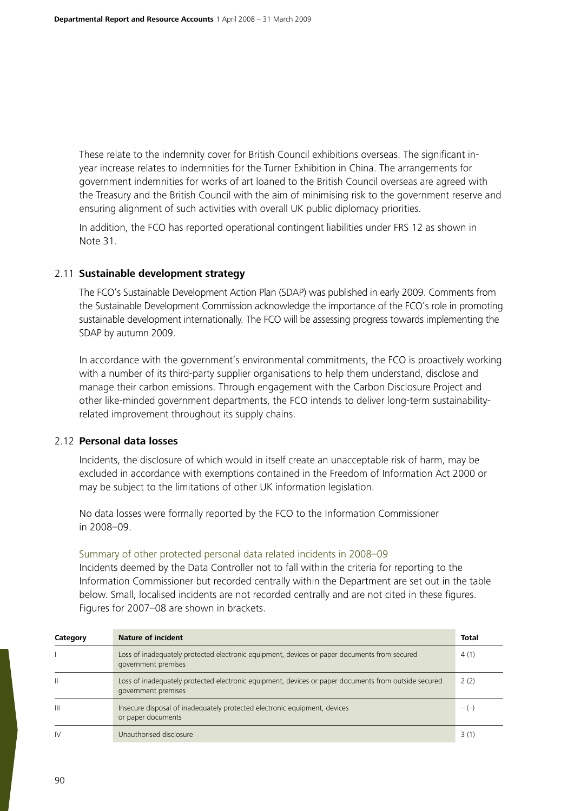These relate to the indemnity cover for British Council exhibitions overseas. The significant inyear increase relates to indemnities for the Turner Exhibition in China. The arrangements for government indemnities for works of art loaned to the British Council overseas are agreed with the Treasury and the British Council with the aim of minimising risk to the government reserve and ensuring alignment of such activities with overall UK public diplomacy priorities.

In addition, the FCO has reported operational contingent liabilities under FRS 12 as shown in Note 31.

## 2.11 **Sustainable development strategy**

The FCO's Sustainable Development Action Plan (SDAP) was published in early 2009. Comments from the Sustainable Development Commission acknowledge the importance of the FCO's role in promoting sustainable development internationally. The FCO will be assessing progress towards implementing the SDAP by autumn 2009.

In accordance with the government's environmental commitments, the FCO is proactively working with a number of its third-party supplier organisations to help them understand, disclose and manage their carbon emissions. Through engagement with the Carbon Disclosure Project and other like-minded government departments, the FCO intends to deliver long-term sustainabilityrelated improvement throughout its supply chains.

# 2.12 **Personal data losses**

Incidents, the disclosure of which would in itself create an unacceptable risk of harm, may be excluded in accordance with exemptions contained in the Freedom of Information Act 2000 or may be subject to the limitations of other UK information legislation.

No data losses were formally reported by the FCO to the Information Commissioner in 2008–09.

## Summary of other protected personal data related incidents in 2008–09

Incidents deemed by the Data Controller not to fall within the criteria for reporting to the Information Commissioner but recorded centrally within the Department are set out in the table below. Small, localised incidents are not recorded centrally and are not cited in these figures. Figures for 2007–08 are shown in brackets.

| Category       | <b>Nature of incident</b>                                                                                                   | <b>Total</b> |
|----------------|-----------------------------------------------------------------------------------------------------------------------------|--------------|
|                | Loss of inadequately protected electronic equipment, devices or paper documents from secured<br>government premises         | 4(1)         |
| $\mathsf{II}$  | Loss of inadequately protected electronic equipment, devices or paper documents from outside secured<br>government premises | 2(2)         |
| $\mathbf{III}$ | Insecure disposal of inadequately protected electronic equipment, devices<br>or paper documents                             | $-(-)$       |
| $\mathsf{IV}$  | Unauthorised disclosure                                                                                                     | 3(1)         |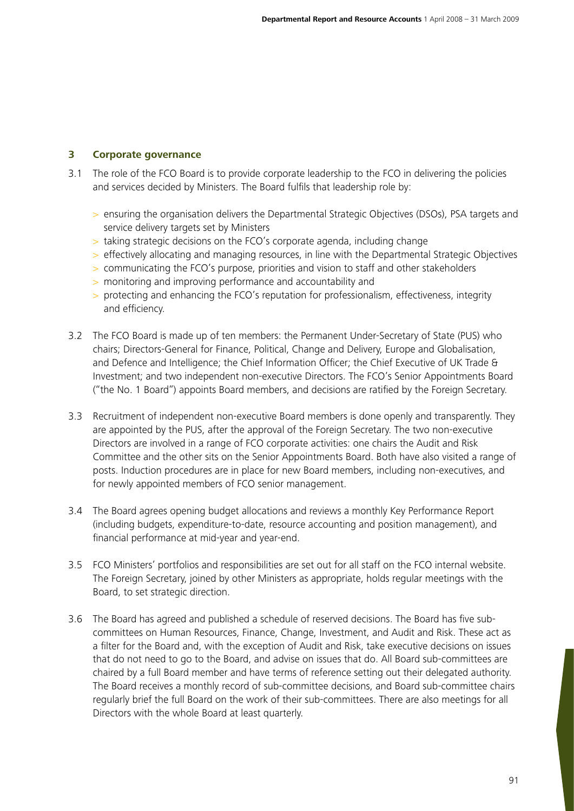# **3 Corporate governance**

- 3.1 The role of the FCO Board is to provide corporate leadership to the FCO in delivering the policies and services decided by Ministers. The Board fulfils that leadership role by:
	- > ensuring the organisation delivers the Departmental Strategic Objectives (DSOs), PSA targets and service delivery targets set by Ministers
	- > taking strategic decisions on the FCO's corporate agenda, including change
	- > effectively allocating and managing resources, in line with the Departmental Strategic Objectives
	- > communicating the FCO's purpose, priorities and vision to staff and other stakeholders
	- > monitoring and improving performance and accountability and
	- > protecting and enhancing the FCO's reputation for professionalism, effectiveness, integrity and efficiency.
- 3.2 The FCO Board is made up of ten members: the Permanent Under-Secretary of State (PUS) who chairs; Directors-General for Finance, Political, Change and Delivery, Europe and Globalisation, and Defence and Intelligence; the Chief Information Officer; the Chief Executive of UK Trade & Investment; and two independent non-executive Directors. The FCO's Senior Appointments Board ("the No. 1 Board") appoints Board members, and decisions are ratified by the Foreign Secretary.
- 3.3 Recruitment of independent non-executive Board members is done openly and transparently. They are appointed by the PUS, after the approval of the Foreign Secretary. The two non-executive Directors are involved in a range of FCO corporate activities: one chairs the Audit and Risk Committee and the other sits on the Senior Appointments Board. Both have also visited a range of posts. Induction procedures are in place for new Board members, including non-executives, and for newly appointed members of FCO senior management.
- 3.4 The Board agrees opening budget allocations and reviews a monthly Key Performance Report (including budgets, expenditure-to-date, resource accounting and position management), and financial performance at mid-year and year-end.
- 3.5 FCO Ministers' portfolios and responsibilities are set out for all staff on the FCO internal website. The Foreign Secretary, joined by other Ministers as appropriate, holds regular meetings with the Board, to set strategic direction.
- 3.6 The Board has agreed and published a schedule of reserved decisions. The Board has five subcommittees on Human Resources, Finance, Change, Investment, and Audit and Risk. These act as a filter for the Board and, with the exception of Audit and Risk, take executive decisions on issues that do not need to go to the Board, and advise on issues that do. All Board sub-committees are chaired by a full Board member and have terms of reference setting out their delegated authority. The Board receives a monthly record of sub-committee decisions, and Board sub-committee chairs regularly brief the full Board on the work of their sub-committees. There are also meetings for all Directors with the whole Board at least quarterly.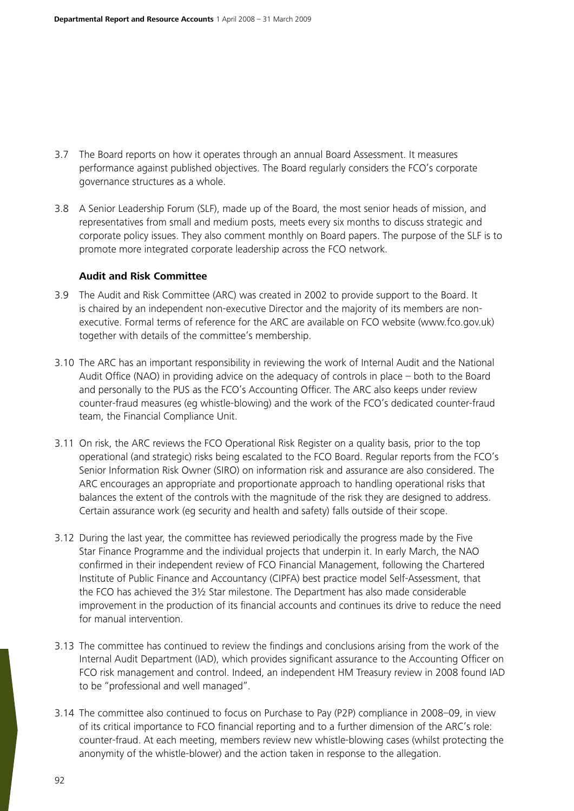- 3.7 The Board reports on how it operates through an annual Board Assessment. It measures performance against published objectives. The Board regularly considers the FCO's corporate governance structures as a whole.
- 3.8 A Senior Leadership Forum (SLF), made up of the Board, the most senior heads of mission, and representatives from small and medium posts, meets every six months to discuss strategic and corporate policy issues. They also comment monthly on Board papers. The purpose of the SLF is to promote more integrated corporate leadership across the FCO network.

#### **Audit and Risk Committee**

- 3.9 The Audit and Risk Committee (ARC) was created in 2002 to provide support to the Board. It is chaired by an independent non-executive Director and the majority of its members are nonexecutive. Formal terms of reference for the ARC are available on FCO website (www.fco.gov.uk) together with details of the committee's membership.
- 3.10 The ARC has an important responsibility in reviewing the work of Internal Audit and the National Audit Office (NAO) in providing advice on the adequacy of controls in place – both to the Board and personally to the PUS as the FCO's Accounting Officer. The ARC also keeps under review counter-fraud measures (eg whistle-blowing) and the work of the FCO's dedicated counter-fraud team, the Financial Compliance Unit.
- 3.11 On risk, the ARC reviews the FCO Operational Risk Register on a quality basis, prior to the top operational (and strategic) risks being escalated to the FCO Board. Regular reports from the FCO's Senior Information Risk Owner (SIRO) on information risk and assurance are also considered. The ARC encourages an appropriate and proportionate approach to handling operational risks that balances the extent of the controls with the magnitude of the risk they are designed to address. Certain assurance work (eg security and health and safety) falls outside of their scope.
- 3.12 During the last year, the committee has reviewed periodically the progress made by the Five Star Finance Programme and the individual projects that underpin it. In early March, the NAO confirmed in their independent review of FCO Financial Management, following the Chartered Institute of Public Finance and Accountancy (CIPFA) best practice model Self-Assessment, that the FCO has achieved the 3½ Star milestone. The Department has also made considerable improvement in the production of its financial accounts and continues its drive to reduce the need for manual intervention.
- 3.13 The committee has continued to review the findings and conclusions arising from the work of the Internal Audit Department (IAD), which provides significant assurance to the Accounting Officer on FCO risk management and control. Indeed, an independent HM Treasury review in 2008 found IAD to be "professional and well managed".
- 3.14 The committee also continued to focus on Purchase to Pay (P2P) compliance in 2008–09, in view of its critical importance to FCO financial reporting and to a further dimension of the ARC's role: counter-fraud. At each meeting, members review new whistle-blowing cases (whilst protecting the anonymity of the whistle-blower) and the action taken in response to the allegation.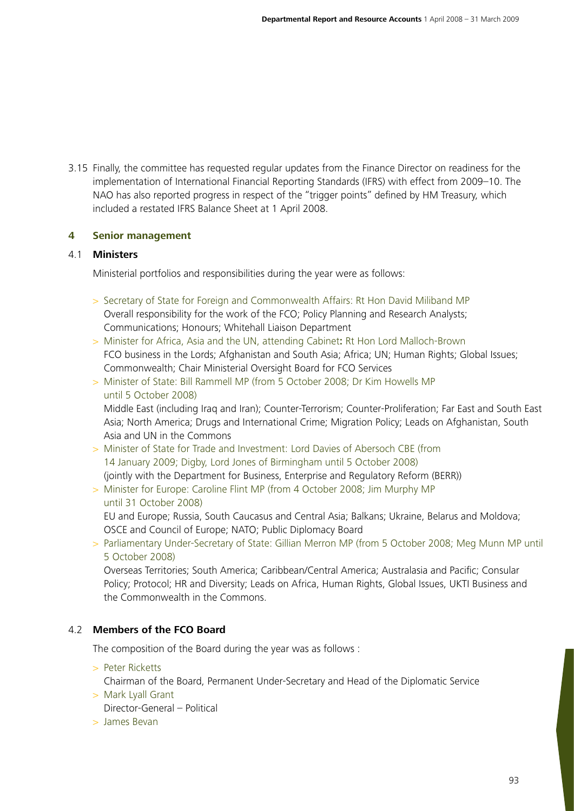3.15 Finally, the committee has requested regular updates from the Finance Director on readiness for the implementation of International Financial Reporting Standards (IFRS) with effect from 2009–10. The NAO has also reported progress in respect of the "trigger points" defined by HM Treasury, which included a restated IFRS Balance Sheet at 1 April 2008.

# **4 Senior management**

## 4.1 **Ministers**

Ministerial portfolios and responsibilities during the year were as follows:

- > Secretary of State for Foreign and Commonwealth Affairs: Rt Hon David Miliband MP Overall responsibility for the work of the FCO; Policy Planning and Research Analysts; Communications; Honours; Whitehall Liaison Department
- > Minister for Africa, Asia and the UN, attending Cabinet**:** Rt Hon Lord Malloch-Brown FCO business in the Lords; Afghanistan and South Asia; Africa; UN; Human Rights; Global Issues; Commonwealth; Chair Ministerial Oversight Board for FCO Services
- > Minister of State: Bill Rammell MP (from 5 October 2008; Dr Kim Howells MP until 5 October 2008)

Middle East (including Iraq and Iran); Counter-Terrorism; Counter-Proliferation; Far East and South East Asia; North America; Drugs and International Crime; Migration Policy; Leads on Afghanistan, South Asia and UN in the Commons

- > Minister of State for Trade and Investment: Lord Davies of Abersoch CBE (from 14 January 2009; Digby, Lord Jones of Birmingham until 5 October 2008) (jointly with the Department for Business, Enterprise and Regulatory Reform (BERR))
- > Minister for Europe: Caroline Flint MP (from 4 October 2008; Jim Murphy MP until 31 October 2008)

EU and Europe; Russia, South Caucasus and Central Asia; Balkans; Ukraine, Belarus and Moldova; OSCE and Council of Europe; NATO; Public Diplomacy Board

> Parliamentary Under-Secretary of State: Gillian Merron MP (from 5 October 2008; Meg Munn MP until 5 October 2008)

Overseas Territories; South America; Caribbean/Central America; Australasia and Pacific; Consular Policy; Protocol; HR and Diversity; Leads on Africa, Human Rights, Global Issues, UKTI Business and the Commonwealth in the Commons.

# 4.2 **Members of the FCO Board**

The composition of the Board during the year was as follows :

> Peter Ricketts

Chairman of the Board, Permanent Under-Secretary and Head of the Diplomatic Service

> Mark Lyall Grant

Director-General – Political

> James Bevan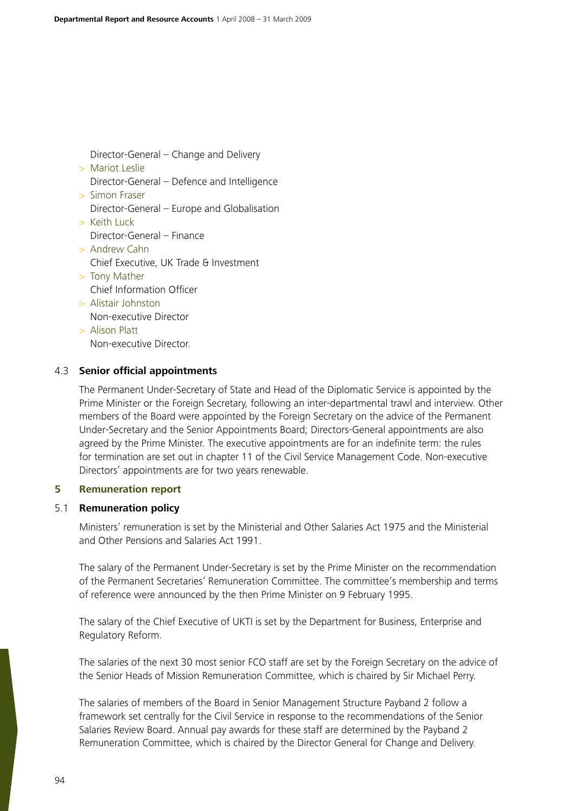Director-General – Change and Delivery

> Mariot Leslie Director-General – Defence and Intelligence > Simon Fraser Director-General – Europe and Globalisation > Keith Luck Director-General – Finance > Andrew Cahn Chief Executive, UK Trade & Investment > Tony Mather Chief Information Officer > Alistair Johnston Non-executive Director > Alison Platt Non-executive Director.

## 4.3 **Senior official appointments**

The Permanent Under-Secretary of State and Head of the Diplomatic Service is appointed by the Prime Minister or the Foreign Secretary, following an inter-departmental trawl and interview. Other members of the Board were appointed by the Foreign Secretary on the advice of the Permanent Under-Secretary and the Senior Appointments Board; Directors-General appointments are also agreed by the Prime Minister. The executive appointments are for an indefinite term: the rules for termination are set out in chapter 11 of the Civil Service Management Code. Non-executive Directors' appointments are for two years renewable.

# **5 Remuneration report**

## 5.1 **Remuneration policy**

Ministers' remuneration is set by the Ministerial and Other Salaries Act 1975 and the Ministerial and Other Pensions and Salaries Act 1991.

The salary of the Permanent Under-Secretary is set by the Prime Minister on the recommendation of the Permanent Secretaries' Remuneration Committee. The committee's membership and terms of reference were announced by the then Prime Minister on 9 February 1995.

The salary of the Chief Executive of UKTI is set by the Department for Business, Enterprise and Regulatory Reform.

The salaries of the next 30 most senior FCO staff are set by the Foreign Secretary on the advice of the Senior Heads of Mission Remuneration Committee, which is chaired by Sir Michael Perry.

The salaries of members of the Board in Senior Management Structure Payband 2 follow a framework set centrally for the Civil Service in response to the recommendations of the Senior Salaries Review Board. Annual pay awards for these staff are determined by the Payband 2 Remuneration Committee, which is chaired by the Director General for Change and Delivery.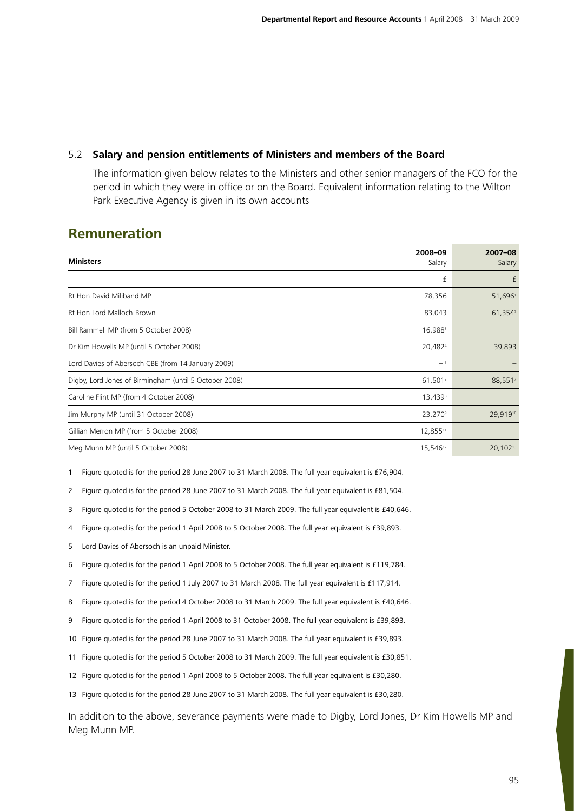# 5.2 **Salary and pension entitlements of Ministers and members of the Board**

 The information given below relates to the Ministers and other senior managers of the FCO for the period in which they were in office or on the Board. Equivalent information relating to the Wilton Park Executive Agency is given in its own accounts

# **Remuneration**

| <b>Ministers</b>                                       | 2008-09              | $2007 - 08$         |
|--------------------------------------------------------|----------------------|---------------------|
|                                                        | Salary               | Salary              |
|                                                        | £                    | £                   |
| Rt Hon David Miliband MP                               | 78,356               | 51,6961             |
| Rt Hon Lord Malloch-Brown                              | 83,043               | 61,354 <sup>2</sup> |
| Bill Rammell MP (from 5 October 2008)                  | 16,988 <sup>3</sup>  |                     |
| Dr Kim Howells MP (until 5 October 2008)               | 20,4824              | 39,893              |
| Lord Davies of Abersoch CBE (from 14 January 2009)     | $-5$                 |                     |
| Digby, Lord Jones of Birmingham (until 5 October 2008) | 61,5016              | 88,5517             |
| Caroline Flint MP (from 4 October 2008)                | 13,4398              |                     |
| Jim Murphy MP (until 31 October 2008)                  | 23,270 <sup>9</sup>  | 29,91910            |
| Gillian Merron MP (from 5 October 2008)                | 12,85511             |                     |
| Meg Munn MP (until 5 October 2008)                     | 15,546 <sup>12</sup> | 20,10213            |

1 Figure quoted is for the period 28 June 2007 to 31 March 2008. The full year equivalent is £76,904.

2 Figure quoted is for the period 28 June 2007 to 31 March 2008. The full year equivalent is £81,504.

3 Figure quoted is for the period 5 October 2008 to 31 March 2009. The full year equivalent is £40,646.

4 Figure quoted is for the period 1 April 2008 to 5 October 2008. The full year equivalent is £39,893.

5 Lord Davies of Abersoch is an unpaid Minister.

6 Figure quoted is for the period 1 April 2008 to 5 October 2008. The full year equivalent is £119,784.

7 Figure quoted is for the period 1 July 2007 to 31 March 2008. The full year equivalent is £117,914.

8 Figure quoted is for the period 4 October 2008 to 31 March 2009. The full year equivalent is £40,646.

9 Figure quoted is for the period 1 April 2008 to 31 October 2008. The full year equivalent is £39,893.

10 Figure quoted is for the period 28 June 2007 to 31 March 2008. The full year equivalent is £39,893.

11 Figure quoted is for the period 5 October 2008 to 31 March 2009. The full year equivalent is £30,851.

12 Figure quoted is for the period 1 April 2008 to 5 October 2008. The full year equivalent is £30,280.

13 Figure quoted is for the period 28 June 2007 to 31 March 2008. The full year equivalent is £30,280.

In addition to the above, severance payments were made to Digby, Lord Jones, Dr Kim Howells MP and Meg Munn MP.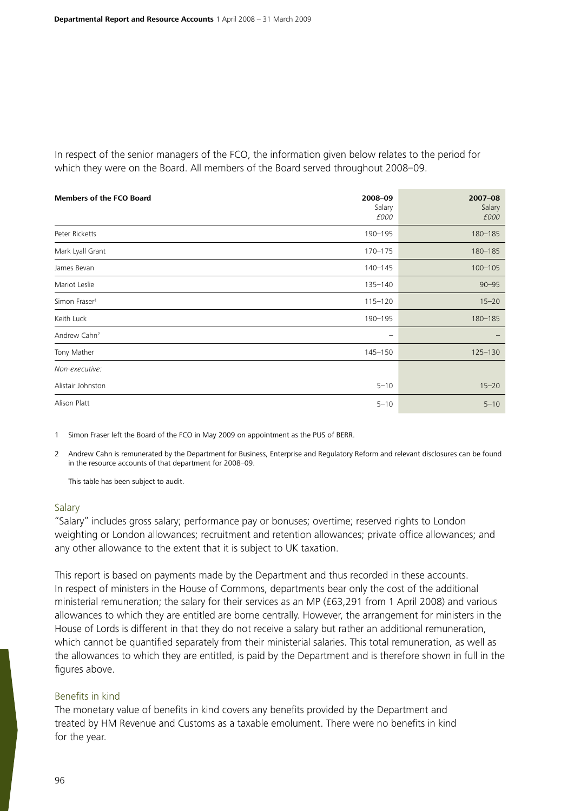In respect of the senior managers of the FCO, the information given below relates to the period for which they were on the Board. All members of the Board served throughout 2008–09.

| <b>Members of the FCO Board</b> | 2008-09<br>Salary<br>£000 | $2007 - 08$<br>Salary<br>£000 |
|---------------------------------|---------------------------|-------------------------------|
| Peter Ricketts                  | 190-195                   | $180 - 185$                   |
| Mark Lyall Grant                | $170 - 175$               | 180-185                       |
| James Bevan                     | $140 - 145$               | $100 - 105$                   |
| Mariot Leslie                   | 135-140                   | $90 - 95$                     |
| Simon Fraser <sup>1</sup>       | $115 - 120$               | $15 - 20$                     |
| Keith Luck                      | 190-195                   | $180 - 185$                   |
| Andrew Cahn <sup>2</sup>        | $\qquad \qquad -$         |                               |
| Tony Mather                     | $145 - 150$               | $125 - 130$                   |
| Non-executive:                  |                           |                               |
| Alistair Johnston               | $5 - 10$                  | $15 - 20$                     |
| Alison Platt                    | $5 - 10$                  | $5 - 10$                      |

1 Simon Fraser left the Board of the FCO in May 2009 on appointment as the PUS of BERR.

2 Andrew Cahn is remunerated by the Department for Business, Enterprise and Regulatory Reform and relevant disclosures can be found in the resource accounts of that department for 2008–09.

This table has been subject to audit.

#### Salary

"Salary" includes gross salary; performance pay or bonuses; overtime; reserved rights to London weighting or London allowances; recruitment and retention allowances; private office allowances; and any other allowance to the extent that it is subject to UK taxation.

This report is based on payments made by the Department and thus recorded in these accounts. In respect of ministers in the House of Commons, departments bear only the cost of the additional ministerial remuneration; the salary for their services as an MP (£63,291 from 1 April 2008) and various allowances to which they are entitled are borne centrally. However, the arrangement for ministers in the House of Lords is different in that they do not receive a salary but rather an additional remuneration, which cannot be quantified separately from their ministerial salaries. This total remuneration, as well as the allowances to which they are entitled, is paid by the Department and is therefore shown in full in the figures above.

#### Benefits in kind

The monetary value of benefits in kind covers any benefits provided by the Department and treated by HM Revenue and Customs as a taxable emolument. There were no benefits in kind for the year.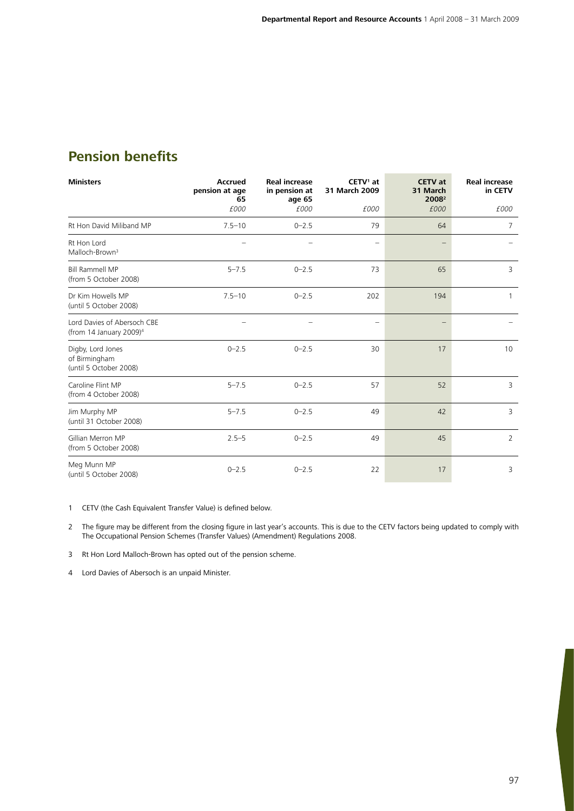# **Pension benefits**

| <b>Ministers</b>                                                   | <b>Accrued</b><br>pension at age<br>65 | <b>Real increase</b><br>in pension at<br>age 65 | $CETV1$ at<br>31 March 2009 | <b>CETV</b> at<br>31 March<br>2008 <sup>2</sup> | <b>Real increase</b><br>in CETV |
|--------------------------------------------------------------------|----------------------------------------|-------------------------------------------------|-----------------------------|-------------------------------------------------|---------------------------------|
|                                                                    | £000                                   | £000                                            | £000                        | £000                                            | £000                            |
| Rt Hon David Miliband MP                                           | $7.5 - 10$                             | $0 - 2.5$                                       | 79                          | 64                                              | 7                               |
| Rt Hon Lord<br>Malloch-Brown <sup>3</sup>                          |                                        |                                                 |                             |                                                 |                                 |
| <b>Bill Rammell MP</b><br>(from 5 October 2008)                    | $5 - 7.5$                              | $0 - 2.5$                                       | 73                          | 65                                              | 3                               |
| Dr Kim Howells MP<br>(until 5 October 2008)                        | $7.5 - 10$                             | $0 - 2.5$                                       | 202                         | 194                                             |                                 |
| Lord Davies of Abersoch CBE<br>(from 14 January 2009) <sup>4</sup> |                                        |                                                 |                             |                                                 |                                 |
| Digby, Lord Jones<br>of Birmingham<br>(until 5 October 2008)       | $0 - 2.5$                              | $0 - 2.5$                                       | 30                          | 17                                              | 10                              |
| Caroline Flint MP<br>(from 4 October 2008)                         | $5 - 7.5$                              | $0 - 2.5$                                       | 57                          | 52                                              | 3                               |
| Jim Murphy MP<br>(until 31 October 2008)                           | $5 - 7.5$                              | $0 - 2.5$                                       | 49                          | 42                                              | 3                               |
| Gillian Merron MP<br>(from 5 October 2008)                         | $2.5 - 5$                              | $0 - 2.5$                                       | 49                          | 45                                              | $\overline{2}$                  |
| Meg Munn MP<br>(until 5 October 2008)                              | $0 - 2.5$                              | $0 - 2.5$                                       | 22                          | 17                                              | 3                               |

1 CETV (the Cash Equivalent Transfer Value) is defined below.

2 The figure may be different from the closing figure in last year's accounts. This is due to the CETV factors being updated to comply with The Occupational Pension Schemes (Transfer Values) (Amendment) Regulations 2008.

3 Rt Hon Lord Malloch-Brown has opted out of the pension scheme.

4 Lord Davies of Abersoch is an unpaid Minister.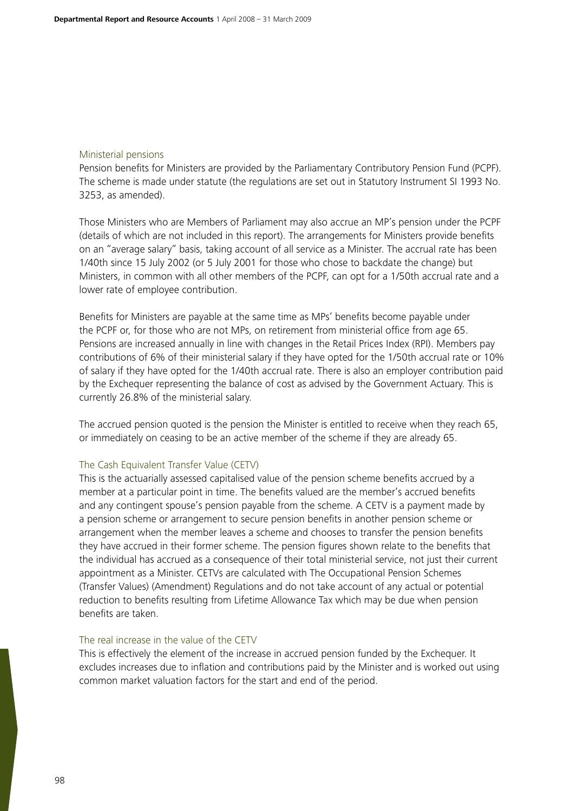## Ministerial pensions

Pension benefits for Ministers are provided by the Parliamentary Contributory Pension Fund (PCPF). The scheme is made under statute (the regulations are set out in Statutory Instrument SI 1993 No. 3253, as amended).

Those Ministers who are Members of Parliament may also accrue an MP's pension under the PCPF (details of which are not included in this report). The arrangements for Ministers provide benefits on an "average salary" basis, taking account of all service as a Minister. The accrual rate has been 1/40th since 15 July 2002 (or 5 July 2001 for those who chose to backdate the change) but Ministers, in common with all other members of the PCPF, can opt for a 1/50th accrual rate and a lower rate of employee contribution.

Benefits for Ministers are payable at the same time as MPs' benefits become payable under the PCPF or, for those who are not MPs, on retirement from ministerial office from age 65. Pensions are increased annually in line with changes in the Retail Prices Index (RPI). Members pay contributions of 6% of their ministerial salary if they have opted for the 1/50th accrual rate or 10% of salary if they have opted for the 1/40th accrual rate. There is also an employer contribution paid by the Exchequer representing the balance of cost as advised by the Government Actuary. This is currently 26.8% of the ministerial salary.

The accrued pension quoted is the pension the Minister is entitled to receive when they reach 65, or immediately on ceasing to be an active member of the scheme if they are already 65.

## The Cash Equivalent Transfer Value (CETV)

This is the actuarially assessed capitalised value of the pension scheme benefits accrued by a member at a particular point in time. The benefits valued are the member's accrued benefits and any contingent spouse's pension payable from the scheme. A CETV is a payment made by a pension scheme or arrangement to secure pension benefits in another pension scheme or arrangement when the member leaves a scheme and chooses to transfer the pension benefits they have accrued in their former scheme. The pension figures shown relate to the benefits that the individual has accrued as a consequence of their total ministerial service, not just their current appointment as a Minister. CETVs are calculated with The Occupational Pension Schemes (Transfer Values) (Amendment) Regulations and do not take account of any actual or potential reduction to benefits resulting from Lifetime Allowance Tax which may be due when pension benefits are taken.

## The real increase in the value of the CETV

This is effectively the element of the increase in accrued pension funded by the Exchequer. It excludes increases due to inflation and contributions paid by the Minister and is worked out using common market valuation factors for the start and end of the period.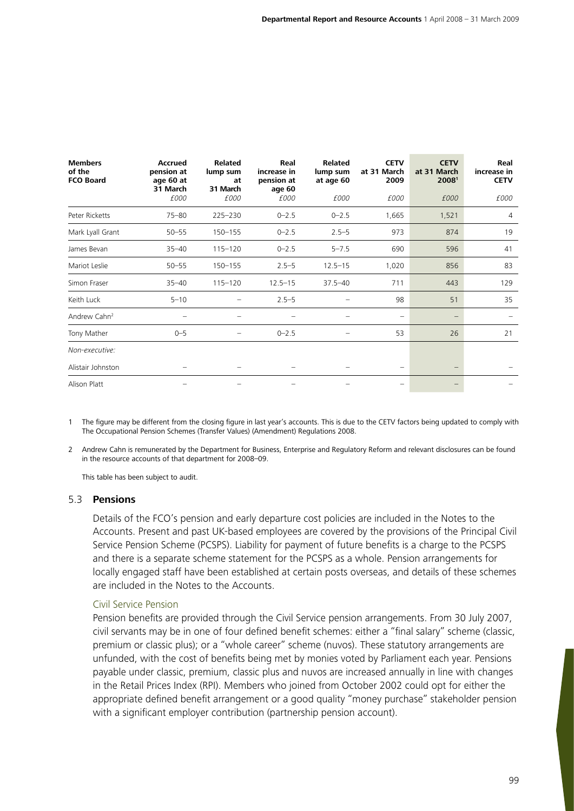| <b>Members</b><br>of the<br><b>FCO Board</b> | <b>Accrued</b><br>pension at<br>age 60 at<br>31 March | <b>Related</b><br>lump sum<br>at<br>31 March | Real<br>increase in<br>pension at<br>age 60 | <b>Related</b><br>lump sum<br>at age 60 | <b>CETV</b><br>at 31 March<br>2009 | <b>CETV</b><br>at 31 March<br>20081 | Real<br>increase in<br><b>CETV</b> |
|----------------------------------------------|-------------------------------------------------------|----------------------------------------------|---------------------------------------------|-----------------------------------------|------------------------------------|-------------------------------------|------------------------------------|
|                                              | £000                                                  | £000                                         | £000                                        | £000                                    | £000                               | £000                                | £000                               |
| Peter Ricketts                               | $75 - 80$                                             | 225-230                                      | $0 - 2.5$                                   | $0 - 2.5$                               | 1,665                              | 1,521                               | $\overline{4}$                     |
| Mark Lyall Grant                             | $50 - 55$                                             | $150 - 155$                                  | $0 - 2.5$                                   | $2.5 - 5$                               | 973                                | 874                                 | 19                                 |
| James Bevan                                  | $35 - 40$                                             | $115 - 120$                                  | $0 - 2.5$                                   | $5 - 7.5$                               | 690                                | 596                                 | 41                                 |
| Mariot Leslie                                | $50 - 55$                                             | $150 - 155$                                  | $2.5 - 5$                                   | $12.5 - 15$                             | 1,020                              | 856                                 | 83                                 |
| Simon Fraser                                 | $35 - 40$                                             | $115 - 120$                                  | $12.5 - 15$                                 | $37.5 - 40$                             | 711                                | 443                                 | 129                                |
| Keith Luck                                   | $5 - 10$                                              |                                              | $2.5 - 5$                                   |                                         | 98                                 | 51                                  | 35                                 |
| Andrew Cahn <sup>2</sup>                     |                                                       |                                              |                                             |                                         | $\qquad \qquad -$                  | $\qquad \qquad -$                   |                                    |
| Tony Mather                                  | $0 - 5$                                               | —                                            | $0 - 2.5$                                   |                                         | 53                                 | 26                                  | 21                                 |
| Non-executive:                               |                                                       |                                              |                                             |                                         |                                    |                                     |                                    |
| Alistair Johnston                            |                                                       |                                              |                                             |                                         |                                    | $\qquad \qquad -$                   |                                    |
| Alison Platt                                 |                                                       |                                              |                                             |                                         |                                    |                                     |                                    |

1 The figure may be different from the closing figure in last year's accounts. This is due to the CETV factors being updated to comply with The Occupational Pension Schemes (Transfer Values) (Amendment) Regulations 2008.

2 Andrew Cahn is remunerated by the Department for Business, Enterprise and Regulatory Reform and relevant disclosures can be found in the resource accounts of that department for 2008–09.

This table has been subject to audit.

## 5.3 **Pensions**

Details of the FCO's pension and early departure cost policies are included in the Notes to the Accounts. Present and past UK-based employees are covered by the provisions of the Principal Civil Service Pension Scheme (PCSPS). Liability for payment of future benefits is a charge to the PCSPS and there is a separate scheme statement for the PCSPS as a whole. Pension arrangements for locally engaged staff have been established at certain posts overseas, and details of these schemes are included in the Notes to the Accounts.

## Civil Service Pension

Pension benefits are provided through the Civil Service pension arrangements. From 30 July 2007, civil servants may be in one of four defined benefit schemes: either a "final salary" scheme (classic, premium or classic plus); or a "whole career" scheme (nuvos). These statutory arrangements are unfunded, with the cost of benefits being met by monies voted by Parliament each year. Pensions payable under classic, premium, classic plus and nuvos are increased annually in line with changes in the Retail Prices Index (RPI). Members who joined from October 2002 could opt for either the appropriate defined benefit arrangement or a good quality "money purchase" stakeholder pension with a significant employer contribution (partnership pension account).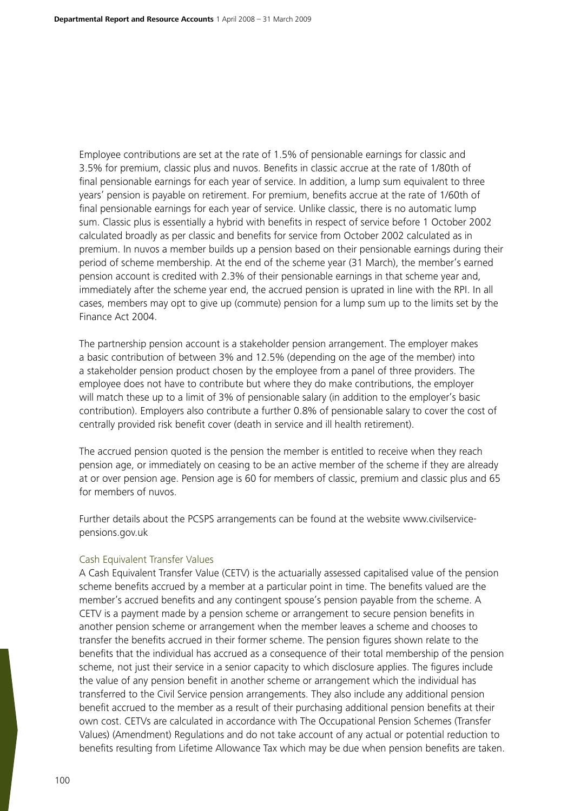Employee contributions are set at the rate of 1.5% of pensionable earnings for classic and 3.5% for premium, classic plus and nuvos. Benefits in classic accrue at the rate of 1/80th of final pensionable earnings for each year of service. In addition, a lump sum equivalent to three years' pension is payable on retirement. For premium, benefits accrue at the rate of 1/60th of final pensionable earnings for each year of service. Unlike classic, there is no automatic lump sum. Classic plus is essentially a hybrid with benefits in respect of service before 1 October 2002 calculated broadly as per classic and benefits for service from October 2002 calculated as in premium. In nuvos a member builds up a pension based on their pensionable earnings during their period of scheme membership. At the end of the scheme year (31 March), the member's earned pension account is credited with 2.3% of their pensionable earnings in that scheme year and, immediately after the scheme year end, the accrued pension is uprated in line with the RPI. In all cases, members may opt to give up (commute) pension for a lump sum up to the limits set by the Finance Act 2004.

The partnership pension account is a stakeholder pension arrangement. The employer makes a basic contribution of between 3% and 12.5% (depending on the age of the member) into a stakeholder pension product chosen by the employee from a panel of three providers. The employee does not have to contribute but where they do make contributions, the employer will match these up to a limit of 3% of pensionable salary (in addition to the employer's basic contribution). Employers also contribute a further 0.8% of pensionable salary to cover the cost of centrally provided risk benefit cover (death in service and ill health retirement).

The accrued pension quoted is the pension the member is entitled to receive when they reach pension age, or immediately on ceasing to be an active member of the scheme if they are already at or over pension age. Pension age is 60 for members of classic, premium and classic plus and 65 for members of nuvos.

Further details about the PCSPS arrangements can be found at the website www.civilservicepensions.gov.uk

## Cash Equivalent Transfer Values

A Cash Equivalent Transfer Value (CETV) is the actuarially assessed capitalised value of the pension scheme benefits accrued by a member at a particular point in time. The benefits valued are the member's accrued benefits and any contingent spouse's pension payable from the scheme. A CETV is a payment made by a pension scheme or arrangement to secure pension benefits in another pension scheme or arrangement when the member leaves a scheme and chooses to transfer the benefits accrued in their former scheme. The pension figures shown relate to the benefits that the individual has accrued as a consequence of their total membership of the pension scheme, not just their service in a senior capacity to which disclosure applies. The figures include the value of any pension benefit in another scheme or arrangement which the individual has transferred to the Civil Service pension arrangements. They also include any additional pension benefit accrued to the member as a result of their purchasing additional pension benefits at their own cost. CETVs are calculated in accordance with The Occupational Pension Schemes (Transfer Values) (Amendment) Regulations and do not take account of any actual or potential reduction to benefits resulting from Lifetime Allowance Tax which may be due when pension benefits are taken.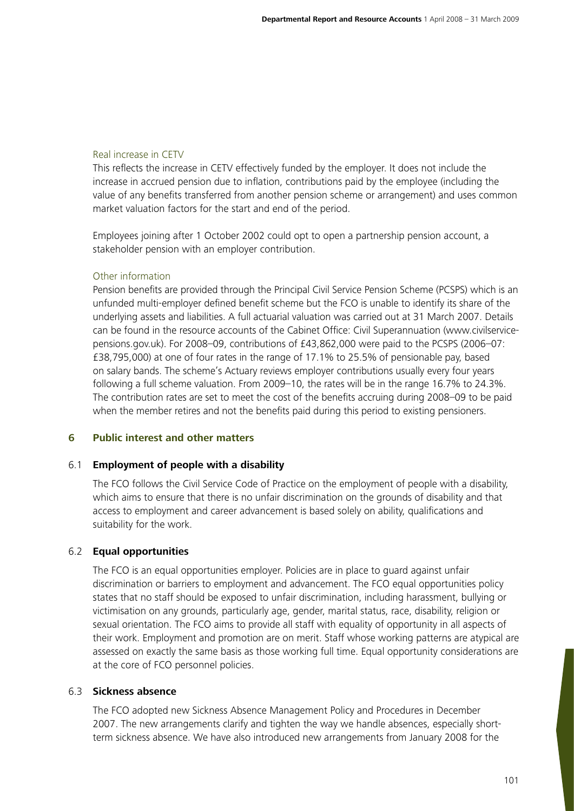# Real increase in CETV

This reflects the increase in CETV effectively funded by the employer. It does not include the increase in accrued pension due to inflation, contributions paid by the employee (including the value of any benefits transferred from another pension scheme or arrangement) and uses common market valuation factors for the start and end of the period.

Employees joining after 1 October 2002 could opt to open a partnership pension account, a stakeholder pension with an employer contribution.

# Other information

Pension benefits are provided through the Principal Civil Service Pension Scheme (PCSPS) which is an unfunded multi-employer defined benefit scheme but the FCO is unable to identify its share of the underlying assets and liabilities. A full actuarial valuation was carried out at 31 March 2007. Details can be found in the resource accounts of the Cabinet Office: Civil Superannuation (www.civilservicepensions.gov.uk). For 2008–09, contributions of £43,862,000 were paid to the PCSPS (2006–07: £38,795,000) at one of four rates in the range of 17.1% to 25.5% of pensionable pay, based on salary bands. The scheme's Actuary reviews employer contributions usually every four years following a full scheme valuation. From 2009–10, the rates will be in the range 16.7% to 24.3%. The contribution rates are set to meet the cost of the benefits accruing during 2008–09 to be paid when the member retires and not the benefits paid during this period to existing pensioners.

# **6 Public interest and other matters**

## 6.1 **Employment of people with a disability**

The FCO follows the Civil Service Code of Practice on the employment of people with a disability, which aims to ensure that there is no unfair discrimination on the grounds of disability and that access to employment and career advancement is based solely on ability, qualifications and suitability for the work.

# 6.2 **Equal opportunities**

The FCO is an equal opportunities employer. Policies are in place to guard against unfair discrimination or barriers to employment and advancement. The FCO equal opportunities policy states that no staff should be exposed to unfair discrimination, including harassment, bullying or victimisation on any grounds, particularly age, gender, marital status, race, disability, religion or sexual orientation. The FCO aims to provide all staff with equality of opportunity in all aspects of their work. Employment and promotion are on merit. Staff whose working patterns are atypical are assessed on exactly the same basis as those working full time. Equal opportunity considerations are at the core of FCO personnel policies.

# 6.3 **Sickness absence**

The FCO adopted new Sickness Absence Management Policy and Procedures in December 2007. The new arrangements clarify and tighten the way we handle absences, especially shortterm sickness absence. We have also introduced new arrangements from January 2008 for the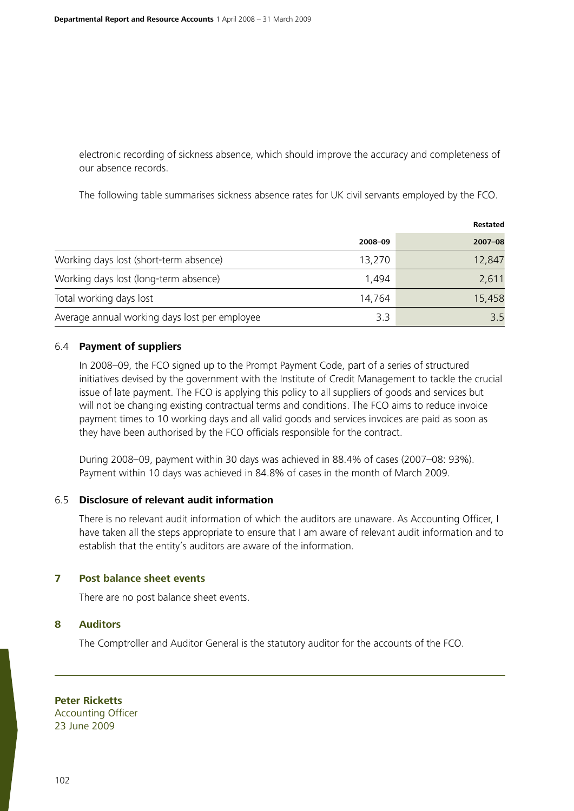electronic recording of sickness absence, which should improve the accuracy and completeness of our absence records.

The following table summarises sickness absence rates for UK civil servants employed by the FCO.

|                                               |         | <b>Restated</b> |
|-----------------------------------------------|---------|-----------------|
|                                               | 2008-09 | $2007 - 08$     |
| Working days lost (short-term absence)        | 13,270  | 12,847          |
| Working days lost (long-term absence)         | 1,494   | 2,611           |
| Total working days lost                       | 14,764  | 15,458          |
| Average annual working days lost per employee | 3.3     | 3.5             |

## 6.4 **Payment of suppliers**

In 2008–09, the FCO signed up to the Prompt Payment Code, part of a series of structured initiatives devised by the government with the Institute of Credit Management to tackle the crucial issue of late payment. The FCO is applying this policy to all suppliers of goods and services but will not be changing existing contractual terms and conditions. The FCO aims to reduce invoice payment times to 10 working days and all valid goods and services invoices are paid as soon as they have been authorised by the FCO officials responsible for the contract.

During 2008–09, payment within 30 days was achieved in 88.4% of cases (2007–08: 93%). Payment within 10 days was achieved in 84.8% of cases in the month of March 2009.

#### 6.5 **Disclosure of relevant audit information**

There is no relevant audit information of which the auditors are unaware. As Accounting Officer, I have taken all the steps appropriate to ensure that I am aware of relevant audit information and to establish that the entity's auditors are aware of the information.

# **7 Post balance sheet events**

There are no post balance sheet events.

#### **8 Auditors**

The Comptroller and Auditor General is the statutory auditor for the accounts of the FCO.

**Peter Ricketts** Accounting Officer 23 June 2009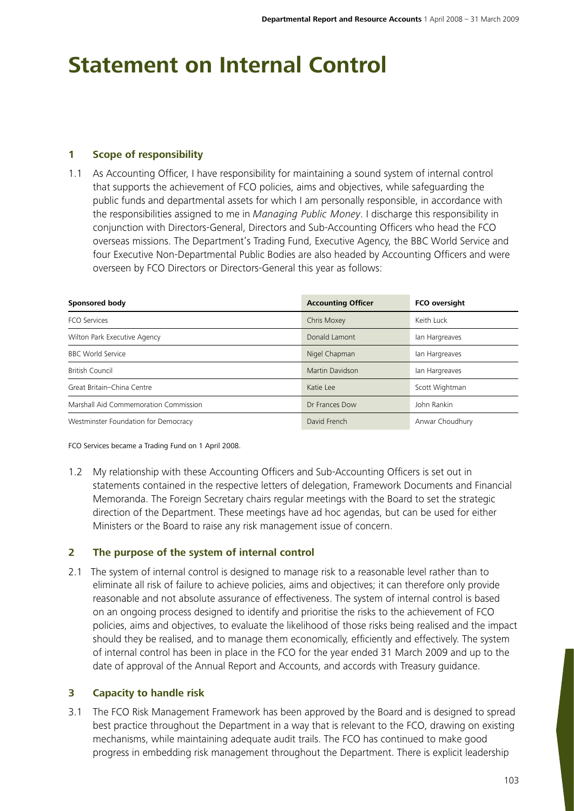# **Statement on Internal Control**

# **1 Scope of responsibility**

1.1 As Accounting Officer, I have responsibility for maintaining a sound system of internal control that supports the achievement of FCO policies, aims and objectives, while safeguarding the public funds and departmental assets for which I am personally responsible, in accordance with the responsibilities assigned to me in *Managing Public Money*. I discharge this responsibility in conjunction with Directors-General, Directors and Sub-Accounting Officers who head the FCO overseas missions. The Department's Trading Fund, Executive Agency, the BBC World Service and four Executive Non-Departmental Public Bodies are also headed by Accounting Officers and were overseen by FCO Directors or Directors-General this year as follows:

| Sponsored body                        | <b>Accounting Officer</b> | <b>FCO</b> oversight |  |
|---------------------------------------|---------------------------|----------------------|--|
| <b>FCO Services</b>                   | Chris Moxey               | Keith Luck           |  |
| Wilton Park Executive Agency          | Donald Lamont             | Ian Hargreaves       |  |
| <b>BBC World Service</b>              | Nigel Chapman             | Ian Hargreaves       |  |
| <b>British Council</b>                | Martin Davidson           | Ian Hargreaves       |  |
| Great Britain-China Centre            | Katie Lee                 | Scott Wightman       |  |
| Marshall Aid Commemoration Commission | Dr Frances Dow            | John Rankin          |  |
| Westminster Foundation for Democracy  | David French              | Anwar Choudhury      |  |

FCO Services became a Trading Fund on 1 April 2008.

1.2 My relationship with these Accounting Officers and Sub-Accounting Officers is set out in statements contained in the respective letters of delegation, Framework Documents and Financial Memoranda. The Foreign Secretary chairs regular meetings with the Board to set the strategic direction of the Department. These meetings have ad hoc agendas, but can be used for either Ministers or the Board to raise any risk management issue of concern.

# **2 The purpose of the system of internal control**

2.1 The system of internal control is designed to manage risk to a reasonable level rather than to eliminate all risk of failure to achieve policies, aims and objectives; it can therefore only provide reasonable and not absolute assurance of effectiveness. The system of internal control is based on an ongoing process designed to identify and prioritise the risks to the achievement of FCO policies, aims and objectives, to evaluate the likelihood of those risks being realised and the impact should they be realised, and to manage them economically, efficiently and effectively. The system of internal control has been in place in the FCO for the year ended 31 March 2009 and up to the date of approval of the Annual Report and Accounts, and accords with Treasury guidance.

## **3 Capacity to handle risk**

3.1 The FCO Risk Management Framework has been approved by the Board and is designed to spread best practice throughout the Department in a way that is relevant to the FCO, drawing on existing mechanisms, while maintaining adequate audit trails. The FCO has continued to make good progress in embedding risk management throughout the Department. There is explicit leadership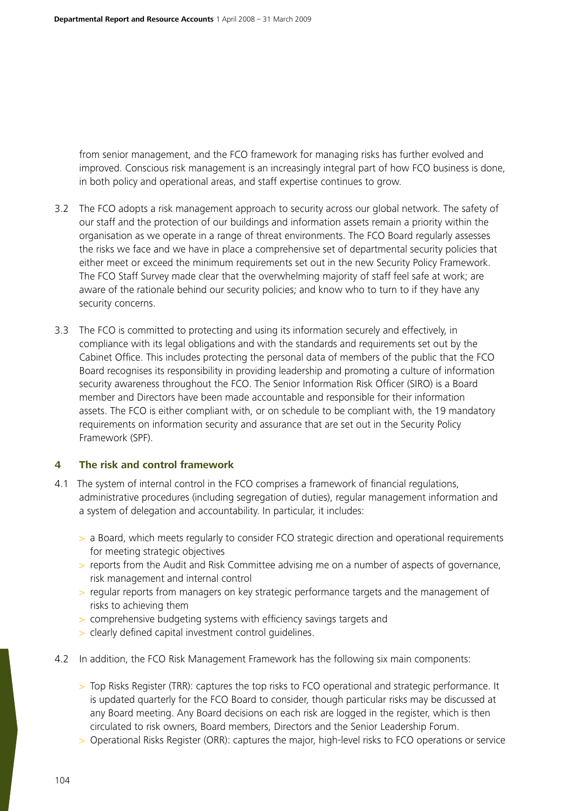from senior management, and the FCO framework for managing risks has further evolved and improved. Conscious risk management is an increasingly integral part of how FCO business is done, in both policy and operational areas, and staff expertise continues to grow.

- 3.2 The FCO adopts a risk management approach to security across our global network. The safety of our staff and the protection of our buildings and information assets remain a priority within the organisation as we operate in a range of threat environments. The FCO Board regularly assesses the risks we face and we have in place a comprehensive set of departmental security policies that either meet or exceed the minimum requirements set out in the new Security Policy Framework. The FCO Staff Survey made clear that the overwhelming majority of staff feel safe at work; are aware of the rationale behind our security policies; and know who to turn to if they have any security concerns.
- 3.3 The FCO is committed to protecting and using its information securely and effectively, in compliance with its legal obligations and with the standards and requirements set out by the Cabinet Office. This includes protecting the personal data of members of the public that the FCO Board recognises its responsibility in providing leadership and promoting a culture of information security awareness throughout the FCO. The Senior Information Risk Officer (SIRO) is a Board member and Directors have been made accountable and responsible for their information assets. The FCO is either compliant with, or on schedule to be compliant with, the 19 mandatory requirements on information security and assurance that are set out in the Security Policy Framework (SPF).

## **4 The risk and control framework**

- 4.1 The system of internal control in the FCO comprises a framework of financial regulations, administrative procedures (including segregation of duties), regular management information and a system of delegation and accountability. In particular, it includes:
	- > a Board, which meets regularly to consider FCO strategic direction and operational requirements for meeting strategic objectives
	- > reports from the Audit and Risk Committee advising me on a number of aspects of governance, risk management and internal control
	- > regular reports from managers on key strategic performance targets and the management of risks to achieving them
	- > comprehensive budgeting systems with efficiency savings targets and
	- > clearly defined capital investment control guidelines.
- 4.2 In addition, the FCO Risk Management Framework has the following six main components:
	- > Top Risks Register (TRR): captures the top risks to FCO operational and strategic performance. It is updated quarterly for the FCO Board to consider, though particular risks may be discussed at any Board meeting. Any Board decisions on each risk are logged in the register, which is then circulated to risk owners, Board members, Directors and the Senior Leadership Forum.
	- > Operational Risks Register (ORR): captures the major, high-level risks to FCO operations or service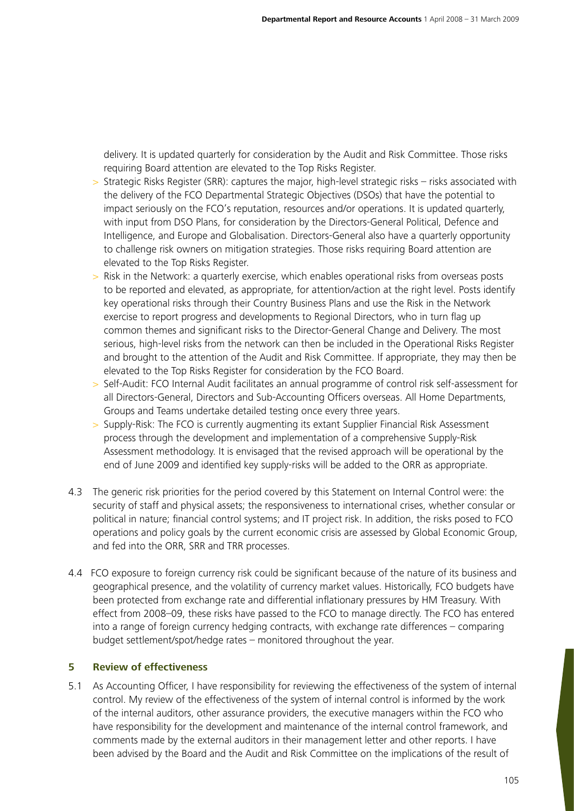delivery. It is updated quarterly for consideration by the Audit and Risk Committee. Those risks requiring Board attention are elevated to the Top Risks Register.

- Strategic Risks Register (SRR): captures the major, high-level strategic risks risks associated with the delivery of the FCO Departmental Strategic Objectives (DSOs) that have the potential to impact seriously on the FCO's reputation, resources and/or operations. It is updated quarterly, with input from DSO Plans, for consideration by the Directors-General Political, Defence and Intelligence, and Europe and Globalisation. Directors-General also have a quarterly opportunity to challenge risk owners on mitigation strategies. Those risks requiring Board attention are elevated to the Top Risks Register.
- > Risk in the Network: a quarterly exercise, which enables operational risks from overseas posts to be reported and elevated, as appropriate, for attention/action at the right level. Posts identify key operational risks through their Country Business Plans and use the Risk in the Network exercise to report progress and developments to Regional Directors, who in turn flag up common themes and significant risks to the Director-General Change and Delivery. The most serious, high-level risks from the network can then be included in the Operational Risks Register and brought to the attention of the Audit and Risk Committee. If appropriate, they may then be elevated to the Top Risks Register for consideration by the FCO Board.
- > Self-Audit: FCO Internal Audit facilitates an annual programme of control risk self-assessment for all Directors-General, Directors and Sub-Accounting Officers overseas. All Home Departments, Groups and Teams undertake detailed testing once every three years.
- > Supply-Risk: The FCO is currently augmenting its extant Supplier Financial Risk Assessment process through the development and implementation of a comprehensive Supply-Risk Assessment methodology. It is envisaged that the revised approach will be operational by the end of June 2009 and identified key supply-risks will be added to the ORR as appropriate.
- 4.3 The generic risk priorities for the period covered by this Statement on Internal Control were: the security of staff and physical assets; the responsiveness to international crises, whether consular or political in nature; financial control systems; and IT project risk. In addition, the risks posed to FCO operations and policy goals by the current economic crisis are assessed by Global Economic Group, and fed into the ORR, SRR and TRR processes.
- 4.4 FCO exposure to foreign currency risk could be significant because of the nature of its business and geographical presence, and the volatility of currency market values. Historically, FCO budgets have been protected from exchange rate and differential inflationary pressures by HM Treasury. With effect from 2008–09, these risks have passed to the FCO to manage directly. The FCO has entered into a range of foreign currency hedging contracts, with exchange rate differences – comparing budget settlement/spot/hedge rates – monitored throughout the year.

# **5 Review of effectiveness**

5.1 As Accounting Officer, I have responsibility for reviewing the effectiveness of the system of internal control. My review of the effectiveness of the system of internal control is informed by the work of the internal auditors, other assurance providers, the executive managers within the FCO who have responsibility for the development and maintenance of the internal control framework, and comments made by the external auditors in their management letter and other reports. I have been advised by the Board and the Audit and Risk Committee on the implications of the result of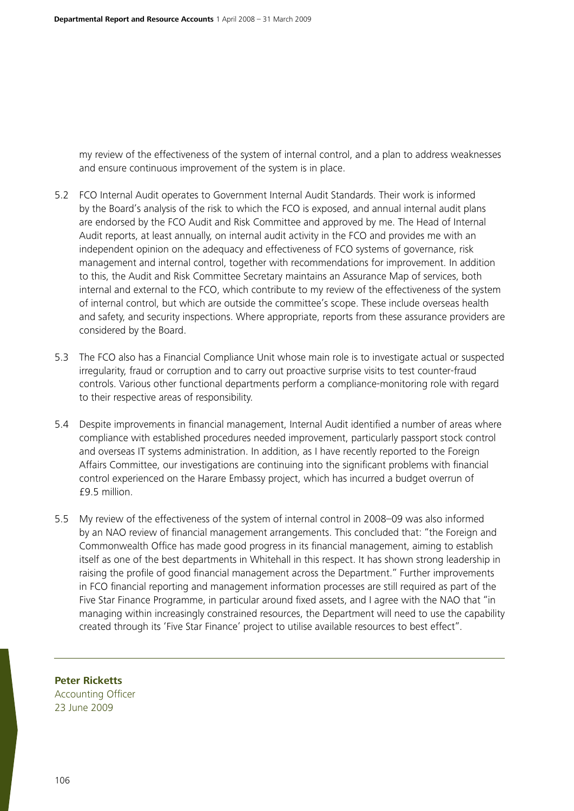my review of the effectiveness of the system of internal control, and a plan to address weaknesses and ensure continuous improvement of the system is in place.

- 5.2 FCO Internal Audit operates to Government Internal Audit Standards. Their work is informed by the Board's analysis of the risk to which the FCO is exposed, and annual internal audit plans are endorsed by the FCO Audit and Risk Committee and approved by me. The Head of Internal Audit reports, at least annually, on internal audit activity in the FCO and provides me with an independent opinion on the adequacy and effectiveness of FCO systems of governance, risk management and internal control, together with recommendations for improvement. In addition to this, the Audit and Risk Committee Secretary maintains an Assurance Map of services, both internal and external to the FCO, which contribute to my review of the effectiveness of the system of internal control, but which are outside the committee's scope. These include overseas health and safety, and security inspections. Where appropriate, reports from these assurance providers are considered by the Board.
- 5.3 The FCO also has a Financial Compliance Unit whose main role is to investigate actual or suspected irregularity, fraud or corruption and to carry out proactive surprise visits to test counter-fraud controls. Various other functional departments perform a compliance-monitoring role with regard to their respective areas of responsibility.
- 5.4 Despite improvements in financial management, Internal Audit identified a number of areas where compliance with established procedures needed improvement, particularly passport stock control and overseas IT systems administration. In addition, as I have recently reported to the Foreign Affairs Committee, our investigations are continuing into the significant problems with financial control experienced on the Harare Embassy project, which has incurred a budget overrun of £9.5 million.
- 5.5 My review of the effectiveness of the system of internal control in 2008–09 was also informed by an NAO review of financial management arrangements. This concluded that: "the Foreign and Commonwealth Office has made good progress in its financial management, aiming to establish itself as one of the best departments in Whitehall in this respect. It has shown strong leadership in raising the profile of good financial management across the Department." Further improvements in FCO financial reporting and management information processes are still required as part of the Five Star Finance Programme, in particular around fixed assets, and I agree with the NAO that "in managing within increasingly constrained resources, the Department will need to use the capability created through its 'Five Star Finance' project to utilise available resources to best effect".

**Peter Ricketts**

Accounting Officer 23 June 2009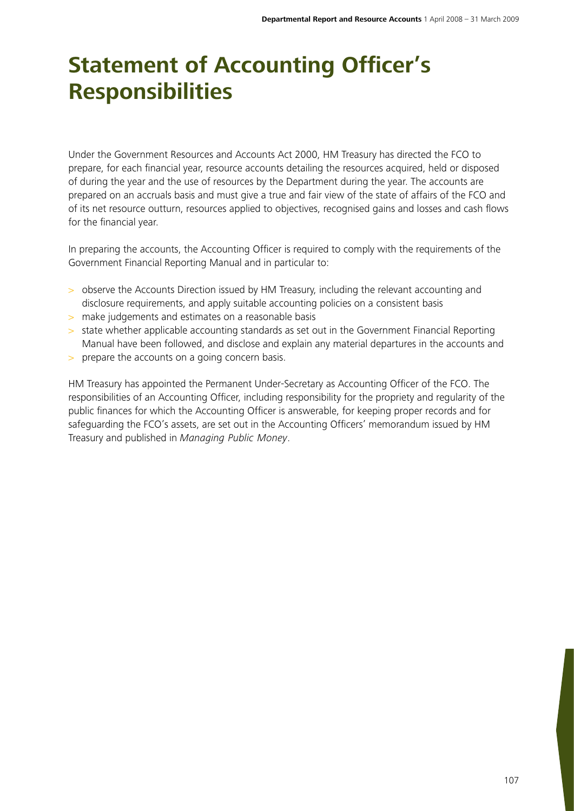# **Statement of Accounting Officer's Responsibilities**

Under the Government Resources and Accounts Act 2000, HM Treasury has directed the FCO to prepare, for each financial year, resource accounts detailing the resources acquired, held or disposed of during the year and the use of resources by the Department during the year. The accounts are prepared on an accruals basis and must give a true and fair view of the state of affairs of the FCO and of its net resource outturn, resources applied to objectives, recognised gains and losses and cash flows for the financial year.

In preparing the accounts, the Accounting Officer is required to comply with the requirements of the Government Financial Reporting Manual and in particular to:

- > observe the Accounts Direction issued by HM Treasury, including the relevant accounting and disclosure requirements, and apply suitable accounting policies on a consistent basis
- > make judgements and estimates on a reasonable basis
- > state whether applicable accounting standards as set out in the Government Financial Reporting Manual have been followed, and disclose and explain any material departures in the accounts and
- > prepare the accounts on a going concern basis.

HM Treasury has appointed the Permanent Under-Secretary as Accounting Officer of the FCO. The responsibilities of an Accounting Officer, including responsibility for the propriety and regularity of the public finances for which the Accounting Officer is answerable, for keeping proper records and for safeguarding the FCO's assets, are set out in the Accounting Officers' memorandum issued by HM Treasury and published in *Managing Public Money*.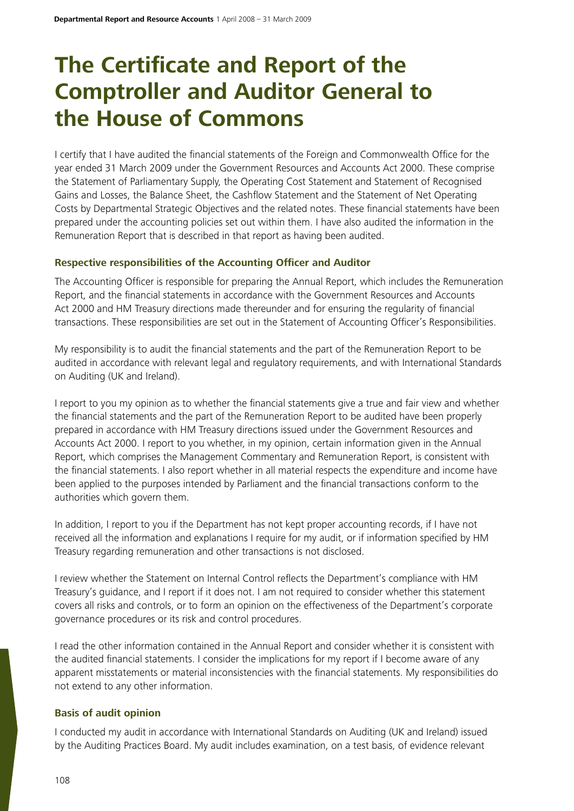# **The Certificate and Report of the Comptroller and Auditor General to the House of Commons**

I certify that I have audited the financial statements of the Foreign and Commonwealth Office for the year ended 31 March 2009 under the Government Resources and Accounts Act 2000. These comprise the Statement of Parliamentary Supply, the Operating Cost Statement and Statement of Recognised Gains and Losses, the Balance Sheet, the Cashflow Statement and the Statement of Net Operating Costs by Departmental Strategic Objectives and the related notes. These financial statements have been prepared under the accounting policies set out within them. I have also audited the information in the Remuneration Report that is described in that report as having been audited.

# **Respective responsibilities of the Accounting Officer and Auditor**

The Accounting Officer is responsible for preparing the Annual Report, which includes the Remuneration Report, and the financial statements in accordance with the Government Resources and Accounts Act 2000 and HM Treasury directions made thereunder and for ensuring the regularity of financial transactions. These responsibilities are set out in the Statement of Accounting Officer's Responsibilities.

My responsibility is to audit the financial statements and the part of the Remuneration Report to be audited in accordance with relevant legal and regulatory requirements, and with International Standards on Auditing (UK and Ireland).

I report to you my opinion as to whether the financial statements give a true and fair view and whether the financial statements and the part of the Remuneration Report to be audited have been properly prepared in accordance with HM Treasury directions issued under the Government Resources and Accounts Act 2000. I report to you whether, in my opinion, certain information given in the Annual Report, which comprises the Management Commentary and Remuneration Report, is consistent with the financial statements. I also report whether in all material respects the expenditure and income have been applied to the purposes intended by Parliament and the financial transactions conform to the authorities which govern them.

In addition, I report to you if the Department has not kept proper accounting records, if I have not received all the information and explanations I require for my audit, or if information specified by HM Treasury regarding remuneration and other transactions is not disclosed.

I review whether the Statement on Internal Control reflects the Department's compliance with HM Treasury's guidance, and I report if it does not. I am not required to consider whether this statement covers all risks and controls, or to form an opinion on the effectiveness of the Department's corporate governance procedures or its risk and control procedures.

I read the other information contained in the Annual Report and consider whether it is consistent with the audited financial statements. I consider the implications for my report if I become aware of any apparent misstatements or material inconsistencies with the financial statements. My responsibilities do not extend to any other information.

# **Basis of audit opinion**

I conducted my audit in accordance with International Standards on Auditing (UK and Ireland) issued by the Auditing Practices Board. My audit includes examination, on a test basis, of evidence relevant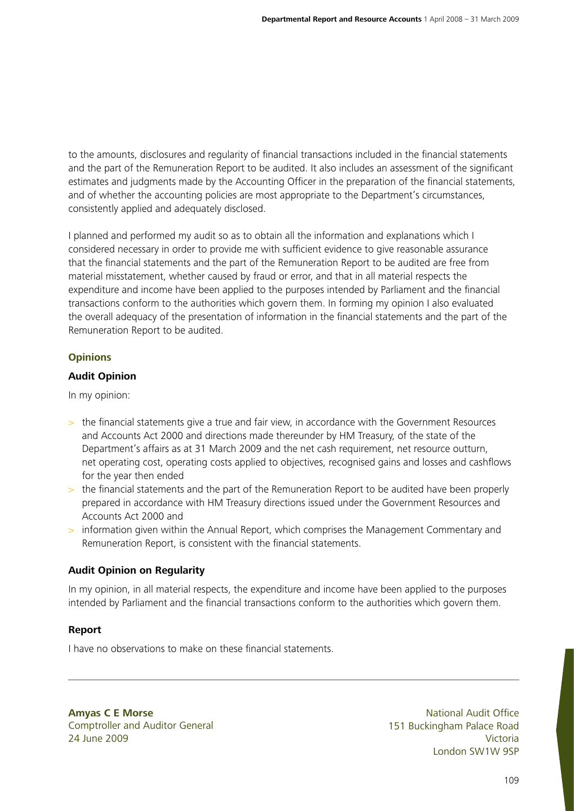to the amounts, disclosures and regularity of financial transactions included in the financial statements and the part of the Remuneration Report to be audited. It also includes an assessment of the significant estimates and judgments made by the Accounting Officer in the preparation of the financial statements, and of whether the accounting policies are most appropriate to the Department's circumstances, consistently applied and adequately disclosed.

I planned and performed my audit so as to obtain all the information and explanations which I considered necessary in order to provide me with sufficient evidence to give reasonable assurance that the financial statements and the part of the Remuneration Report to be audited are free from material misstatement, whether caused by fraud or error, and that in all material respects the expenditure and income have been applied to the purposes intended by Parliament and the financial transactions conform to the authorities which govern them. In forming my opinion I also evaluated the overall adequacy of the presentation of information in the financial statements and the part of the Remuneration Report to be audited.

# **Opinions**

# **Audit Opinion**

In my opinion:

- > the financial statements give a true and fair view, in accordance with the Government Resources and Accounts Act 2000 and directions made thereunder by HM Treasury, of the state of the Department's affairs as at 31 March 2009 and the net cash requirement, net resource outturn, net operating cost, operating costs applied to objectives, recognised gains and losses and cashflows for the year then ended
- > the financial statements and the part of the Remuneration Report to be audited have been properly prepared in accordance with HM Treasury directions issued under the Government Resources and Accounts Act 2000 and
- > information given within the Annual Report, which comprises the Management Commentary and Remuneration Report, is consistent with the financial statements.

# **Audit Opinion on Regularity**

In my opinion, in all material respects, the expenditure and income have been applied to the purposes intended by Parliament and the financial transactions conform to the authorities which govern them.

# **Report**

I have no observations to make on these financial statements.

**Amyas C E Morse** Comptroller and Auditor General 24 June 2009

National Audit Office 151 Buckingham Palace Road Victoria London SW1W 9SP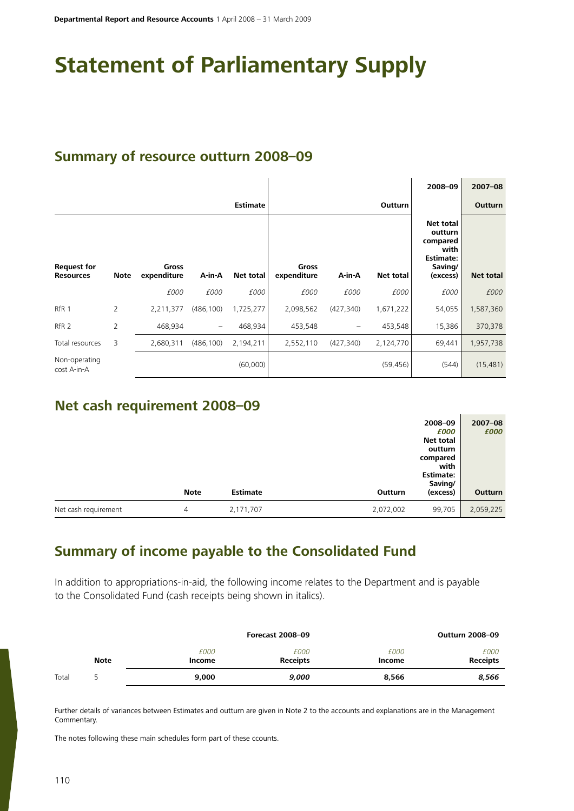# **Statement of Parliamentary Supply**

# **Summary of resource outturn 2008–09**

|                              |                |              |                   |                 |              |            |           | 2008-09                                                                        | $2007 - 08$      |
|------------------------------|----------------|--------------|-------------------|-----------------|--------------|------------|-----------|--------------------------------------------------------------------------------|------------------|
|                              |                |              |                   | <b>Estimate</b> |              |            | Outturn   |                                                                                | Outturn          |
| <b>Request for</b>           |                | <b>Gross</b> |                   |                 | <b>Gross</b> |            |           | <b>Net total</b><br>outturn<br>compared<br>with<br><b>Estimate:</b><br>Saving/ |                  |
| <b>Resources</b>             | <b>Note</b>    | expenditure  | A-in-A            | Net total       | expenditure  | A-in-A     | Net total | (excess)                                                                       | <b>Net total</b> |
|                              |                | £000         | £000              | £000            | £000         | £000       | £000      | £000                                                                           | £000             |
| RfR <sub>1</sub>             | $\overline{2}$ | 2,211,377    | (486, 100)        | 1,725,277       | 2,098,562    | (427, 340) | 1,671,222 | 54,055                                                                         | 1,587,360        |
| RfR <sub>2</sub>             | 2              | 468,934      | $\qquad \qquad -$ | 468,934         | 453,548      |            | 453,548   | 15,386                                                                         | 370,378          |
| Total resources              | 3              | 2,680,311    | (486, 100)        | 2,194,211       | 2,552,110    | (427, 340) | 2,124,770 | 69,441                                                                         | 1,957,738        |
| Non-operating<br>cost A-in-A |                |              |                   | (60,000)        |              |            | (59, 456) | (544)                                                                          | (15, 481)        |

# **Net cash requirement 2008–09**

|                      | <b>Note</b> | <b>Estimate</b> | Outturn   | 2008-09<br>£000<br><b>Net total</b><br>outturn<br>compared<br>with<br><b>Estimate:</b><br>Saving/<br>(excess) | $2007 - 08$<br>£000<br>Outturn |
|----------------------|-------------|-----------------|-----------|---------------------------------------------------------------------------------------------------------------|--------------------------------|
| Net cash requirement | 4           | 2,171,707       | 2,072,002 | 99,705                                                                                                        | 2,059,225                      |

# **Summary of income payable to the Consolidated Fund**

In addition to appropriations-in-aid, the following income relates to the Department and is payable to the Consolidated Fund (cash receipts being shown in italics).

|       |             |                | <b>Forecast 2008-09</b> |                | <b>Outturn 2008-09</b>  |
|-------|-------------|----------------|-------------------------|----------------|-------------------------|
|       | <b>Note</b> | £000<br>Income | £000<br><b>Receipts</b> | £000<br>Income | £000<br><b>Receipts</b> |
| Total |             | 9,000          | 9,000                   | 8,566          | 8,566                   |

Further details of variances between Estimates and outturn are given in Note 2 to the accounts and explanations are in the Management Commentary.

The notes following these main schedules form part of these ccounts.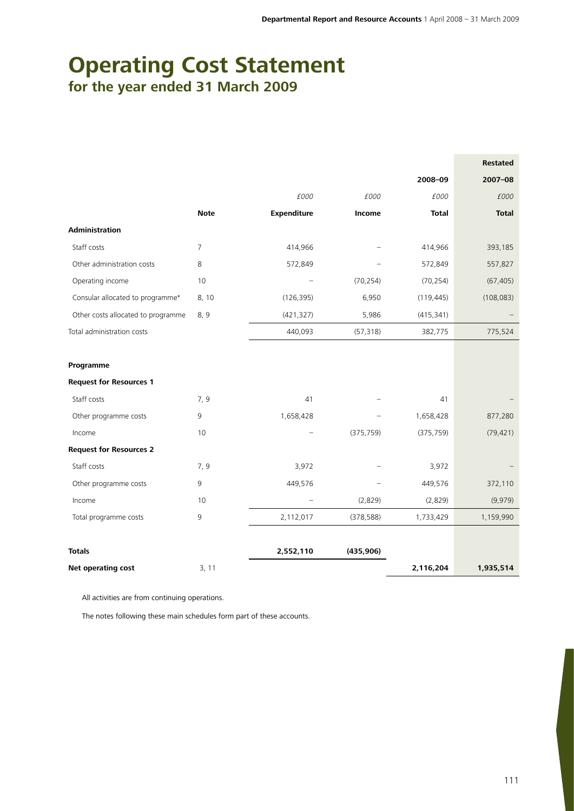# **Operating Cost Statement for the year ended 31 March 2009**

|                                    |                |                    |            |              | <b>Restated</b> |
|------------------------------------|----------------|--------------------|------------|--------------|-----------------|
|                                    |                |                    |            | 2008-09      | $2007 - 08$     |
|                                    |                | £000               | £000       | £000         | £000            |
|                                    | <b>Note</b>    | <b>Expenditure</b> | Income     | <b>Total</b> | <b>Total</b>    |
| <b>Administration</b>              |                |                    |            |              |                 |
| Staff costs                        | $\overline{7}$ | 414,966            |            | 414,966      | 393,185         |
| Other administration costs         | 8              | 572,849            |            | 572,849      | 557,827         |
| Operating income                   | $10$           |                    | (70, 254)  | (70, 254)    | (67, 405)       |
| Consular allocated to programme*   | 8, 10          | (126, 395)         | 6,950      | (119, 445)   | (108, 083)      |
| Other costs allocated to programme | 8, 9           | (421, 327)         | 5,986      | (415, 341)   |                 |
| Total administration costs         |                | 440,093            | (57, 318)  | 382,775      | 775,524         |
|                                    |                |                    |            |              |                 |
| Programme                          |                |                    |            |              |                 |
| <b>Request for Resources 1</b>     |                |                    |            |              |                 |
| Staff costs                        | 7,9            | 41                 |            | 41           |                 |
| Other programme costs              | $\overline{9}$ | 1,658,428          |            | 1,658,428    | 877,280         |
| Income                             | 10             |                    | (375, 759) | (375, 759)   | (79, 421)       |
| <b>Request for Resources 2</b>     |                |                    |            |              |                 |
| Staff costs                        | 7, 9           | 3,972              |            | 3,972        |                 |
| Other programme costs              | 9              | 449,576            |            | 449,576      | 372,110         |
| Income                             | 10             |                    | (2,829)    | (2,829)      | (9,979)         |
| Total programme costs              | 9              | 2,112,017          | (378, 588) | 1,733,429    | 1,159,990       |
|                                    |                |                    |            |              |                 |
| <b>Totals</b>                      |                | 2,552,110          | (435, 906) |              |                 |
| Net operating cost                 | 3, 11          |                    |            | 2,116,204    | 1,935,514       |

All activities are from continuing operations.

The notes following these main schedules form part of these accounts.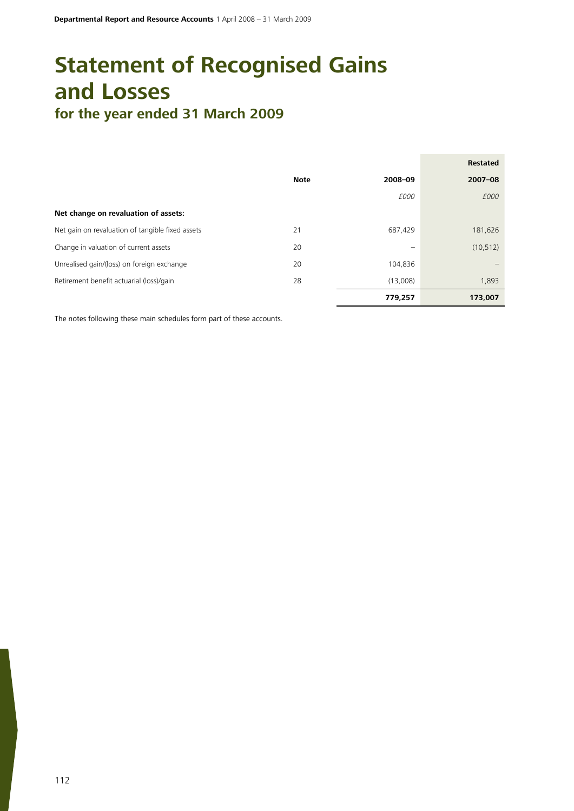# **Statement of Recognised Gains and Losses for the year ended 31 March 2009**

|                                                  |             |                          | <b>Restated</b> |
|--------------------------------------------------|-------------|--------------------------|-----------------|
|                                                  | <b>Note</b> | 2008-09                  | $2007 - 08$     |
|                                                  |             | £000                     | £000            |
| Net change on revaluation of assets:             |             |                          |                 |
| Net gain on revaluation of tangible fixed assets | 21          | 687,429                  | 181,626         |
| Change in valuation of current assets            | 20          | $\overline{\phantom{0}}$ | (10, 512)       |
| Unrealised gain/(loss) on foreign exchange       | 20          | 104,836                  |                 |
| Retirement benefit actuarial (loss)/gain         | 28          | (13,008)                 | 1,893           |
|                                                  |             | 779,257                  | 173,007         |

The notes following these main schedules form part of these accounts.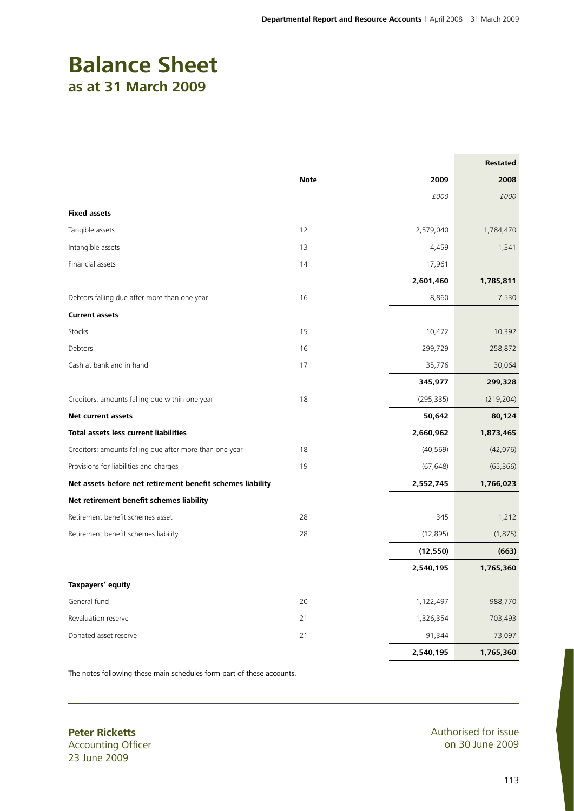# **Balance Sheet as at 31 March 2009**

|                                                            |             |            | <b>Restated</b> |
|------------------------------------------------------------|-------------|------------|-----------------|
|                                                            | <b>Note</b> | 2009       | 2008            |
|                                                            |             | £000       | £000            |
| <b>Fixed assets</b>                                        |             |            |                 |
| Tangible assets                                            | 12          | 2,579,040  | 1,784,470       |
| Intangible assets                                          | 13          | 4,459      | 1,341           |
| Financial assets                                           | 14          | 17,961     |                 |
|                                                            |             | 2,601,460  | 1,785,811       |
| Debtors falling due after more than one year               | 16          | 8,860      | 7,530           |
| <b>Current assets</b>                                      |             |            |                 |
| Stocks                                                     | 15          | 10,472     | 10,392          |
| Debtors                                                    | 16          | 299,729    | 258,872         |
| Cash at bank and in hand                                   | 17          | 35,776     | 30,064          |
|                                                            |             | 345,977    | 299,328         |
| Creditors: amounts falling due within one year             | 18          | (295, 335) | (219, 204)      |
| <b>Net current assets</b>                                  |             | 50,642     | 80,124          |
| Total assets less current liabilities                      |             | 2,660,962  | 1,873,465       |
| Creditors: amounts falling due after more than one year    | 18          | (40, 569)  | (42,076)        |
| Provisions for liabilities and charges                     | 19          | (67, 648)  | (65, 366)       |
| Net assets before net retirement benefit schemes liability |             | 2,552,745  | 1,766,023       |
| Net retirement benefit schemes liability                   |             |            |                 |
| Retirement benefit schemes asset                           | 28          | 345        | 1,212           |
| Retirement benefit schemes liability                       | 28          | (12, 895)  | (1, 875)        |
|                                                            |             | (12, 550)  | (663)           |
|                                                            |             | 2,540,195  | 1,765,360       |
| Taxpayers' equity                                          |             |            |                 |
| General fund                                               | 20          | 1,122,497  | 988,770         |
| Revaluation reserve                                        | 21          | 1,326,354  | 703,493         |
| Donated asset reserve                                      | 21          | 91,344     | 73,097          |
|                                                            |             | 2,540,195  | 1,765,360       |

The notes following these main schedules form part of these accounts.

**Peter Ricketts** Accounting Officer 23 June 2009

Authorised for issue on 30 June 2009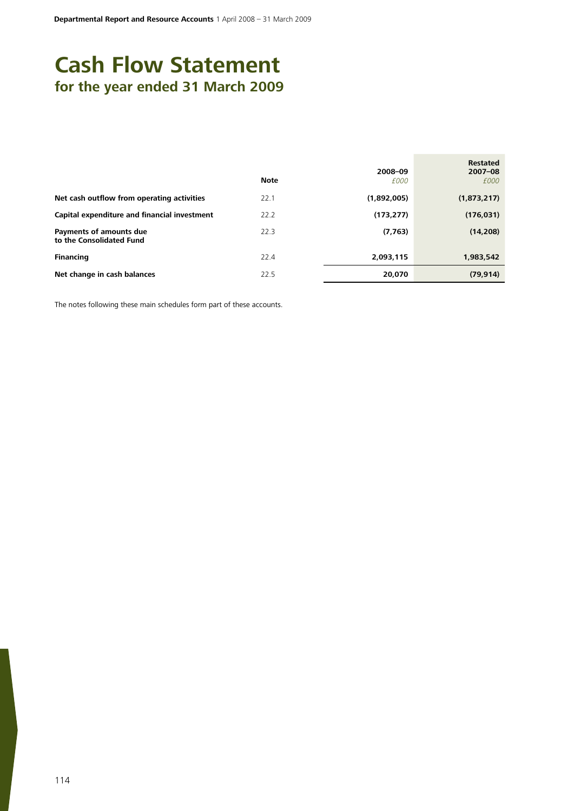# **Cash Flow Statement for the year ended 31 March 2009**

|                                                     | <b>Note</b> | 2008-09<br>£000 | <b>Restated</b><br>$2007 - 08$<br>£000 |
|-----------------------------------------------------|-------------|-----------------|----------------------------------------|
| Net cash outflow from operating activities          | 22.1        | (1,892,005)     | (1,873,217)                            |
| Capital expenditure and financial investment        | 22.2        | (173, 277)      | (176, 031)                             |
| Payments of amounts due<br>to the Consolidated Fund | 22.3        | (7, 763)        | (14, 208)                              |
| <b>Financing</b>                                    | 22.4        | 2,093,115       | 1,983,542                              |
| Net change in cash balances                         | 22.5        | 20,070          | (79, 914)                              |

The notes following these main schedules form part of these accounts.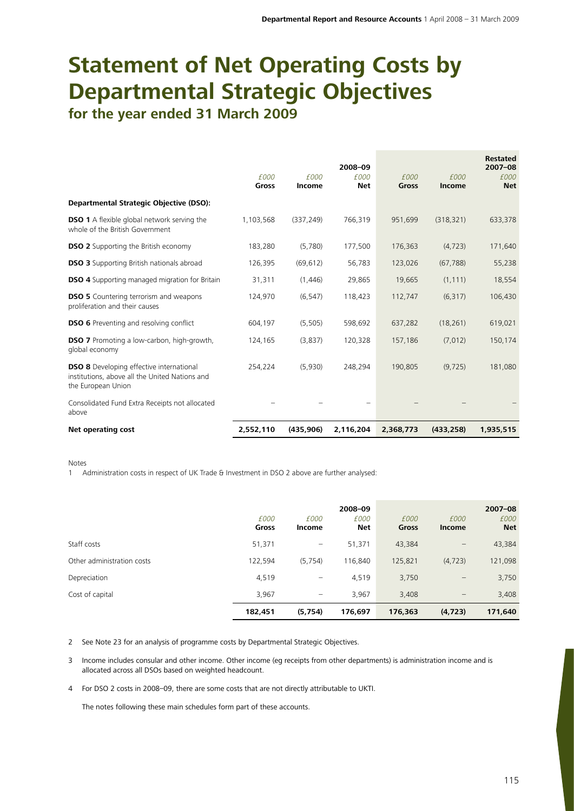# **Statement of Net Operating Costs by Departmental Strategic Objectives for the year ended 31 March 2009**

|                                                                                                                         |                      |                | 2008-09            |               |                       | <b>Restated</b><br>$2007 - 08$ |
|-------------------------------------------------------------------------------------------------------------------------|----------------------|----------------|--------------------|---------------|-----------------------|--------------------------------|
|                                                                                                                         | £000<br><b>Gross</b> | £000<br>Income | £000<br><b>Net</b> | £000<br>Gross | £000<br><b>Income</b> | £000<br><b>Net</b>             |
| <b>Departmental Strategic Objective (DSO):</b>                                                                          |                      |                |                    |               |                       |                                |
| <b>DSO 1</b> A flexible global network serving the<br>whole of the British Government                                   | 1,103,568            | (337, 249)     | 766,319            | 951,699       | (318, 321)            | 633,378                        |
| <b>DSO 2</b> Supporting the British economy                                                                             | 183,280              | (5,780)        | 177,500            | 176,363       | (4, 723)              | 171,640                        |
| <b>DSO 3</b> Supporting British nationals abroad                                                                        | 126,395              | (69, 612)      | 56,783             | 123,026       | (67, 788)             | 55,238                         |
| <b>DSO 4</b> Supporting managed migration for Britain                                                                   | 31,311               | (1,446)        | 29,865             | 19,665        | (1, 111)              | 18,554                         |
| <b>DSO 5</b> Countering terrorism and weapons<br>proliferation and their causes                                         | 124,970              | (6, 547)       | 118,423            | 112,747       | (6, 317)              | 106,430                        |
| <b>DSO 6</b> Preventing and resolving conflict                                                                          | 604,197              | (5, 505)       | 598,692            | 637,282       | (18, 261)             | 619,021                        |
| <b>DSO 7</b> Promoting a low-carbon, high-growth,<br>global economy                                                     | 124,165              | (3,837)        | 120,328            | 157,186       | (7,012)               | 150,174                        |
| <b>DSO 8</b> Developing effective international<br>institutions, above all the United Nations and<br>the European Union | 254,224              | (5,930)        | 248,294            | 190,805       | (9, 725)              | 181,080                        |
| Consolidated Fund Extra Receipts not allocated<br>above                                                                 |                      |                |                    |               |                       |                                |
| Net operating cost                                                                                                      | 2,552,110            | (435, 906)     | 2,116,204          | 2,368,773     | (433, 258)            | 1,935,515                      |

Notes

1 Administration costs in respect of UK Trade & Investment in DSO 2 above are further analysed:

|                            | £000<br>Gross | £000<br>Income    | 2008-09<br>£000<br>Net | £000<br><b>Gross</b> | £000<br><b>Income</b> | $2007 - 08$<br>£000<br><b>Net</b> |
|----------------------------|---------------|-------------------|------------------------|----------------------|-----------------------|-----------------------------------|
| Staff costs                | 51,371        | $\qquad \qquad -$ | 51,371                 | 43,384               | -                     | 43,384                            |
| Other administration costs | 122,594       | (5, 754)          | 116,840                | 125,821              | (4, 723)              | 121,098                           |
| Depreciation               | 4,519         | -                 | 4,519                  | 3,750                | -                     | 3,750                             |
| Cost of capital            | 3,967         |                   | 3,967                  | 3,408                | $\qquad \qquad -$     | 3,408                             |
|                            | 182,451       | (5,754)           | 176,697                | 176,363              | (4, 723)              | 171,640                           |

2 See Note 23 for an analysis of programme costs by Departmental Strategic Objectives.

3 Income includes consular and other income. Other income (eg receipts from other departments) is administration income and is allocated across all DSOs based on weighted headcount.

4 For DSO 2 costs in 2008–09, there are some costs that are not directly attributable to UKTI.

The notes following these main schedules form part of these accounts.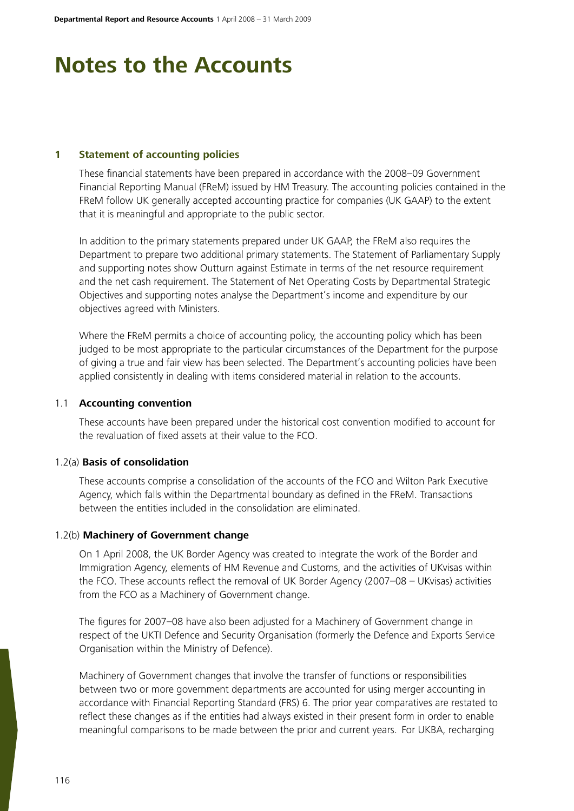# **Notes to the Accounts**

# **1 Statement of accounting policies**

These financial statements have been prepared in accordance with the 2008–09 Government Financial Reporting Manual (FReM) issued by HM Treasury. The accounting policies contained in the FReM follow UK generally accepted accounting practice for companies (UK GAAP) to the extent that it is meaningful and appropriate to the public sector.

In addition to the primary statements prepared under UK GAAP, the FReM also requires the Department to prepare two additional primary statements. The Statement of Parliamentary Supply and supporting notes show Outturn against Estimate in terms of the net resource requirement and the net cash requirement. The Statement of Net Operating Costs by Departmental Strategic Objectives and supporting notes analyse the Department's income and expenditure by our objectives agreed with Ministers.

Where the FReM permits a choice of accounting policy, the accounting policy which has been judged to be most appropriate to the particular circumstances of the Department for the purpose of giving a true and fair view has been selected. The Department's accounting policies have been applied consistently in dealing with items considered material in relation to the accounts.

#### 1.1 **Accounting convention**

These accounts have been prepared under the historical cost convention modified to account for the revaluation of fixed assets at their value to the FCO.

#### 1.2(a) **Basis of consolidation**

These accounts comprise a consolidation of the accounts of the FCO and Wilton Park Executive Agency, which falls within the Departmental boundary as defined in the FReM. Transactions between the entities included in the consolidation are eliminated.

# 1.2(b) **Machinery of Government change**

On 1 April 2008, the UK Border Agency was created to integrate the work of the Border and Immigration Agency, elements of HM Revenue and Customs, and the activities of UKvisas within the FCO. These accounts reflect the removal of UK Border Agency (2007–08 – UKvisas) activities from the FCO as a Machinery of Government change.

The figures for 2007–08 have also been adjusted for a Machinery of Government change in respect of the UKTI Defence and Security Organisation (formerly the Defence and Exports Service Organisation within the Ministry of Defence).

Machinery of Government changes that involve the transfer of functions or responsibilities between two or more government departments are accounted for using merger accounting in accordance with Financial Reporting Standard (FRS) 6. The prior year comparatives are restated to reflect these changes as if the entities had always existed in their present form in order to enable meaningful comparisons to be made between the prior and current years. For UKBA, recharging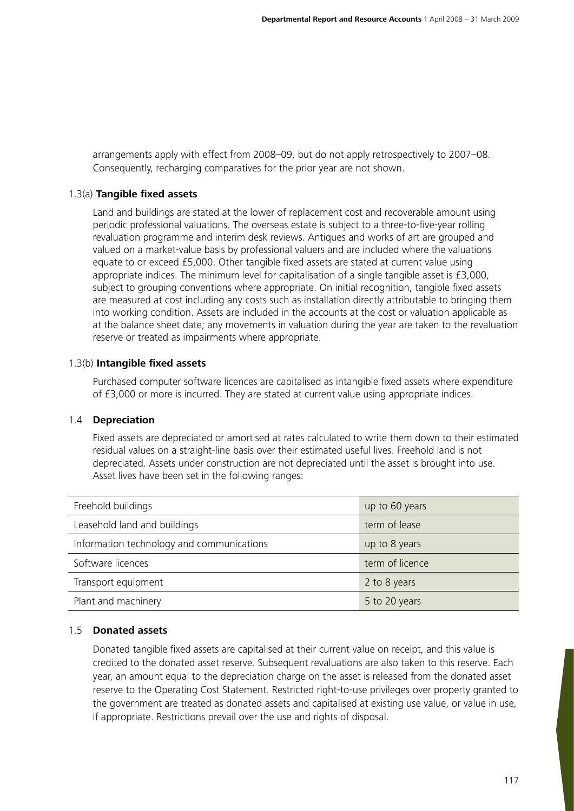arrangements apply with effect from 2008–09, but do not apply retrospectively to 2007–08. Consequently, recharging comparatives for the prior year are not shown.

# 1.3(a) **Tangible fixed assets**

Land and buildings are stated at the lower of replacement cost and recoverable amount using periodic professional valuations. The overseas estate is subject to a three-to-five-year rolling revaluation programme and interim desk reviews. Antiques and works of art are grouped and valued on a market-value basis by professional valuers and are included where the valuations equate to or exceed £5,000. Other tangible fixed assets are stated at current value using appropriate indices. The minimum level for capitalisation of a single tangible asset is £3,000, subject to grouping conventions where appropriate. On initial recognition, tangible fixed assets are measured at cost including any costs such as installation directly attributable to bringing them into working condition. Assets are included in the accounts at the cost or valuation applicable as at the balance sheet date; any movements in valuation during the year are taken to the revaluation reserve or treated as impairments where appropriate.

#### 1.3(b) **Intangible fixed assets**

Purchased computer software licences are capitalised as intangible fixed assets where expenditure of £3,000 or more is incurred. They are stated at current value using appropriate indices.

# 1.4 **Depreciation**

Fixed assets are depreciated or amortised at rates calculated to write them down to their estimated residual values on a straight-line basis over their estimated useful lives. Freehold land is not depreciated. Assets under construction are not depreciated until the asset is brought into use. Asset lives have been set in the following ranges:

| Freehold buildings                        | up to 60 years  |
|-------------------------------------------|-----------------|
| Leasehold land and buildings              | term of lease   |
| Information technology and communications | up to 8 years   |
| Software licences                         | term of licence |
| Transport equipment                       | 2 to 8 years    |
| Plant and machinery                       | 5 to 20 years   |

# 1.5 **Donated assets**

Donated tangible fixed assets are capitalised at their current value on receipt, and this value is credited to the donated asset reserve. Subsequent revaluations are also taken to this reserve. Each year, an amount equal to the depreciation charge on the asset is released from the donated asset reserve to the Operating Cost Statement. Restricted right-to-use privileges over property granted to the government are treated as donated assets and capitalised at existing use value, or value in use, if appropriate. Restrictions prevail over the use and rights of disposal.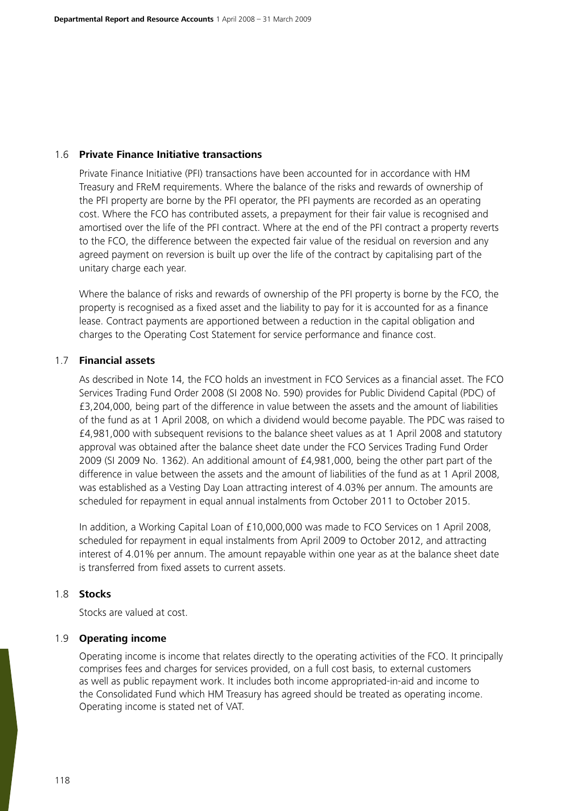### 1.6 **Private Finance Initiative transactions**

Private Finance Initiative (PFI) transactions have been accounted for in accordance with HM Treasury and FReM requirements. Where the balance of the risks and rewards of ownership of the PFI property are borne by the PFI operator, the PFI payments are recorded as an operating cost. Where the FCO has contributed assets, a prepayment for their fair value is recognised and amortised over the life of the PFI contract. Where at the end of the PFI contract a property reverts to the FCO, the difference between the expected fair value of the residual on reversion and any agreed payment on reversion is built up over the life of the contract by capitalising part of the unitary charge each year.

Where the balance of risks and rewards of ownership of the PFI property is borne by the FCO, the property is recognised as a fixed asset and the liability to pay for it is accounted for as a finance lease. Contract payments are apportioned between a reduction in the capital obligation and charges to the Operating Cost Statement for service performance and finance cost.

### 1.7 **Financial assets**

As described in Note 14, the FCO holds an investment in FCO Services as a financial asset. The FCO Services Trading Fund Order 2008 (SI 2008 No. 590) provides for Public Dividend Capital (PDC) of £3,204,000, being part of the difference in value between the assets and the amount of liabilities of the fund as at 1 April 2008, on which a dividend would become payable. The PDC was raised to £4,981,000 with subsequent revisions to the balance sheet values as at 1 April 2008 and statutory approval was obtained after the balance sheet date under the FCO Services Trading Fund Order 2009 (SI 2009 No. 1362). An additional amount of £4,981,000, being the other part part of the difference in value between the assets and the amount of liabilities of the fund as at 1 April 2008, was established as a Vesting Day Loan attracting interest of 4.03% per annum. The amounts are scheduled for repayment in equal annual instalments from October 2011 to October 2015.

In addition, a Working Capital Loan of £10,000,000 was made to FCO Services on 1 April 2008, scheduled for repayment in equal instalments from April 2009 to October 2012, and attracting interest of 4.01% per annum. The amount repayable within one year as at the balance sheet date is transferred from fixed assets to current assets.

# 1.8 **Stocks**

Stocks are valued at cost.

### 1.9 **Operating income**

Operating income is income that relates directly to the operating activities of the FCO. It principally comprises fees and charges for services provided, on a full cost basis, to external customers as well as public repayment work. It includes both income appropriated-in-aid and income to the Consolidated Fund which HM Treasury has agreed should be treated as operating income. Operating income is stated net of VAT.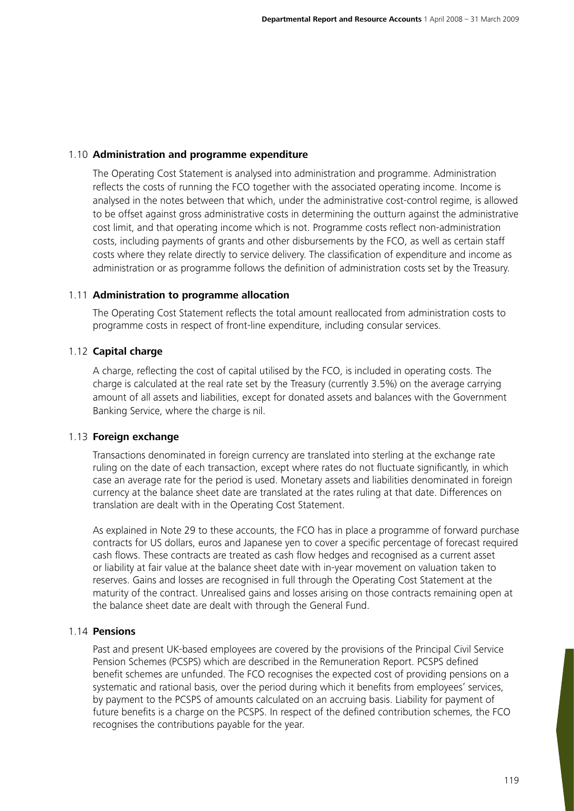### 1.10 **Administration and programme expenditure**

The Operating Cost Statement is analysed into administration and programme. Administration reflects the costs of running the FCO together with the associated operating income. Income is analysed in the notes between that which, under the administrative cost-control regime, is allowed to be offset against gross administrative costs in determining the outturn against the administrative cost limit, and that operating income which is not. Programme costs reflect non-administration costs, including payments of grants and other disbursements by the FCO, as well as certain staff costs where they relate directly to service delivery. The classification of expenditure and income as administration or as programme follows the definition of administration costs set by the Treasury.

### 1.11 **Administration to programme allocation**

The Operating Cost Statement reflects the total amount reallocated from administration costs to programme costs in respect of front-line expenditure, including consular services.

### 1.12 **Capital charge**

A charge, reflecting the cost of capital utilised by the FCO, is included in operating costs. The charge is calculated at the real rate set by the Treasury (currently 3.5%) on the average carrying amount of all assets and liabilities, except for donated assets and balances with the Government Banking Service, where the charge is nil.

### 1.13 **Foreign exchange**

Transactions denominated in foreign currency are translated into sterling at the exchange rate ruling on the date of each transaction, except where rates do not fluctuate significantly, in which case an average rate for the period is used. Monetary assets and liabilities denominated in foreign currency at the balance sheet date are translated at the rates ruling at that date. Differences on translation are dealt with in the Operating Cost Statement.

As explained in Note 29 to these accounts, the FCO has in place a programme of forward purchase contracts for US dollars, euros and Japanese yen to cover a specific percentage of forecast required cash flows. These contracts are treated as cash flow hedges and recognised as a current asset or liability at fair value at the balance sheet date with in-year movement on valuation taken to reserves. Gains and losses are recognised in full through the Operating Cost Statement at the maturity of the contract. Unrealised gains and losses arising on those contracts remaining open at the balance sheet date are dealt with through the General Fund.

### 1.14 **Pensions**

Past and present UK-based employees are covered by the provisions of the Principal Civil Service Pension Schemes (PCSPS) which are described in the Remuneration Report. PCSPS defined benefit schemes are unfunded. The FCO recognises the expected cost of providing pensions on a systematic and rational basis, over the period during which it benefits from employees' services, by payment to the PCSPS of amounts calculated on an accruing basis. Liability for payment of future benefits is a charge on the PCSPS. In respect of the defined contribution schemes, the FCO recognises the contributions payable for the year.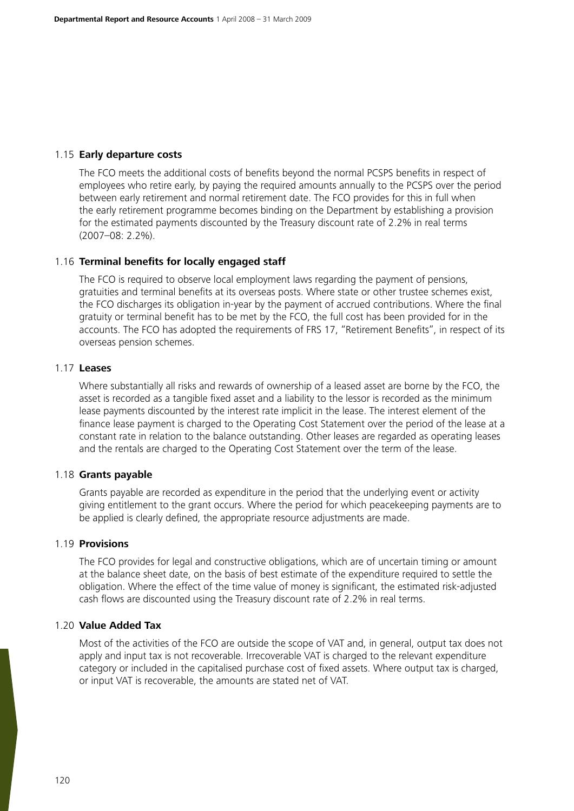### 1.15 **Early departure costs**

The FCO meets the additional costs of benefits beyond the normal PCSPS benefits in respect of employees who retire early, by paying the required amounts annually to the PCSPS over the period between early retirement and normal retirement date. The FCO provides for this in full when the early retirement programme becomes binding on the Department by establishing a provision for the estimated payments discounted by the Treasury discount rate of 2.2% in real terms (2007–08: 2.2%).

### 1.16 **Terminal benefits for locally engaged staff**

The FCO is required to observe local employment laws regarding the payment of pensions, gratuities and terminal benefits at its overseas posts. Where state or other trustee schemes exist, the FCO discharges its obligation in-year by the payment of accrued contributions. Where the final gratuity or terminal benefit has to be met by the FCO, the full cost has been provided for in the accounts. The FCO has adopted the requirements of FRS 17, "Retirement Benefits", in respect of its overseas pension schemes.

#### 1.17 **Leases**

Where substantially all risks and rewards of ownership of a leased asset are borne by the FCO, the asset is recorded as a tangible fixed asset and a liability to the lessor is recorded as the minimum lease payments discounted by the interest rate implicit in the lease. The interest element of the finance lease payment is charged to the Operating Cost Statement over the period of the lease at a constant rate in relation to the balance outstanding. Other leases are regarded as operating leases and the rentals are charged to the Operating Cost Statement over the term of the lease.

#### 1.18 **Grants payable**

Grants payable are recorded as expenditure in the period that the underlying event or activity giving entitlement to the grant occurs. Where the period for which peacekeeping payments are to be applied is clearly defined, the appropriate resource adjustments are made.

#### 1.19 **Provisions**

The FCO provides for legal and constructive obligations, which are of uncertain timing or amount at the balance sheet date, on the basis of best estimate of the expenditure required to settle the obligation. Where the effect of the time value of money is significant, the estimated risk-adjusted cash flows are discounted using the Treasury discount rate of 2.2% in real terms.

#### 1.20 **Value Added Tax**

Most of the activities of the FCO are outside the scope of VAT and, in general, output tax does not apply and input tax is not recoverable. Irrecoverable VAT is charged to the relevant expenditure category or included in the capitalised purchase cost of fixed assets. Where output tax is charged, or input VAT is recoverable, the amounts are stated net of VAT.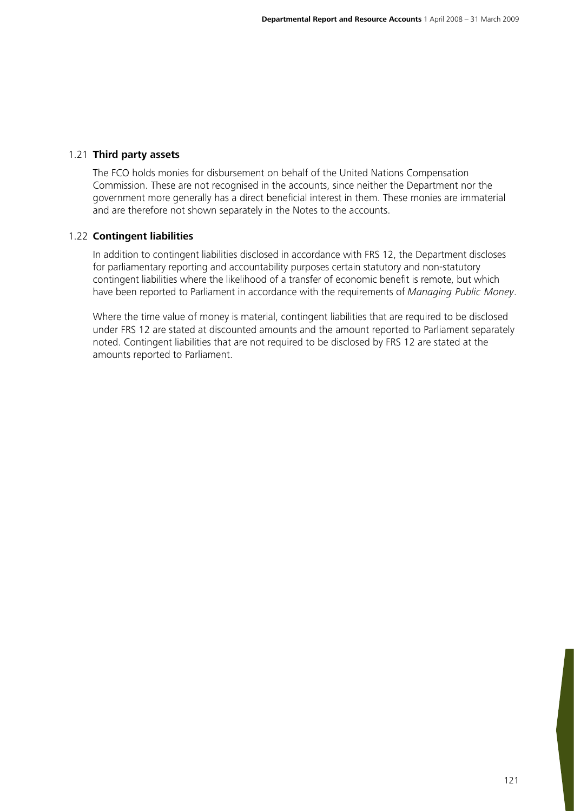### 1.21 **Third party assets**

The FCO holds monies for disbursement on behalf of the United Nations Compensation Commission. These are not recognised in the accounts, since neither the Department nor the government more generally has a direct beneficial interest in them. These monies are immaterial and are therefore not shown separately in the Notes to the accounts.

### 1.22 **Contingent liabilities**

In addition to contingent liabilities disclosed in accordance with FRS 12, the Department discloses for parliamentary reporting and accountability purposes certain statutory and non-statutory contingent liabilities where the likelihood of a transfer of economic benefit is remote, but which have been reported to Parliament in accordance with the requirements of *Managing Public Money*.

Where the time value of money is material, contingent liabilities that are required to be disclosed under FRS 12 are stated at discounted amounts and the amount reported to Parliament separately noted. Contingent liabilities that are not required to be disclosed by FRS 12 are stated at the amounts reported to Parliament.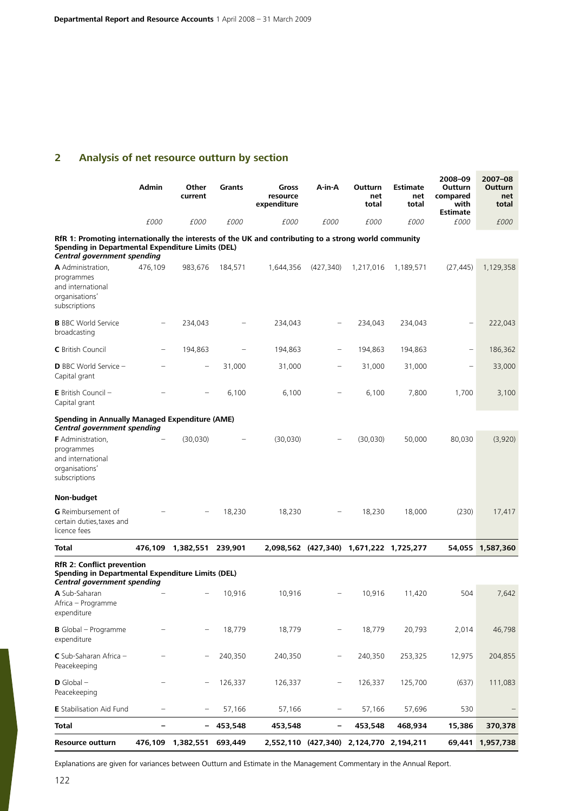# **2 Analysis of net resource outturn by section**

|                                                                                                                                                                                           | Admin                    | Other<br>current          | Grants      | Gross<br>resource<br>expenditure | A-in-A                   | Outturn<br>net<br>total                 | Estimate<br>net<br>total | 2008-09<br>Outturn<br>compared<br>with<br><b>Estimate</b> | 2007-08<br>Outturn<br>net<br>total |
|-------------------------------------------------------------------------------------------------------------------------------------------------------------------------------------------|--------------------------|---------------------------|-------------|----------------------------------|--------------------------|-----------------------------------------|--------------------------|-----------------------------------------------------------|------------------------------------|
|                                                                                                                                                                                           | <i>£000</i>              | £000                      | <i>£000</i> | £000                             | £000                     | £000                                    | £000                     | £000                                                      | £000                               |
| RfR 1: Promoting internationally the interests of the UK and contributing to a strong world community<br>Spending in Departmental Expenditure Limits (DEL)<br>Central government spending |                          |                           |             |                                  |                          |                                         |                          |                                                           |                                    |
| A Administration,<br>programmes<br>and international<br>organisations'<br>subscriptions                                                                                                   | 476,109                  | 983,676                   | 184,571     | 1,644,356                        | (427, 340)               | 1,217,016                               | 1,189,571                | (27, 445)                                                 | 1,129,358                          |
| <b>B</b> BBC World Service<br>broadcasting                                                                                                                                                |                          | 234,043                   |             | 234,043                          |                          | 234,043                                 | 234,043                  |                                                           | 222,043                            |
| <b>C</b> British Council                                                                                                                                                                  | $\overline{\phantom{0}}$ | 194,863                   |             | 194,863                          | -                        | 194,863                                 | 194,863                  |                                                           | 186,362                            |
| <b>D</b> BBC World Service -<br>Capital grant                                                                                                                                             |                          | $\overline{\phantom{0}}$  | 31,000      | 31,000                           |                          | 31,000                                  | 31,000                   |                                                           | 33,000                             |
| <b>E</b> British Council $-$<br>Capital grant                                                                                                                                             |                          |                           | 6,100       | 6,100                            |                          | 6,100                                   | 7,800                    | 1,700                                                     | 3,100                              |
| <b>Spending in Annually Managed Expenditure (AME)</b><br>Central government spending                                                                                                      |                          |                           |             |                                  |                          |                                         |                          |                                                           |                                    |
| <b>F</b> Administration,<br>programmes<br>and international<br>organisations'<br>subscriptions                                                                                            |                          | (30,030)                  |             | (30,030)                         |                          | (30,030)                                | 50,000                   | 80,030                                                    | (3,920)                            |
| Non-budget                                                                                                                                                                                |                          |                           |             |                                  |                          |                                         |                          |                                                           |                                    |
| <b>G</b> Reimbursement of<br>certain duties, taxes and<br>licence fees                                                                                                                    |                          |                           | 18,230      | 18,230                           |                          | 18,230                                  | 18,000                   | (230)                                                     | 17,417                             |
| Total                                                                                                                                                                                     | 476,109                  | 1,382,551                 | 239,901     |                                  |                          | 2,098,562 (427,340) 1,671,222 1,725,277 |                          | 54,055                                                    | 1,587,360                          |
| <b>RfR 2: Conflict prevention</b><br>Spending in Departmental Expenditure Limits (DEL)<br>Central government spending                                                                     |                          |                           |             |                                  |                          |                                         |                          |                                                           |                                    |
| A Sub-Saharan<br>Africa - Programme<br>expenditure                                                                                                                                        |                          |                           | 10,916      | 10,916                           |                          | 10,916                                  | 11,420                   | 504                                                       | 7,642                              |
| <b>B</b> Global - Programme<br>expenditure                                                                                                                                                |                          |                           | 18,779      | 18,779                           | -                        | 18,779                                  | 20,793                   | 2,014                                                     | 46,798                             |
| C Sub-Saharan Africa -<br>Peacekeeping                                                                                                                                                    |                          |                           | 240,350     | 240,350                          |                          | 240,350                                 | 253,325                  | 12,975                                                    | 204,855                            |
| $D$ Global $-$<br>Peacekeeping                                                                                                                                                            |                          | $\qquad \qquad$           | 126,337     | 126,337                          |                          | 126,337                                 | 125,700                  | (637)                                                     | 111,083                            |
| <b>E</b> Stabilisation Aid Fund                                                                                                                                                           | $\qquad \qquad$          | $\qquad \qquad -$         | 57,166      | 57,166                           | $\overline{\phantom{m}}$ | 57,166                                  | 57,696                   | 530                                                       |                                    |
| Total                                                                                                                                                                                     | $\overline{\phantom{0}}$ | -                         | 453,548     | 453,548                          | -                        | 453,548                                 | 468,934                  | 15,386                                                    | 370,378                            |
| Resource outturn                                                                                                                                                                          |                          | 476,109 1,382,551 693,449 |             |                                  |                          | 2,552,110 (427,340) 2,124,770 2,194,211 |                          | 69,441                                                    | 1,957,738                          |

Explanations are given for variances between Outturn and Estimate in the Management Commentary in the Annual Report.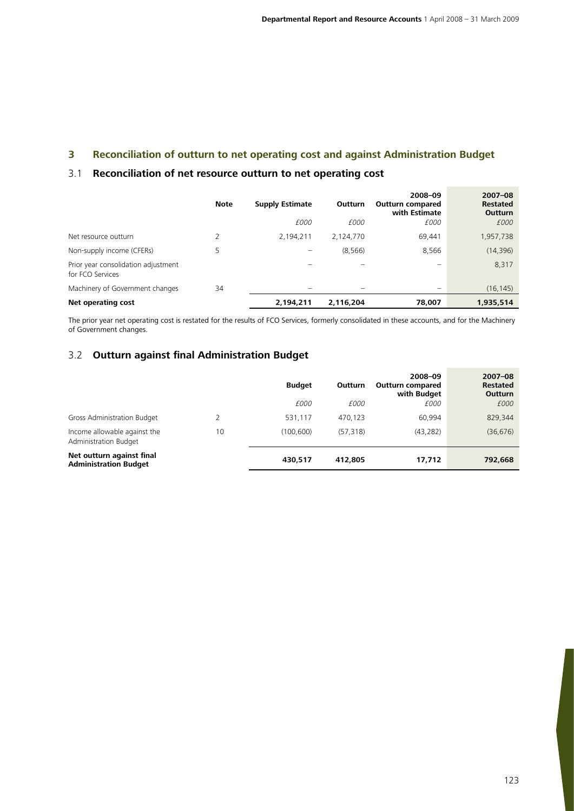# **3 Reconciliation of outturn to net operating cost and against Administration Budget**

### 3.1 **Reconciliation of net resource outturn to net operating cost**

|                                                         | <b>Note</b> | <b>Supply Estimate</b><br>£000 | Outturn<br>£000 | 2008-09<br><b>Outturn compared</b><br>with Estimate<br>£000 | $2007 - 08$<br><b>Restated</b><br><b>Outturn</b><br>£000 |
|---------------------------------------------------------|-------------|--------------------------------|-----------------|-------------------------------------------------------------|----------------------------------------------------------|
| Net resource outturn                                    |             | 2,194,211                      | 2,124,770       | 69,441                                                      | 1,957,738                                                |
| Non-supply income (CFERs)                               | 5           | -                              | (8, 566)        | 8,566                                                       | (14, 396)                                                |
| Prior year consolidation adjustment<br>for FCO Services |             | $\overline{\phantom{0}}$       |                 | —                                                           | 8,317                                                    |
| Machinery of Government changes                         | 34          |                                |                 |                                                             | (16, 145)                                                |
| Net operating cost                                      |             | 2,194,211                      | 2,116,204       | 78,007                                                      | 1,935,514                                                |

The prior year net operating cost is restated for the results of FCO Services, formerly consolidated in these accounts, and for the Machinery of Government changes.

## 3.2 **Outturn against final Administration Budget**

|                                                           |    | <b>Budget</b> | Outturn   | 2008-09<br><b>Outturn compared</b><br>with Budget | $2007 - 08$<br><b>Restated</b><br><b>Outturn</b> |
|-----------------------------------------------------------|----|---------------|-----------|---------------------------------------------------|--------------------------------------------------|
|                                                           |    | £000          | £000      | £000                                              | £000                                             |
| Gross Administration Budget                               |    | 531,117       | 470.123   | 60.994                                            | 829,344                                          |
| Income allowable against the<br>Administration Budget     | 10 | (100, 600)    | (57, 318) | (43, 282)                                         | (36, 676)                                        |
| Net outturn against final<br><b>Administration Budget</b> |    | 430,517       | 412,805   | 17,712                                            | 792,668                                          |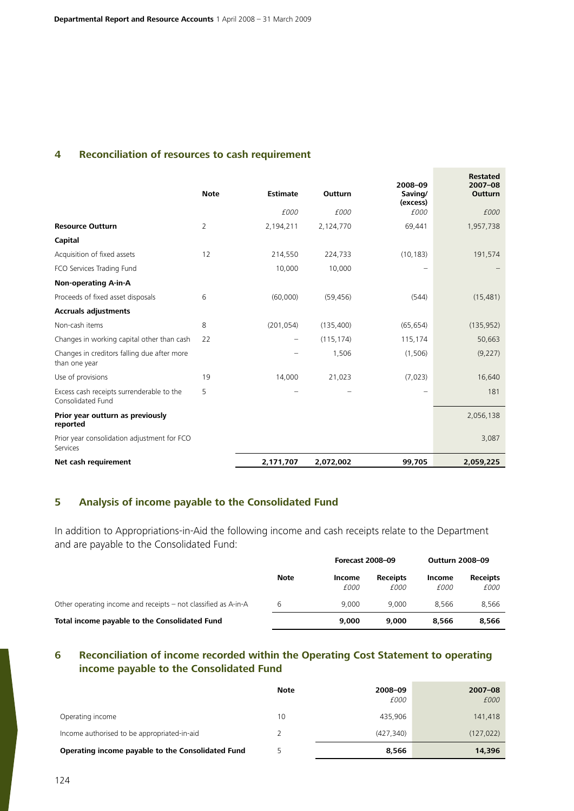## **4 Reconciliation of resources to cash requirement**

|                                                                | <b>Note</b> | Estimate   | Outturn    | 2008-09<br>Saving/<br>(excess) | <b>Restated</b><br>$2007 - 08$<br><b>Outturn</b> |
|----------------------------------------------------------------|-------------|------------|------------|--------------------------------|--------------------------------------------------|
|                                                                |             | £000       | £000       | £000                           | £000                                             |
| <b>Resource Outturn</b>                                        | 2           | 2,194,211  | 2,124,770  | 69,441                         | 1,957,738                                        |
| Capital                                                        |             |            |            |                                |                                                  |
| Acquisition of fixed assets                                    | 12          | 214,550    | 224,733    | (10, 183)                      | 191,574                                          |
| FCO Services Trading Fund                                      |             | 10,000     | 10,000     |                                |                                                  |
| <b>Non-operating A-in-A</b>                                    |             |            |            |                                |                                                  |
| Proceeds of fixed asset disposals                              | 6           | (60,000)   | (59, 456)  | (544)                          | (15, 481)                                        |
| <b>Accruals adjustments</b>                                    |             |            |            |                                |                                                  |
| Non-cash items                                                 | 8           | (201, 054) | (135, 400) | (65, 654)                      | (135, 952)                                       |
| Changes in working capital other than cash                     | 22          |            | (115, 174) | 115,174                        | 50,663                                           |
| Changes in creditors falling due after more<br>than one year   |             |            | 1,506      | (1,506)                        | (9, 227)                                         |
| Use of provisions                                              | 19          | 14,000     | 21,023     | (7,023)                        | 16,640                                           |
| Excess cash receipts surrenderable to the<br>Consolidated Fund | 5           |            |            |                                | 181                                              |
| Prior year outturn as previously<br>reported                   |             |            |            |                                | 2,056,138                                        |
| Prior year consolidation adjustment for FCO<br>Services        |             |            |            |                                | 3,087                                            |
| Net cash requirement                                           |             | 2,171,707  | 2,072,002  | 99,705                         | 2,059,225                                        |

## **5 Analysis of income payable to the Consolidated Fund**

In addition to Appropriations-in-Aid the following income and cash receipts relate to the Department and are payable to the Consolidated Fund:

|                                                                |             | <b>Forecast 2008-09</b> |                         | <b>Outturn 2008-09</b> |                         |
|----------------------------------------------------------------|-------------|-------------------------|-------------------------|------------------------|-------------------------|
|                                                                | <b>Note</b> | Income<br>£000          | <b>Receipts</b><br>£000 | Income<br>£000         | <b>Receipts</b><br>£000 |
| Other operating income and receipts – not classified as A-in-A | b           | 9.000                   | 9.000                   | 8.566                  | 8.566                   |
| Total income payable to the Consolidated Fund                  |             | 9,000                   | 9.000                   | 8,566                  | 8.566                   |

# **6 Reconciliation of income recorded within the Operating Cost Statement to operating income payable to the Consolidated Fund**

|                                                   | <b>Note</b> | 2008-09<br>£000 | $2007 - 08$<br>£000 |
|---------------------------------------------------|-------------|-----------------|---------------------|
| Operating income                                  | 10          | 435,906         | 141,418             |
| Income authorised to be appropriated-in-aid       |             | (427.340)       | (127, 022)          |
| Operating income payable to the Consolidated Fund |             | 8.566           | 14,396              |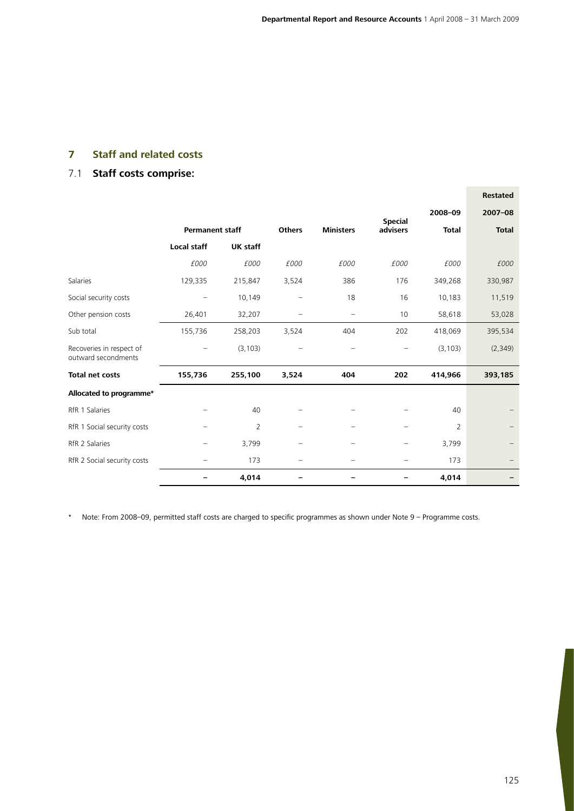# **7 Staff and related costs**

# 7.1 **Staff costs comprise:**

|                                                 |                        |                 |                          |                          |                |                | <b>Restated</b> |
|-------------------------------------------------|------------------------|-----------------|--------------------------|--------------------------|----------------|----------------|-----------------|
|                                                 |                        |                 |                          |                          | <b>Special</b> | 2008-09        | $2007 - 08$     |
|                                                 | <b>Permanent staff</b> |                 | <b>Others</b>            | <b>Ministers</b>         | advisers       | <b>Total</b>   | <b>Total</b>    |
|                                                 | <b>Local staff</b>     | <b>UK staff</b> |                          |                          |                |                |                 |
|                                                 | £000                   | £000            | £000                     | £000                     | £000           | £000           | £000            |
| Salaries                                        | 129,335                | 215,847         | 3,524                    | 386                      | 176            | 349,268        | 330,987         |
| Social security costs                           |                        | 10,149          |                          | 18                       | 16             | 10,183         | 11,519          |
| Other pension costs                             | 26,401                 | 32,207          |                          | $\qquad \qquad -$        | 10             | 58,618         | 53,028          |
| Sub total                                       | 155,736                | 258,203         | 3,524                    | 404                      | 202            | 418,069        | 395,534         |
| Recoveries in respect of<br>outward secondments |                        | (3, 103)        | $\overline{\phantom{0}}$ | $\overline{\phantom{0}}$ |                | (3, 103)       | (2, 349)        |
| <b>Total net costs</b>                          | 155,736                | 255,100         | 3,524                    | 404                      | 202            | 414,966        | 393,185         |
| Allocated to programme*                         |                        |                 |                          |                          |                |                |                 |
| RfR 1 Salaries                                  |                        | 40              |                          |                          |                | 40             |                 |
| RfR 1 Social security costs                     |                        | $\overline{2}$  |                          |                          |                | $\overline{2}$ |                 |
| RfR 2 Salaries                                  |                        | 3,799           | $\overline{\phantom{0}}$ | $\qquad \qquad -$        |                | 3,799          |                 |
| RfR 2 Social security costs                     |                        | 173             |                          |                          |                | 173            |                 |
|                                                 |                        | 4,014           |                          |                          |                | 4,014          |                 |

\* Note: From 2008–09, permitted staff costs are charged to specific programmes as shown under Note 9 – Programme costs.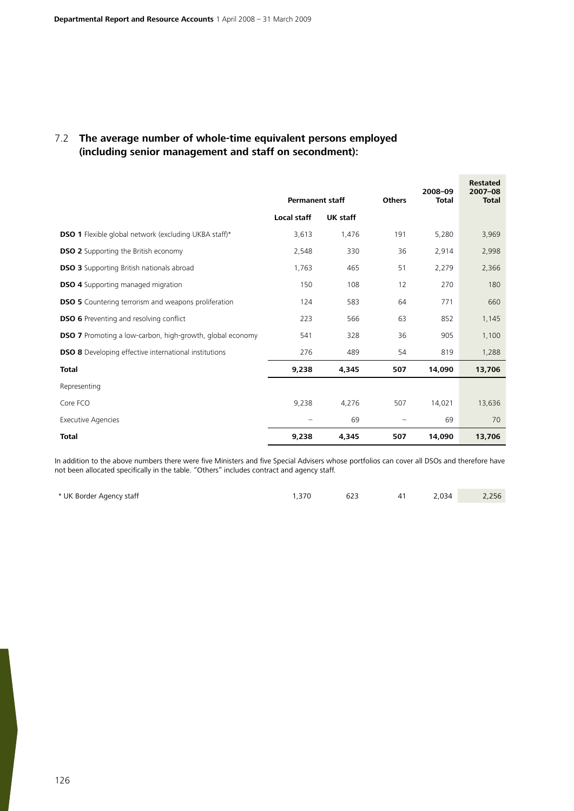# 7.2 **The average number of whole-time equivalent persons employed (including senior management and staff on secondment):**

|                                                                  | <b>Permanent staff</b> |          | <b>Others</b> | 2008-09<br><b>Total</b> | <b>Restated</b><br>2007-08<br><b>Total</b> |
|------------------------------------------------------------------|------------------------|----------|---------------|-------------------------|--------------------------------------------|
|                                                                  | <b>Local staff</b>     | UK staff |               |                         |                                            |
| <b>DSO 1</b> Flexible global network (excluding UKBA staff)*     | 3,613                  | 1,476    | 191           | 5,280                   | 3,969                                      |
| <b>DSO 2</b> Supporting the British economy                      | 2,548                  | 330      | 36            | 2,914                   | 2,998                                      |
| <b>DSO 3</b> Supporting British nationals abroad                 | 1,763                  | 465      | 51            | 2,279                   | 2,366                                      |
| <b>DSO 4</b> Supporting managed migration                        | 150                    | 108      | 12            | 270                     | 180                                        |
| <b>DSO 5</b> Countering terrorism and weapons proliferation      | 124                    | 583      | 64            | 771                     | 660                                        |
| <b>DSO 6</b> Preventing and resolving conflict                   | 223                    | 566      | 63            | 852                     | 1,145                                      |
| <b>DSO 7</b> Promoting a low-carbon, high-growth, global economy | 541                    | 328      | 36            | 905                     | 1,100                                      |
| <b>DSO 8</b> Developing effective international institutions     | 276                    | 489      | 54            | 819                     | 1,288                                      |
| <b>Total</b>                                                     | 9,238                  | 4,345    | 507           | 14,090                  | 13,706                                     |
| Representing                                                     |                        |          |               |                         |                                            |
| Core FCO                                                         | 9,238                  | 4,276    | 507           | 14,021                  | 13,636                                     |
| Executive Agencies                                               |                        | 69       | -             | 69                      | 70                                         |
| <b>Total</b>                                                     | 9,238                  | 4,345    | 507           | 14,090                  | 13,706                                     |

In addition to the above numbers there were five Ministers and five Special Advisers whose portfolios can cover all DSOs and therefore have not been allocated specifically in the table. "Others" includes contract and agency staff.

| * UK Border Agency staff | . .370 | 623<br>$\sim$ $\sim$ | 41 | 2,034 | 2,256 |
|--------------------------|--------|----------------------|----|-------|-------|
|                          |        |                      |    |       |       |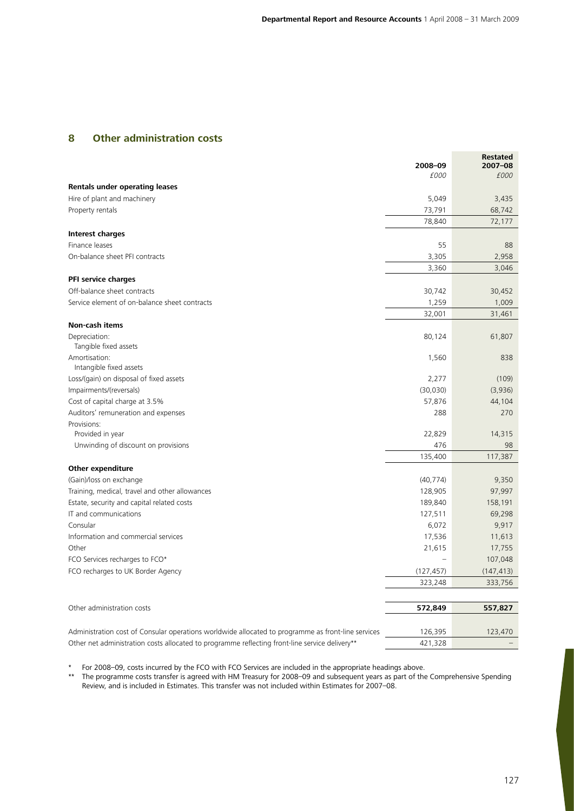## **8 Other administration costs**

|                                                                                                    | 2008-09<br>£000 | <b>Restated</b><br>2007-08<br>£000 |
|----------------------------------------------------------------------------------------------------|-----------------|------------------------------------|
| <b>Rentals under operating leases</b>                                                              |                 |                                    |
| Hire of plant and machinery                                                                        | 5,049           | 3,435                              |
| Property rentals                                                                                   | 73,791          | 68,742                             |
|                                                                                                    | 78,840          | 72,177                             |
| <b>Interest charges</b>                                                                            |                 |                                    |
| Finance leases                                                                                     | 55              | 88                                 |
| On-balance sheet PFI contracts                                                                     | 3,305           | 2,958                              |
|                                                                                                    | 3,360           | 3,046                              |
| PFI service charges                                                                                |                 |                                    |
| Off-balance sheet contracts                                                                        | 30,742          | 30,452                             |
| Service element of on-balance sheet contracts                                                      | 1,259           | 1,009                              |
|                                                                                                    | 32,001          | 31,461                             |
| Non-cash items                                                                                     |                 |                                    |
| Depreciation:<br>Tangible fixed assets                                                             | 80,124          | 61,807                             |
| Amortisation:<br>Intangible fixed assets                                                           | 1,560           | 838                                |
| Loss/(gain) on disposal of fixed assets                                                            | 2,277           | (109)                              |
| Impairments/(reversals)                                                                            | (30,030)        | (3,936)                            |
| Cost of capital charge at 3.5%                                                                     | 57,876          | 44,104                             |
| Auditors' remuneration and expenses                                                                | 288             | 270                                |
| Provisions:                                                                                        |                 |                                    |
| Provided in year                                                                                   | 22,829          | 14,315                             |
| Unwinding of discount on provisions                                                                | 476             | 98                                 |
|                                                                                                    | 135,400         | 117,387                            |
| <b>Other expenditure</b>                                                                           |                 |                                    |
| (Gain)/loss on exchange                                                                            | (40, 774)       | 9,350                              |
| Training, medical, travel and other allowances                                                     | 128,905         | 97,997                             |
| Estate, security and capital related costs                                                         | 189,840         | 158,191                            |
| IT and communications                                                                              | 127,511         | 69,298                             |
| Consular                                                                                           | 6,072           | 9,917                              |
| Information and commercial services                                                                | 17,536          | 11,613                             |
| Other                                                                                              | 21,615          | 17,755                             |
| FCO Services recharges to FCO*                                                                     |                 | 107,048                            |
| FCO recharges to UK Border Agency                                                                  | (127, 457)      | (147, 413)                         |
|                                                                                                    | 323,248         | 333,756                            |
|                                                                                                    |                 |                                    |
| Other administration costs                                                                         | 572,849         | 557,827                            |
| Administration cost of Consular operations worldwide allocated to programme as front-line services | 126,395         | 123,470                            |
| Other net administration costs allocated to programme reflecting front-line service delivery**     | 421,328         |                                    |

\* For 2008–09, costs incurred by the FCO with FCO Services are included in the appropriate headings above.

The programme costs transfer is agreed with HM Treasury for 2008–09 and subsequent years as part of the Comprehensive Spending Review, and is included in Estimates. This transfer was not included within Estimates for 2007–08.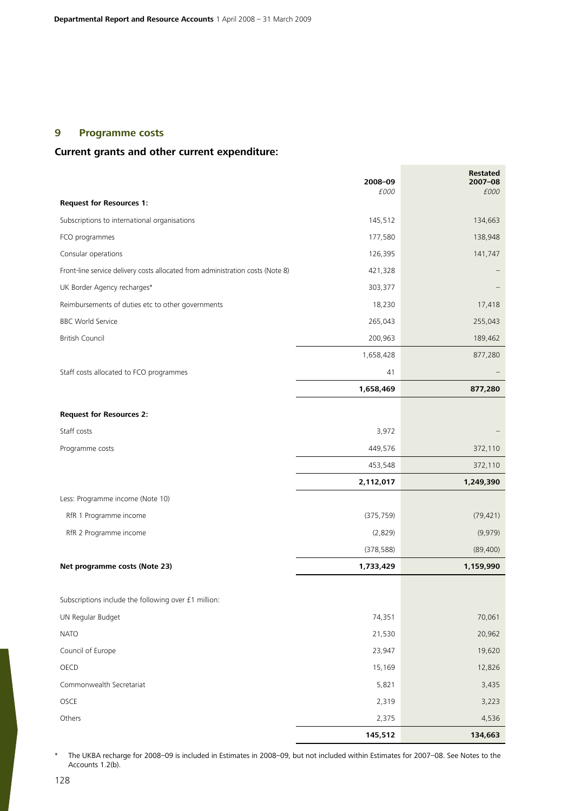# **9 Programme costs**

# **Current grants and other current expenditure:**

|                                                                                | 2008-09<br>£000 | <b>Restated</b><br>2007-08<br>£000 |
|--------------------------------------------------------------------------------|-----------------|------------------------------------|
| <b>Request for Resources 1:</b>                                                |                 |                                    |
| Subscriptions to international organisations                                   | 145,512         | 134,663                            |
| FCO programmes                                                                 | 177,580         | 138,948                            |
| Consular operations                                                            | 126,395         | 141,747                            |
| Front-line service delivery costs allocated from administration costs (Note 8) | 421,328         |                                    |
| UK Border Agency recharges*                                                    | 303,377         |                                    |
| Reimbursements of duties etc to other governments                              | 18,230          | 17,418                             |
| <b>BBC World Service</b>                                                       | 265,043         | 255,043                            |
| <b>British Council</b>                                                         | 200,963         | 189,462                            |
|                                                                                | 1,658,428       | 877,280                            |
| Staff costs allocated to FCO programmes                                        | 41              |                                    |
|                                                                                | 1,658,469       | 877,280                            |
| <b>Request for Resources 2:</b>                                                |                 |                                    |
| Staff costs                                                                    | 3,972           |                                    |
| Programme costs                                                                | 449,576         | 372,110                            |
|                                                                                | 453,548         | 372,110                            |
|                                                                                | 2,112,017       | 1,249,390                          |
| Less: Programme income (Note 10)                                               |                 |                                    |
| RfR 1 Programme income                                                         | (375, 759)      | (79, 421)                          |
| RfR 2 Programme income                                                         | (2,829)         | (9,979)                            |
|                                                                                | (378, 588)      | (89, 400)                          |
| Net programme costs (Note 23)                                                  | 1,733,429       | 1,159,990                          |
|                                                                                |                 |                                    |
| Subscriptions include the following over £1 million:                           |                 |                                    |
| UN Regular Budget                                                              | 74,351          | 70,061                             |
| <b>NATO</b>                                                                    | 21,530          | 20,962                             |
| Council of Europe                                                              | 23,947          | 19,620                             |
| OECD                                                                           | 15,169          | 12,826                             |
| Commonwealth Secretariat                                                       | 5,821           | 3,435                              |
| OSCE                                                                           | 2,319           | 3,223                              |
| Others                                                                         | 2,375           | 4,536                              |
|                                                                                | 145,512         | 134,663                            |

\* The UKBA recharge for 2008–09 is included in Estimates in 2008–09, but not included within Estimates for 2007–08. See Notes to the Accounts 1.2(b).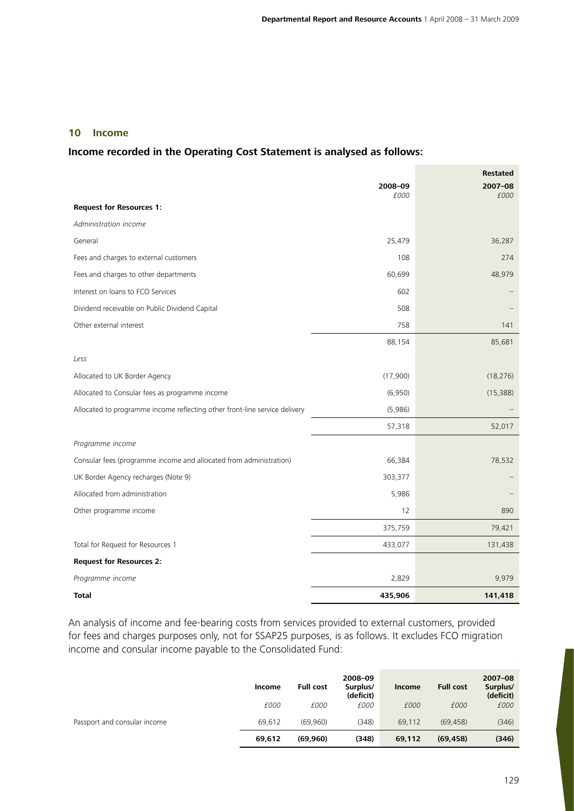## **10 Income**

### **Income recorded in the Operating Cost Statement is analysed as follows:**

|                                                                            |          | <b>Restated</b> |
|----------------------------------------------------------------------------|----------|-----------------|
|                                                                            | 2008-09  | $2007 - 08$     |
| <b>Request for Resources 1:</b>                                            | £000     | £000            |
| Administration income                                                      |          |                 |
| General                                                                    | 25,479   | 36,287          |
| Fees and charges to external customers                                     | 108      | 274             |
| Fees and charges to other departments                                      | 60,699   | 48,979          |
| Interest on loans to FCO Services                                          | 602      |                 |
| Dividend receivable on Public Dividend Capital                             | 508      |                 |
| Other external interest                                                    | 758      | 141             |
|                                                                            | 88,154   | 85,681          |
| Less                                                                       |          |                 |
| Allocated to UK Border Agency                                              | (17,900) | (18, 276)       |
| Allocated to Consular fees as programme income                             | (6,950)  | (15, 388)       |
| Allocated to programme income reflecting other front-line service delivery | (5,986)  |                 |
|                                                                            | 57,318   | 52,017          |
| Programme income                                                           |          |                 |
| Consular fees (programme income and allocated from administration)         | 66,384   | 78,532          |
| UK Border Agency recharges (Note 9)                                        | 303,377  |                 |
| Allocated from administration                                              | 5,986    |                 |
| Other programme income                                                     | 12       | 890             |
|                                                                            | 375,759  | 79,421          |
| Total for Request for Resources 1                                          | 433,077  | 131,438         |
| <b>Request for Resources 2:</b>                                            |          |                 |
| Programme income                                                           | 2,829    | 9,979           |
| Total                                                                      | 435,906  | 141,418         |

An analysis of income and fee-bearing costs from services provided to external customers, provided for fees and charges purposes only, not for SSAP25 purposes, is as follows. It excludes FCO migration income and consular income payable to the Consolidated Fund:

|                              | Income | <b>Full cost</b> | 2008-09<br>Surplus/<br>(deficit) | <b>Income</b> | <b>Full cost</b> | $2007 - 08$<br>Surplus/<br>(deficit) |
|------------------------------|--------|------------------|----------------------------------|---------------|------------------|--------------------------------------|
|                              | £000   | £000             | £000                             | £000          | £000             | £000                                 |
| Passport and consular income | 69,612 | (69.960)         | (348)                            | 69.112        | (69, 458)        | (346)                                |
|                              | 69,612 | (69,960)         | (348)                            | 69,112        | (69, 458)        | (346)                                |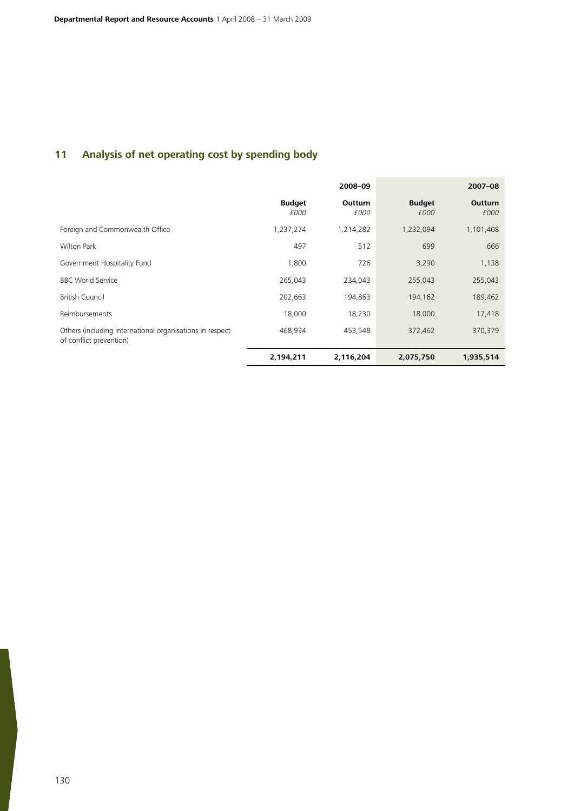# **11 Analysis of net operating cost by spending body**

|                                                                                     |                       | 2008-09                |                       | $2007 - 08$            |
|-------------------------------------------------------------------------------------|-----------------------|------------------------|-----------------------|------------------------|
|                                                                                     | <b>Budget</b><br>£000 | <b>Outturn</b><br>£000 | <b>Budget</b><br>£000 | <b>Outturn</b><br>£000 |
| Foreign and Commonwealth Office                                                     | 1,237,274             | 1,214,282              | 1,232,094             | 1,101,408              |
| <b>Wilton Park</b>                                                                  | 497                   | 512                    | 699                   | 666                    |
| Government Hospitality Fund                                                         | 1,800                 | 726                    | 3,290                 | 1,138                  |
| <b>BBC World Service</b>                                                            | 265,043               | 234,043                | 255,043               | 255,043                |
| <b>British Council</b>                                                              | 202,663               | 194,863                | 194,162               | 189,462                |
| Reimbursements                                                                      | 18,000                | 18,230                 | 18,000                | 17,418                 |
| Others (including international organisations in respect<br>of conflict prevention) | 468,934               | 453,548                | 372,462               | 370,379                |
|                                                                                     | 2,194,211             | 2,116,204              | 2,075,750             | 1,935,514              |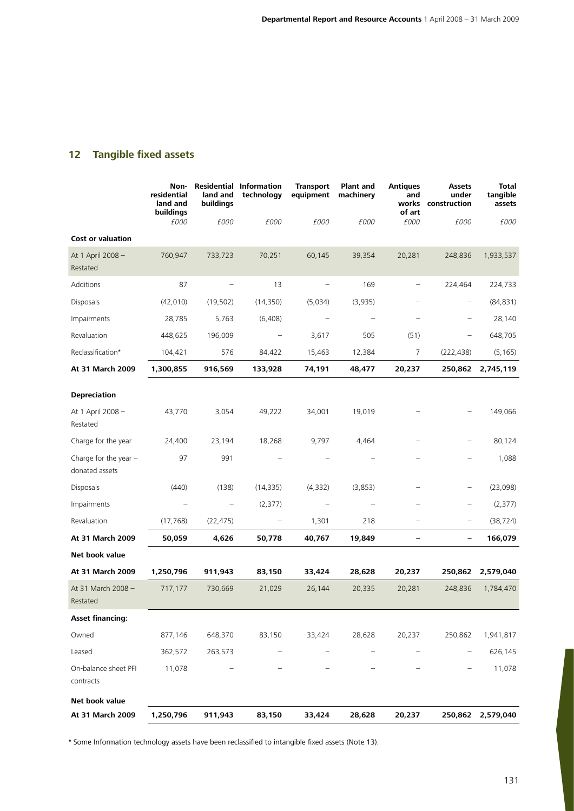# **12 Tangible fixed assets**

|                                           | Non-<br>residential<br>land and<br>buildings | land and<br>buildings | <b>Residential Information</b><br>technology | <b>Transport</b><br>equipment | <b>Plant and</b><br>machinery | <b>Antiques</b><br>and<br>of art | <b>Assets</b><br>under<br>works construction | <b>Total</b><br>tangible<br>assets |
|-------------------------------------------|----------------------------------------------|-----------------------|----------------------------------------------|-------------------------------|-------------------------------|----------------------------------|----------------------------------------------|------------------------------------|
| <b>Cost or valuation</b>                  | £000                                         | £000                  | £000                                         | £000                          | £000                          | £000                             | £000                                         | £000                               |
|                                           |                                              |                       |                                              |                               |                               |                                  |                                              |                                    |
| At 1 April 2008 -<br>Restated             | 760,947                                      | 733,723               | 70,251                                       | 60,145                        | 39,354                        | 20,281                           | 248,836                                      | 1,933,537                          |
| Additions                                 | 87                                           |                       | 13                                           |                               | 169                           | $\qquad \qquad -$                | 224,464                                      | 224,733                            |
| Disposals                                 | (42,010)                                     | (19, 502)             | (14, 350)                                    | (5,034)                       | (3,935)                       |                                  | $\overline{\phantom{0}}$                     | (84, 831)                          |
| Impairments                               | 28,785                                       | 5,763                 | (6, 408)                                     |                               |                               |                                  |                                              | 28,140                             |
| Revaluation                               | 448,625                                      | 196,009               |                                              | 3,617                         | 505                           | (51)                             |                                              | 648,705                            |
| Reclassification*                         | 104,421                                      | 576                   | 84,422                                       | 15,463                        | 12,384                        | $\overline{7}$                   | (222, 438)                                   | (5, 165)                           |
| At 31 March 2009                          | 1,300,855                                    | 916,569               | 133,928                                      | 74,191                        | 48,477                        | 20,237                           | 250,862                                      | 2,745,119                          |
| <b>Depreciation</b>                       |                                              |                       |                                              |                               |                               |                                  |                                              |                                    |
| At 1 April 2008 -<br>Restated             | 43,770                                       | 3,054                 | 49,222                                       | 34,001                        | 19,019                        |                                  |                                              | 149,066                            |
| Charge for the year                       | 24,400                                       | 23,194                | 18,268                                       | 9,797                         | 4,464                         |                                  |                                              | 80,124                             |
| Charge for the year $-$<br>donated assets | 97                                           | 991                   |                                              |                               |                               |                                  |                                              | 1,088                              |
| Disposals                                 | (440)                                        | (138)                 | (14, 335)                                    | (4, 332)                      | (3,853)                       |                                  |                                              | (23,098)                           |
| Impairments                               |                                              |                       | (2, 377)                                     |                               |                               |                                  |                                              | (2, 377)                           |
| Revaluation                               | (17, 768)                                    | (22, 475)             |                                              | 1,301                         | 218                           |                                  |                                              | (38, 724)                          |
| At 31 March 2009                          | 50,059                                       | 4,626                 | 50,778                                       | 40,767                        | 19,849                        | -                                | <sup>-</sup>                                 | 166,079                            |
| Net book value                            |                                              |                       |                                              |                               |                               |                                  |                                              |                                    |
| At 31 March 2009                          | 1,250,796                                    | 911,943               | 83,150                                       | 33,424                        | 28,628                        | 20,237                           | 250,862                                      | 2,579,040                          |
| At 31 March 2008 -<br>Restated            | 717,177                                      | 730,669               | 21,029                                       | 26,144                        | 20,335                        | 20,281                           | 248,836                                      | 1,784,470                          |
| <b>Asset financing:</b>                   |                                              |                       |                                              |                               |                               |                                  |                                              |                                    |
| Owned                                     | 877,146                                      | 648,370               | 83,150                                       | 33,424                        | 28,628                        | 20,237                           | 250,862                                      | 1,941,817                          |
| Leased                                    | 362,572                                      | 263,573               |                                              |                               |                               |                                  |                                              | 626,145                            |
| On-balance sheet PFI<br>contracts         | 11,078                                       |                       |                                              |                               |                               |                                  |                                              | 11,078                             |
| Net book value                            |                                              |                       |                                              |                               |                               |                                  |                                              |                                    |
| At 31 March 2009                          | 1,250,796                                    | 911,943               | 83,150                                       | 33,424                        | 28,628                        | 20,237                           | 250,862                                      | 2,579,040                          |

\* Some Information technology assets have been reclassified to intangible fixed assets (Note 13).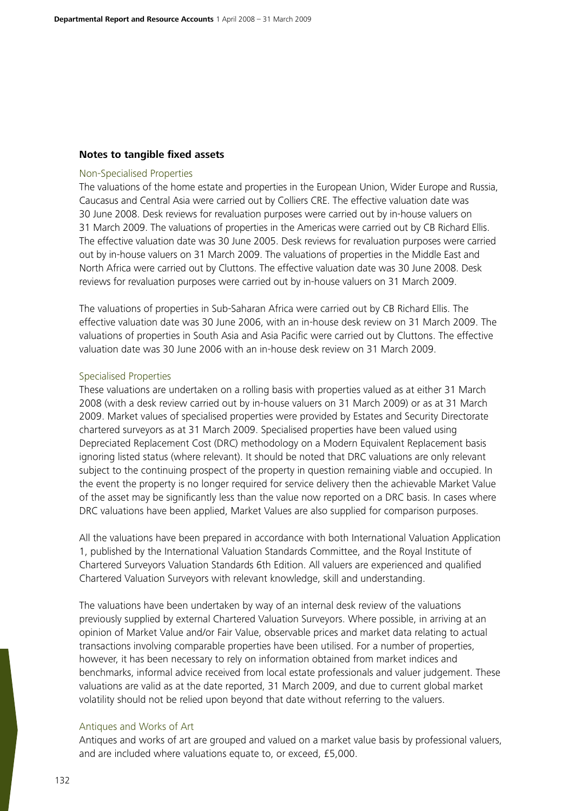### **Notes to tangible fixed assets**

#### Non-Specialised Properties

The valuations of the home estate and properties in the European Union, Wider Europe and Russia, Caucasus and Central Asia were carried out by Colliers CRE. The effective valuation date was 30 June 2008. Desk reviews for revaluation purposes were carried out by in-house valuers on 31 March 2009. The valuations of properties in the Americas were carried out by CB Richard Ellis. The effective valuation date was 30 June 2005. Desk reviews for revaluation purposes were carried out by in-house valuers on 31 March 2009. The valuations of properties in the Middle East and North Africa were carried out by Cluttons. The effective valuation date was 30 June 2008. Desk reviews for revaluation purposes were carried out by in-house valuers on 31 March 2009.

The valuations of properties in Sub-Saharan Africa were carried out by CB Richard Ellis. The effective valuation date was 30 June 2006, with an in-house desk review on 31 March 2009. The valuations of properties in South Asia and Asia Pacific were carried out by Cluttons. The effective valuation date was 30 June 2006 with an in-house desk review on 31 March 2009.

#### Specialised Properties

These valuations are undertaken on a rolling basis with properties valued as at either 31 March 2008 (with a desk review carried out by in-house valuers on 31 March 2009) or as at 31 March 2009. Market values of specialised properties were provided by Estates and Security Directorate chartered surveyors as at 31 March 2009. Specialised properties have been valued using Depreciated Replacement Cost (DRC) methodology on a Modern Equivalent Replacement basis ignoring listed status (where relevant). It should be noted that DRC valuations are only relevant subject to the continuing prospect of the property in question remaining viable and occupied. In the event the property is no longer required for service delivery then the achievable Market Value of the asset may be significantly less than the value now reported on a DRC basis. In cases where DRC valuations have been applied, Market Values are also supplied for comparison purposes.

All the valuations have been prepared in accordance with both International Valuation Application 1, published by the International Valuation Standards Committee, and the Royal Institute of Chartered Surveyors Valuation Standards 6th Edition. All valuers are experienced and qualified Chartered Valuation Surveyors with relevant knowledge, skill and understanding.

The valuations have been undertaken by way of an internal desk review of the valuations previously supplied by external Chartered Valuation Surveyors. Where possible, in arriving at an opinion of Market Value and/or Fair Value, observable prices and market data relating to actual transactions involving comparable properties have been utilised. For a number of properties, however, it has been necessary to rely on information obtained from market indices and benchmarks, informal advice received from local estate professionals and valuer judgement. These valuations are valid as at the date reported, 31 March 2009, and due to current global market volatility should not be relied upon beyond that date without referring to the valuers.

### Antiques and Works of Art

Antiques and works of art are grouped and valued on a market value basis by professional valuers, and are included where valuations equate to, or exceed, £5,000.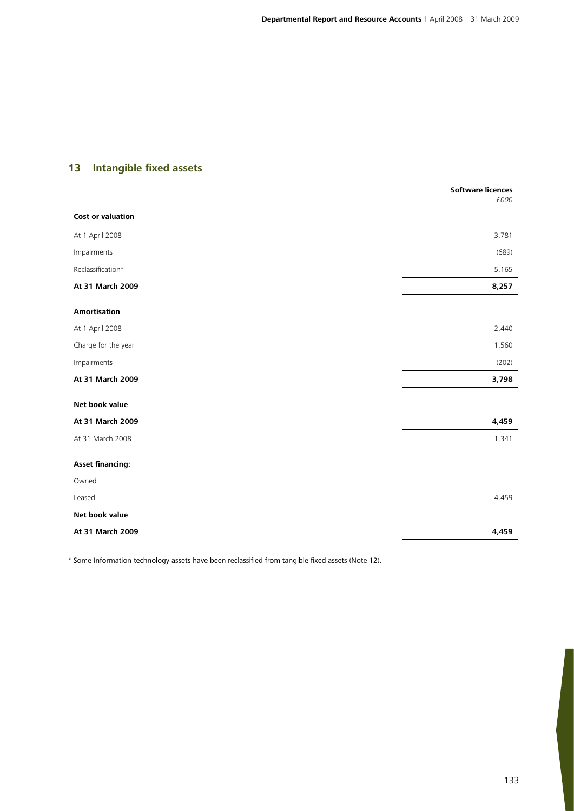# **13 Intangible fixed assets**

|                          | <b>Software licences</b><br>£000 |
|--------------------------|----------------------------------|
| <b>Cost or valuation</b> |                                  |
| At 1 April 2008          | 3,781                            |
| Impairments              | (689)                            |
| Reclassification*        | 5,165                            |
| At 31 March 2009         | 8,257                            |
| <b>Amortisation</b>      |                                  |
| At 1 April 2008          | 2,440                            |
| Charge for the year      | 1,560                            |
| Impairments              | (202)                            |
| At 31 March 2009         | 3,798                            |
| Net book value           |                                  |
| At 31 March 2009         | 4,459                            |
| At 31 March 2008         | 1,341                            |
| <b>Asset financing:</b>  |                                  |
| Owned                    |                                  |
| Leased                   | 4,459                            |
| Net book value           |                                  |
| At 31 March 2009         | 4,459                            |
|                          |                                  |

\* Some Information technology assets have been reclassified from tangible fixed assets (Note 12).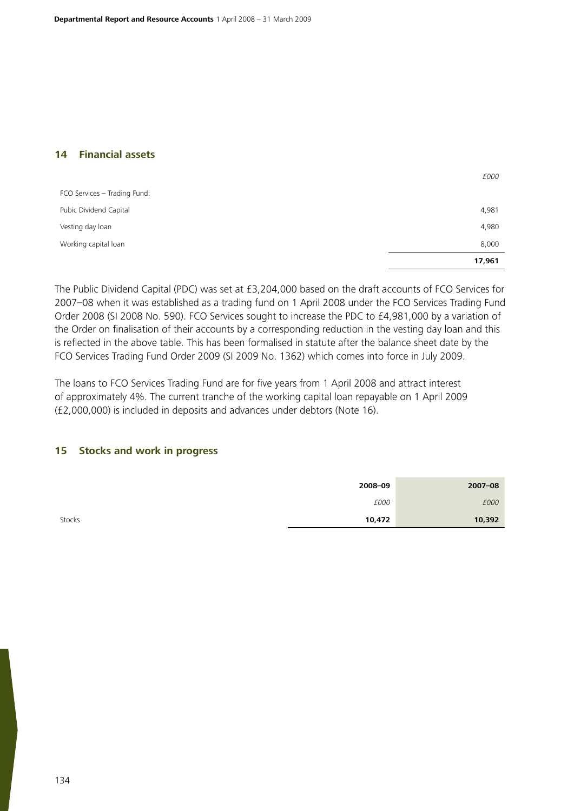### **14 Financial assets**

|                              | 17,961 |
|------------------------------|--------|
| Working capital loan         | 8,000  |
| Vesting day loan             | 4,980  |
| Pubic Dividend Capital       | 4,981  |
| FCO Services - Trading Fund: |        |
|                              | £000   |

The Public Dividend Capital (PDC) was set at £3,204,000 based on the draft accounts of FCO Services for 2007–08 when it was established as a trading fund on 1 April 2008 under the FCO Services Trading Fund Order 2008 (SI 2008 No. 590). FCO Services sought to increase the PDC to £4,981,000 by a variation of the Order on finalisation of their accounts by a corresponding reduction in the vesting day loan and this is reflected in the above table. This has been formalised in statute after the balance sheet date by the FCO Services Trading Fund Order 2009 (SI 2009 No. 1362) which comes into force in July 2009.

The loans to FCO Services Trading Fund are for five years from 1 April 2008 and attract interest of approximately 4%. The current tranche of the working capital loan repayable on 1 April 2009 (£2,000,000) is included in deposits and advances under debtors (Note 16).

### **15 Stocks and work in progress**

|        | 2008-09 | $2007 - 08$ |
|--------|---------|-------------|
|        | £000    | £000        |
| Stocks | 10,472  | 10,392      |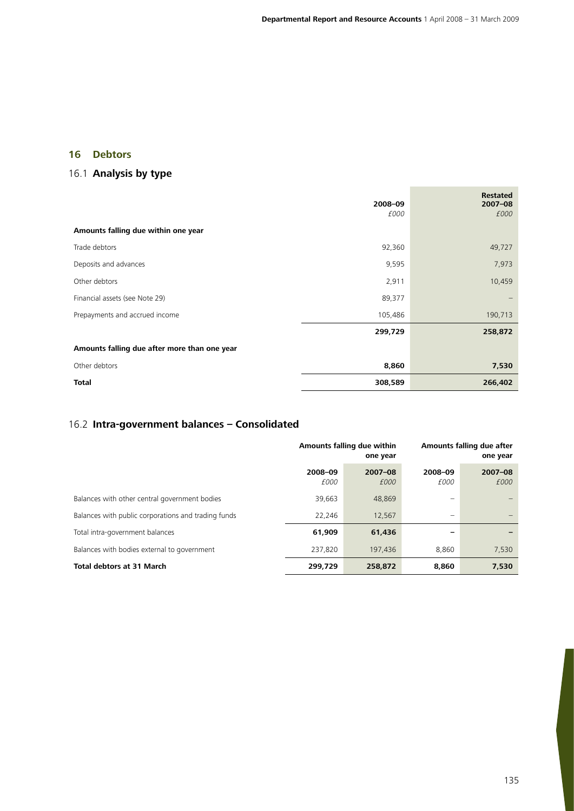**College** 

# **16 Debtors**

# 16.1 **Analysis by type**

|                                              | 2008-09 | <b>Restated</b><br>$2007 - 08$ |
|----------------------------------------------|---------|--------------------------------|
|                                              | £000    | £000                           |
| Amounts falling due within one year          |         |                                |
| Trade debtors                                | 92,360  | 49,727                         |
| Deposits and advances                        | 9,595   | 7,973                          |
| Other debtors                                | 2,911   | 10,459                         |
| Financial assets (see Note 29)               | 89,377  |                                |
| Prepayments and accrued income               | 105,486 | 190,713                        |
|                                              | 299,729 | 258,872                        |
| Amounts falling due after more than one year |         |                                |
| Other debtors                                | 8,860   | 7,530                          |
| <b>Total</b>                                 | 308,589 | 266,402                        |

# 16.2 **Intra-government balances – Consolidated**

|                                                     |                        | Amounts falling due within<br>one year |                            | Amounts falling due after<br>one year |  |
|-----------------------------------------------------|------------------------|----------------------------------------|----------------------------|---------------------------------------|--|
|                                                     | 2008-09<br><i>f000</i> | $2007 - 08$<br>£000                    | 2008-09<br><i>f000</i>     | $2007 - 08$<br>£000                   |  |
| Balances with other central government bodies       | 39,663                 | 48,869                                 | $\overline{\phantom{0}}$   |                                       |  |
| Balances with public corporations and trading funds | 22.246                 | 12,567                                 | $\qquad \qquad \  \  \, -$ |                                       |  |
| Total intra-government balances                     | 61,909                 | 61,436                                 |                            |                                       |  |
| Balances with bodies external to government         | 237,820                | 197,436                                | 8,860                      | 7,530                                 |  |
| <b>Total debtors at 31 March</b>                    | 299,729                | 258,872                                | 8,860                      | 7,530                                 |  |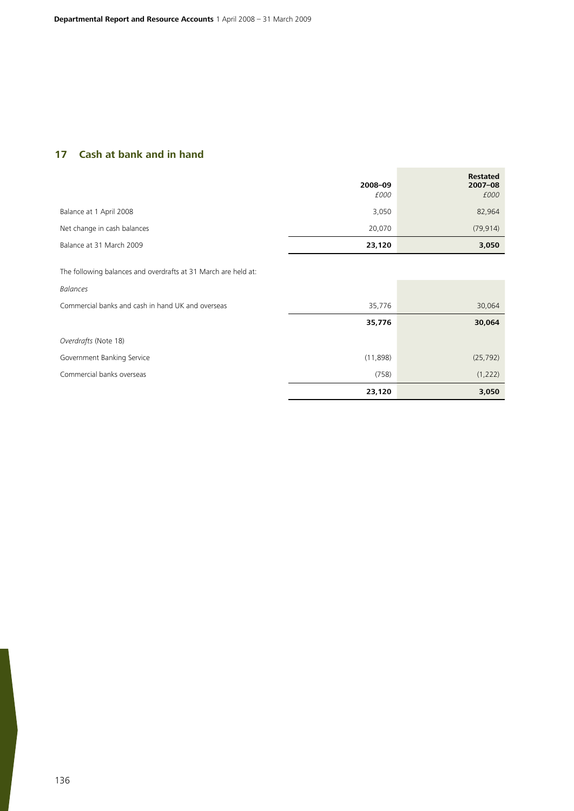# **17 Cash at bank and in hand**

|                             | 2008-09<br>£000 | <b>Restated</b><br>$2007 - 08$<br>£000 |
|-----------------------------|-----------------|----------------------------------------|
| Balance at 1 April 2008     | 3,050           | 82,964                                 |
| Net change in cash balances | 20.070          | (79, 914)                              |
| Balance at 31 March 2009    | 23,120          | 3,050                                  |

The following balances and overdrafts at 31 March are held at:

| <b>Balances</b>                                   |          |           |
|---------------------------------------------------|----------|-----------|
| Commercial banks and cash in hand UK and overseas | 35,776   | 30,064    |
|                                                   | 35,776   | 30,064    |
| Overdrafts (Note 18)                              |          |           |
| Government Banking Service                        | (11,898) | (25, 792) |
| Commercial banks overseas                         | (758)    | (1, 222)  |
|                                                   | 23,120   | 3,050     |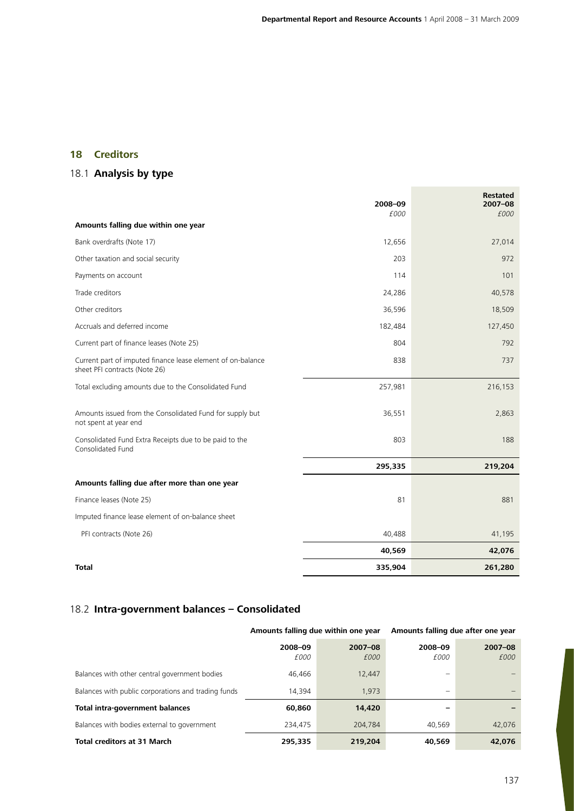# **18 Creditors**

# 18.1 **Analysis by type**

|                                                                                              | 2008-09<br>£000 | <b>Restated</b><br>2007-08<br>£000 |
|----------------------------------------------------------------------------------------------|-----------------|------------------------------------|
| Amounts falling due within one year                                                          |                 |                                    |
| Bank overdrafts (Note 17)                                                                    | 12,656          | 27,014                             |
| Other taxation and social security                                                           | 203             | 972                                |
| Payments on account                                                                          | 114             | 101                                |
| Trade creditors                                                                              | 24,286          | 40,578                             |
| Other creditors                                                                              | 36,596          | 18,509                             |
| Accruals and deferred income                                                                 | 182,484         | 127,450                            |
| Current part of finance leases (Note 25)                                                     | 804             | 792                                |
| Current part of imputed finance lease element of on-balance<br>sheet PFI contracts (Note 26) | 838             | 737                                |
| Total excluding amounts due to the Consolidated Fund                                         | 257,981         | 216,153                            |
| Amounts issued from the Consolidated Fund for supply but<br>not spent at year end            | 36,551          | 2,863                              |
| Consolidated Fund Extra Receipts due to be paid to the<br>Consolidated Fund                  | 803             | 188                                |
|                                                                                              | 295,335         | 219,204                            |
| Amounts falling due after more than one year                                                 |                 |                                    |
| Finance leases (Note 25)                                                                     | 81              | 881                                |
| Imputed finance lease element of on-balance sheet                                            |                 |                                    |
| PFI contracts (Note 26)                                                                      | 40,488          | 41,195                             |
|                                                                                              | 40,569          | 42,076                             |
| Total                                                                                        | 335,904         | 261,280                            |

# 18.2 **Intra-government balances – Consolidated**

|                                                     | Amounts falling due within one year |                     | Amounts falling due after one year |                     |  |
|-----------------------------------------------------|-------------------------------------|---------------------|------------------------------------|---------------------|--|
|                                                     | 2008-09<br>£000                     | $2007 - 08$<br>£000 | 2008-09<br>£000                    | $2007 - 08$<br>£000 |  |
| Balances with other central government bodies       | 46,466                              | 12,447              |                                    |                     |  |
| Balances with public corporations and trading funds | 14,394                              | 1.973               |                                    |                     |  |
| Total intra-government balances                     | 60,860                              | 14,420              |                                    |                     |  |
| Balances with bodies external to government         | 234,475                             | 204,784             | 40.569                             | 42.076              |  |
| <b>Total creditors at 31 March</b>                  | 295,335                             | 219,204             | 40,569                             | 42,076              |  |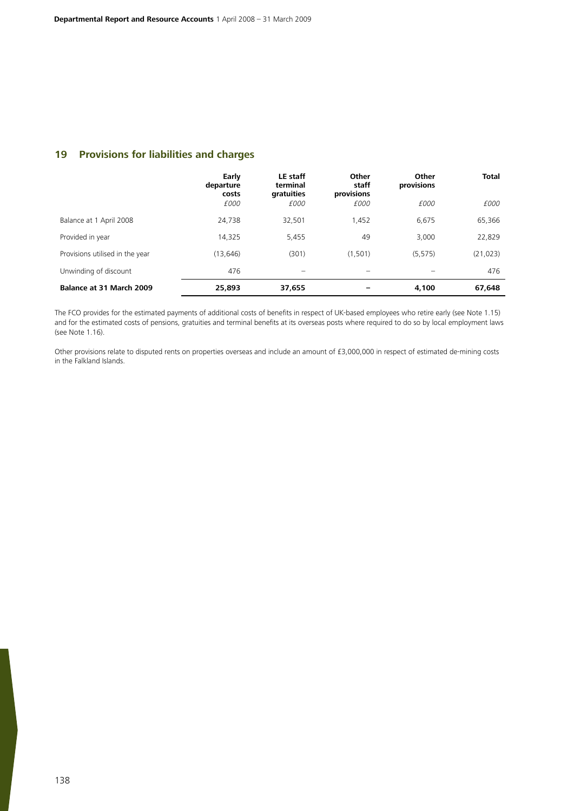## **19 Provisions for liabilities and charges**

|                                 | Early<br>departure<br>costs<br>£000 | LE staff<br>terminal<br>gratuities<br>£000 | Other<br>staff<br>provisions<br>£000 | Other<br>provisions<br>£000 | <b>Total</b><br>£000 |
|---------------------------------|-------------------------------------|--------------------------------------------|--------------------------------------|-----------------------------|----------------------|
|                                 |                                     |                                            |                                      |                             |                      |
| Balance at 1 April 2008         | 24,738                              | 32,501                                     | 1.452                                | 6,675                       | 65,366               |
| Provided in year                | 14,325                              | 5,455                                      | 49                                   | 3,000                       | 22,829               |
| Provisions utilised in the year | (13, 646)                           | (301)                                      | (1,501)                              | (5, 575)                    | (21, 023)            |
| Unwinding of discount           | 476                                 |                                            |                                      |                             | 476                  |
| Balance at 31 March 2009        | 25,893                              | 37,655                                     |                                      | 4,100                       | 67,648               |

The FCO provides for the estimated payments of additional costs of benefits in respect of UK-based employees who retire early (see Note 1.15) and for the estimated costs of pensions, gratuities and terminal benefits at its overseas posts where required to do so by local employment laws (see Note 1.16).

Other provisions relate to disputed rents on properties overseas and include an amount of £3,000,000 in respect of estimated de-mining costs in the Falkland Islands.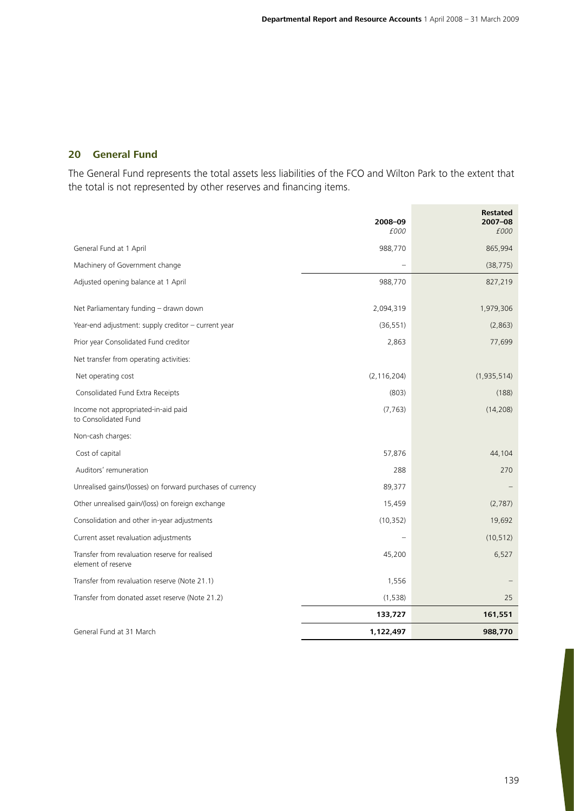# **20 General Fund**

The General Fund represents the total assets less liabilities of the FCO and Wilton Park to the extent that the total is not represented by other reserves and financing items.

|                                                                      | 2008-09       | <b>Restated</b><br>$2007 - 08$ |
|----------------------------------------------------------------------|---------------|--------------------------------|
|                                                                      | £000          | £000                           |
| General Fund at 1 April                                              | 988,770       | 865,994                        |
| Machinery of Government change                                       |               | (38, 775)                      |
| Adjusted opening balance at 1 April                                  | 988,770       | 827,219                        |
| Net Parliamentary funding - drawn down                               | 2,094,319     | 1,979,306                      |
| Year-end adjustment: supply creditor - current year                  | (36, 551)     | (2,863)                        |
| Prior year Consolidated Fund creditor                                | 2,863         | 77,699                         |
| Net transfer from operating activities:                              |               |                                |
| Net operating cost                                                   | (2, 116, 204) | (1,935,514)                    |
| Consolidated Fund Extra Receipts                                     | (803)         | (188)                          |
| Income not appropriated-in-aid paid<br>to Consolidated Fund          | (7, 763)      | (14, 208)                      |
| Non-cash charges:                                                    |               |                                |
| Cost of capital                                                      | 57,876        | 44,104                         |
| Auditors' remuneration                                               | 288           | 270                            |
| Unrealised gains/(losses) on forward purchases of currency           | 89,377        |                                |
| Other unrealised gain/(loss) on foreign exchange                     | 15,459        | (2,787)                        |
| Consolidation and other in-year adjustments                          | (10, 352)     | 19,692                         |
| Current asset revaluation adjustments                                |               | (10, 512)                      |
| Transfer from revaluation reserve for realised<br>element of reserve | 45,200        | 6,527                          |
| Transfer from revaluation reserve (Note 21.1)                        | 1,556         |                                |
| Transfer from donated asset reserve (Note 21.2)                      | (1, 538)      | 25                             |
|                                                                      | 133,727       | 161,551                        |
| General Fund at 31 March                                             | 1,122,497     | 988,770                        |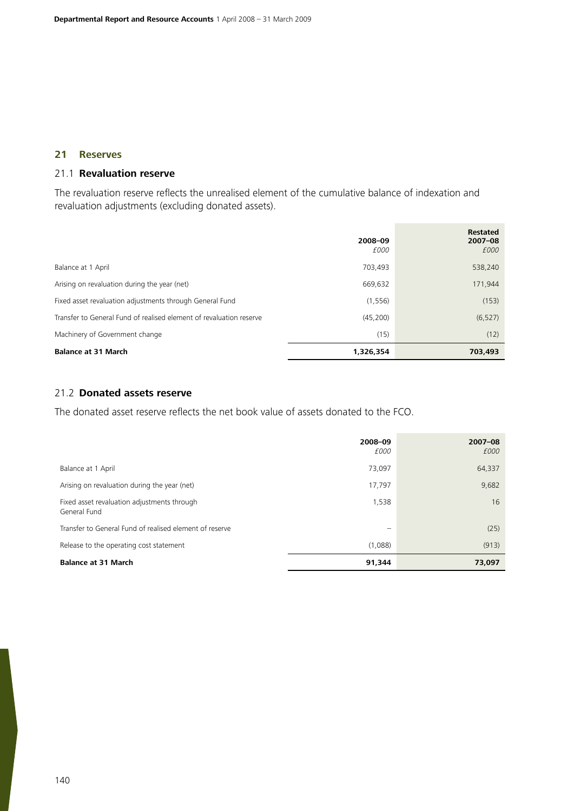## **21 Reserves**

## 21.1 **Revaluation reserve**

The revaluation reserve reflects the unrealised element of the cumulative balance of indexation and revaluation adjustments (excluding donated assets).

|                                                                     | 2008-09<br>£000 | <b>Restated</b><br>$2007 - 08$<br>£000 |
|---------------------------------------------------------------------|-----------------|----------------------------------------|
| Balance at 1 April                                                  | 703,493         | 538,240                                |
| Arising on revaluation during the year (net)                        | 669,632         | 171,944                                |
| Fixed asset revaluation adjustments through General Fund            | (1, 556)        | (153)                                  |
| Transfer to General Fund of realised element of revaluation reserve | (45, 200)       | (6, 527)                               |
| Machinery of Government change                                      | (15)            | (12)                                   |
| <b>Balance at 31 March</b>                                          | 1,326,354       | 703,493                                |

#### 21.2 **Donated assets reserve**

The donated asset reserve reflects the net book value of assets donated to the FCO.

|                                                             | 2008-09<br>£000 | $2007 - 08$<br>£000 |
|-------------------------------------------------------------|-----------------|---------------------|
| Balance at 1 April                                          | 73,097          | 64,337              |
| Arising on revaluation during the year (net)                | 17,797          | 9,682               |
| Fixed asset revaluation adjustments through<br>General Fund | 1,538           | 16                  |
| Transfer to General Fund of realised element of reserve     |                 | (25)                |
| Release to the operating cost statement                     | (1,088)         | (913)               |
| <b>Balance at 31 March</b>                                  | 91,344          | 73,097              |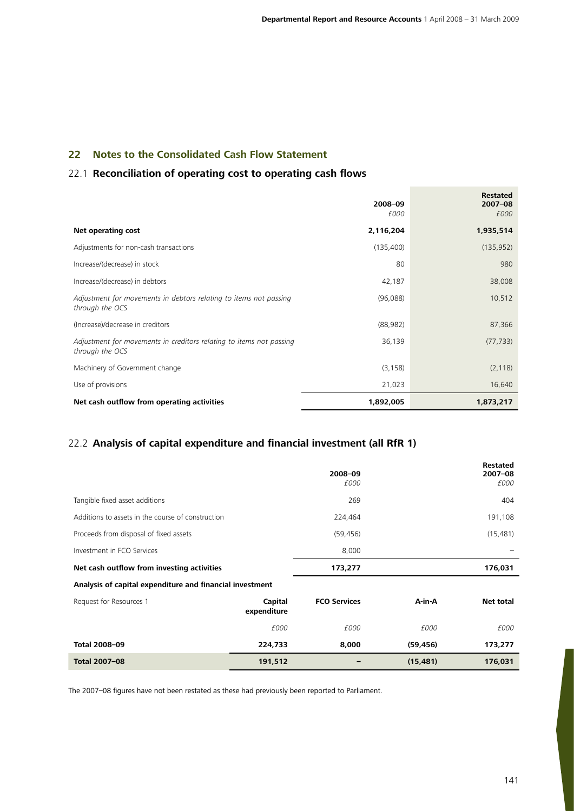# **22 Notes to the Consolidated Cash Flow Statement**

## 22.1 **Reconciliation of operating cost to operating cash flows**

|                                                                                        | 2008-09<br>£000 | <b>Restated</b><br>$2007 - 08$<br>£000 |
|----------------------------------------------------------------------------------------|-----------------|----------------------------------------|
| Net operating cost                                                                     | 2,116,204       | 1,935,514                              |
| Adjustments for non-cash transactions                                                  | (135,400)       | (135, 952)                             |
| Increase/(decrease) in stock                                                           | 80              | 980                                    |
| Increase/(decrease) in debtors                                                         | 42,187          | 38,008                                 |
| Adjustment for movements in debtors relating to items not passing<br>through the OCS   | (96,088)        | 10,512                                 |
| (Increase)/decrease in creditors                                                       | (88, 982)       | 87,366                                 |
| Adjustment for movements in creditors relating to items not passing<br>through the OCS | 36,139          | (77, 733)                              |
| Machinery of Government change                                                         | (3, 158)        | (2, 118)                               |
| Use of provisions                                                                      | 21,023          | 16,640                                 |
| Net cash outflow from operating activities                                             | 1,892,005       | 1,873,217                              |

# 22.2 **Analysis of capital expenditure and financial investment (all RfR 1)**

|                                                          |                        | 2008-09<br>£000     |           | <b>Restated</b><br>$2007 - 08$<br>£000 |
|----------------------------------------------------------|------------------------|---------------------|-----------|----------------------------------------|
| Tangible fixed asset additions                           |                        | 269                 |           | 404                                    |
| Additions to assets in the course of construction        |                        | 224,464             |           | 191,108                                |
| Proceeds from disposal of fixed assets                   |                        | (59, 456)           |           | (15, 481)                              |
| Investment in FCO Services                               |                        | 8,000               |           |                                        |
| Net cash outflow from investing activities               |                        | 173,277             |           | 176,031                                |
| Analysis of capital expenditure and financial investment |                        |                     |           |                                        |
| Request for Resources 1                                  | Capital<br>expenditure | <b>FCO Services</b> | A-in-A    | Net total                              |
|                                                          | £000                   | £000                | £000      | £000                                   |
| Total 2008-09                                            | 224,733                | 8,000               | (59, 456) | 173,277                                |
| Total 2007-08                                            | 191,512                |                     | (15, 481) | 176,031                                |

The 2007–08 figures have not been restated as these had previously been reported to Parliament.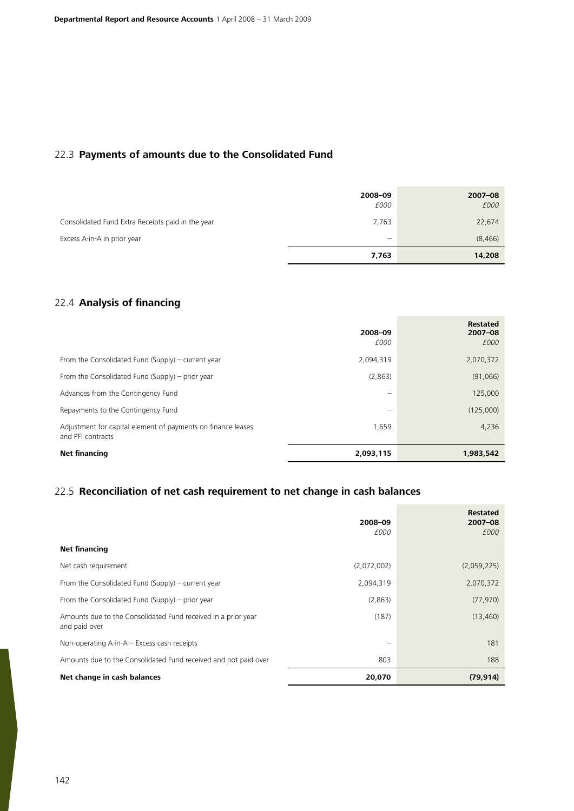# 22.3 **Payments of amounts due to the Consolidated Fund**

|                                                   | 2008-09<br>£000                         | $2007 - 08$<br>£000 |
|---------------------------------------------------|-----------------------------------------|---------------------|
| Consolidated Fund Extra Receipts paid in the year | 7,763                                   | 22,674              |
| Excess A-in-A in prior year                       | $\qquad \qquad \  \  \, -\qquad \qquad$ | (8, 466)            |
|                                                   | 7,763                                   | 14,208              |

# 22.4 **Analysis of financing**

|                                                                                   | 2008-09<br>£000                 | <b>Restated</b><br>$2007 - 08$<br>£000 |
|-----------------------------------------------------------------------------------|---------------------------------|----------------------------------------|
| From the Consolidated Fund (Supply) – current year                                | 2.094.319                       | 2,070,372                              |
| From the Consolidated Fund (Supply) – prior year                                  | (2,863)                         | (91,066)                               |
| Advances from the Contingency Fund                                                | $\hspace{0.1mm}-\hspace{0.1mm}$ | 125,000                                |
| Repayments to the Contingency Fund                                                |                                 | (125,000)                              |
| Adjustment for capital element of payments on finance leases<br>and PFI contracts | 1,659                           | 4,236                                  |
| Net financing                                                                     | 2,093,115                       | 1,983,542                              |

# 22.5 **Reconciliation of net cash requirement to net change in cash balances**

|                                                                                | 2008-09<br>£000 | <b>Restated</b><br>$2007 - 08$<br>£000 |
|--------------------------------------------------------------------------------|-----------------|----------------------------------------|
| <b>Net financing</b>                                                           |                 |                                        |
| Net cash requirement                                                           | (2,072,002)     | (2,059,225)                            |
| From the Consolidated Fund (Supply) – current year                             | 2,094,319       | 2,070,372                              |
| From the Consolidated Fund (Supply) – prior year                               | (2,863)         | (77, 970)                              |
| Amounts due to the Consolidated Fund received in a prior year<br>and paid over | (187)           | (13, 460)                              |
| Non-operating A-in-A - Excess cash receipts                                    |                 | 181                                    |
| Amounts due to the Consolidated Fund received and not paid over                | 803             | 188                                    |
| Net change in cash balances                                                    | 20,070          | (79, 914)                              |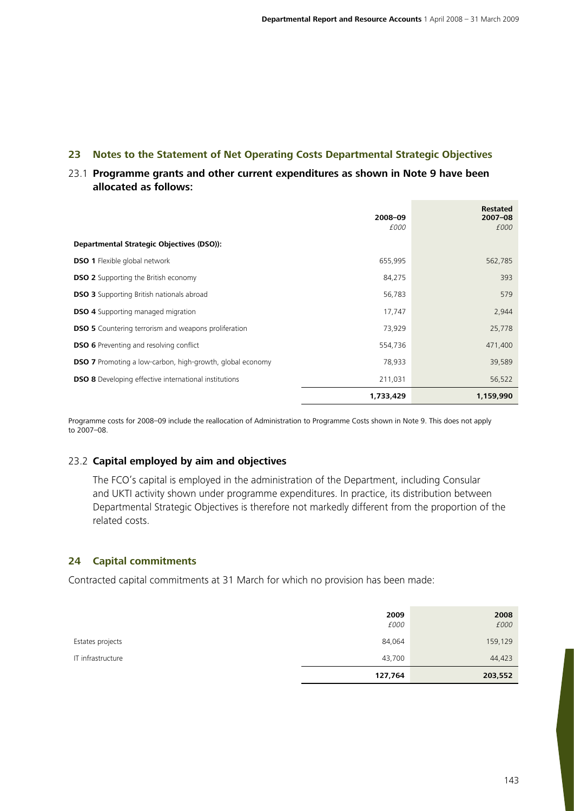# **23 Notes to the Statement of Net Operating Costs Departmental Strategic Objectives**

# 23.1 **Programme grants and other current expenditures as shown in Note 9 have been allocated as follows:**

|                                                                  | 2008-09   | <b>Restated</b><br>$2007 - 08$ |
|------------------------------------------------------------------|-----------|--------------------------------|
|                                                                  | £000      | £000                           |
| Departmental Strategic Objectives (DSO)):                        |           |                                |
| <b>DSO 1</b> Flexible global network                             | 655,995   | 562,785                        |
| <b>DSO 2</b> Supporting the British economy                      | 84,275    | 393                            |
| <b>DSO 3</b> Supporting British nationals abroad                 | 56,783    | 579                            |
| <b>DSO 4</b> Supporting managed migration                        | 17,747    | 2,944                          |
| <b>DSO 5</b> Countering terrorism and weapons proliferation      | 73,929    | 25,778                         |
| <b>DSO 6</b> Preventing and resolving conflict                   | 554,736   | 471,400                        |
| <b>DSO 7</b> Promoting a low-carbon, high-growth, global economy | 78,933    | 39,589                         |
| <b>DSO 8</b> Developing effective international institutions     | 211,031   | 56,522                         |
|                                                                  | 1,733,429 | 1,159,990                      |

Programme costs for 2008–09 include the reallocation of Administration to Programme Costs shown in Note 9. This does not apply to 2007–08.

## 23.2 **Capital employed by aim and objectives**

The FCO's capital is employed in the administration of the Department, including Consular and UKTI activity shown under programme expenditures. In practice, its distribution between Departmental Strategic Objectives is therefore not markedly different from the proportion of the related costs.

### **24 Capital commitments**

Contracted capital commitments at 31 March for which no provision has been made:

|                   | 127,764      | 203,552      |
|-------------------|--------------|--------------|
| IT infrastructure | 43,700       | 44,423       |
| Estates projects  | 84,064       | 159,129      |
|                   | 2009<br>£000 | 2008<br>£000 |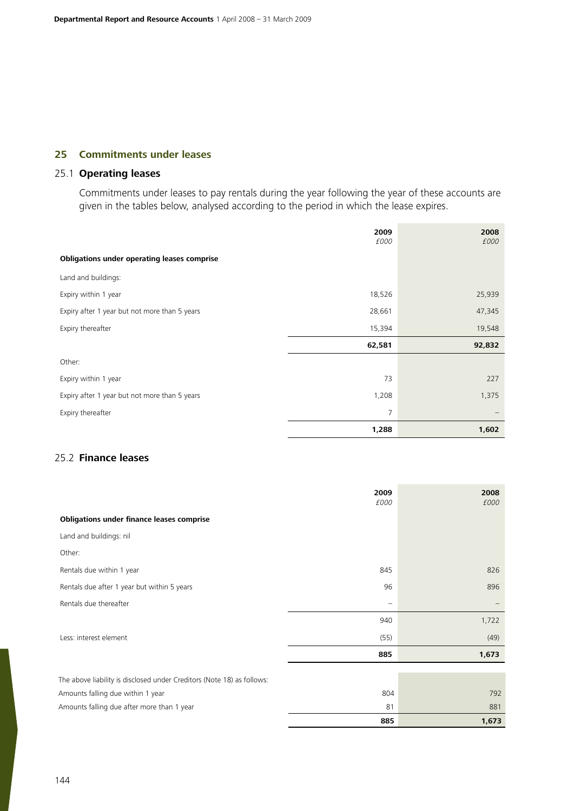# **25 Commitments under leases**

## 25.1 **Operating leases**

Commitments under leases to pay rentals during the year following the year of these accounts are given in the tables below, analysed according to the period in which the lease expires.

|                                                    | 2009<br>£000 | 2008<br>£000 |
|----------------------------------------------------|--------------|--------------|
| <b>Obligations under operating leases comprise</b> |              |              |
| Land and buildings:                                |              |              |
| Expiry within 1 year                               | 18,526       | 25,939       |
| Expiry after 1 year but not more than 5 years      | 28,661       | 47,345       |
| Expiry thereafter                                  | 15,394       | 19,548       |
|                                                    | 62,581       | 92,832       |
| Other:                                             |              |              |
| Expiry within 1 year                               | 73           | 227          |
| Expiry after 1 year but not more than 5 years      | 1,208        | 1,375        |
| Expiry thereafter                                  | 7            |              |
|                                                    | 1,288        | 1,602        |

## 25.2 **Finance leases**

|                                                                        | 2009<br>£000             | 2008<br>£000 |
|------------------------------------------------------------------------|--------------------------|--------------|
| <b>Obligations under finance leases comprise</b>                       |                          |              |
| Land and buildings: nil                                                |                          |              |
| Other:                                                                 |                          |              |
| Rentals due within 1 year                                              | 845                      | 826          |
| Rentals due after 1 year but within 5 years                            | 96                       | 896          |
| Rentals due thereafter                                                 | $\overline{\phantom{0}}$ |              |
|                                                                        | 940                      | 1,722        |
| Less: interest element                                                 | (55)                     | (49)         |
|                                                                        | 885                      | 1,673        |
|                                                                        |                          |              |
| The above liability is disclosed under Creditors (Note 18) as follows: |                          |              |
| Amounts falling due within 1 year                                      | 804                      | 792          |
| Amounts falling due after more than 1 year                             | 81                       | 881          |
|                                                                        | 885                      | 1,673        |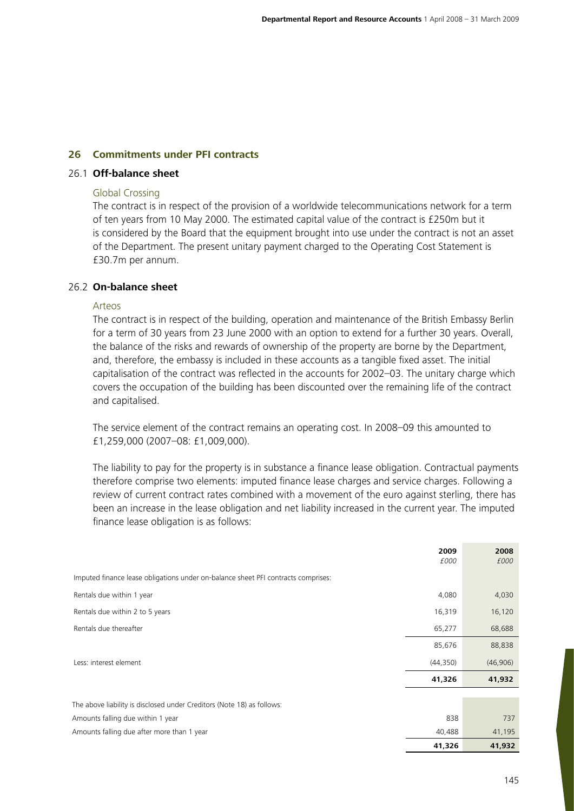### **26 Commitments under PFI contracts**

## 26.1 **Off-balance sheet**

#### Global Crossing

The contract is in respect of the provision of a worldwide telecommunications network for a term of ten years from 10 May 2000. The estimated capital value of the contract is £250m but it is considered by the Board that the equipment brought into use under the contract is not an asset of the Department. The present unitary payment charged to the Operating Cost Statement is £30.7m per annum.

### 26.2 **On-balance sheet**

#### Arteos

The contract is in respect of the building, operation and maintenance of the British Embassy Berlin for a term of 30 years from 23 June 2000 with an option to extend for a further 30 years. Overall, the balance of the risks and rewards of ownership of the property are borne by the Department, and, therefore, the embassy is included in these accounts as a tangible fixed asset. The initial capitalisation of the contract was reflected in the accounts for 2002–03. The unitary charge which covers the occupation of the building has been discounted over the remaining life of the contract and capitalised.

The service element of the contract remains an operating cost. In 2008–09 this amounted to £1,259,000 (2007–08: £1,009,000).

The liability to pay for the property is in substance a finance lease obligation. Contractual payments therefore comprise two elements: imputed finance lease charges and service charges. Following a review of current contract rates combined with a movement of the euro against sterling, there has been an increase in the lease obligation and net liability increased in the current year. The imputed finance lease obligation is as follows:

|                                                                                   | 41,326       | 41,932       |
|-----------------------------------------------------------------------------------|--------------|--------------|
| Amounts falling due after more than 1 year                                        | 40,488       | 41,195       |
| Amounts falling due within 1 year                                                 | 838          | 737          |
| The above liability is disclosed under Creditors (Note 18) as follows:            |              |              |
|                                                                                   |              |              |
|                                                                                   | 41,326       | 41,932       |
| Less: interest element                                                            | (44, 350)    | (46,906)     |
|                                                                                   | 85,676       | 88,838       |
| Rentals due thereafter                                                            | 65,277       | 68,688       |
| Rentals due within 2 to 5 years                                                   | 16,319       | 16,120       |
| Rentals due within 1 year                                                         | 4,080        | 4,030        |
| Imputed finance lease obligations under on-balance sheet PFI contracts comprises: |              |              |
|                                                                                   | 2009<br>£000 | 2008<br>£000 |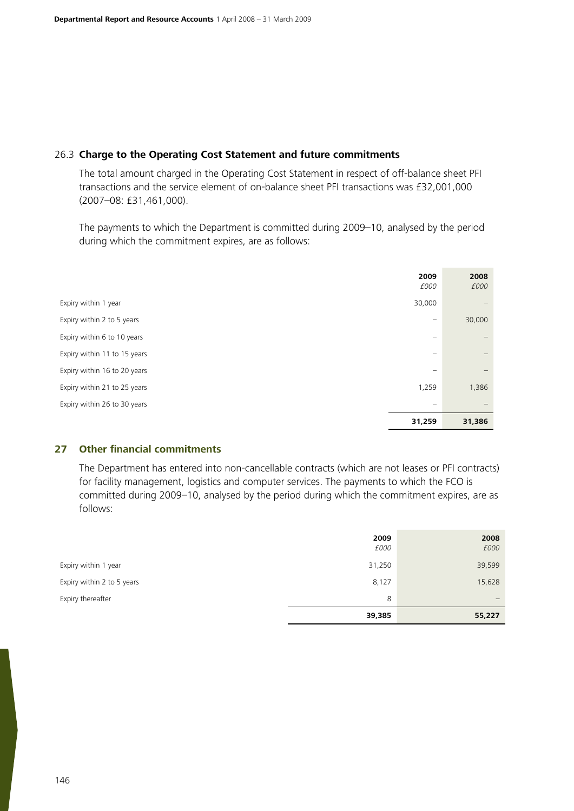### 26.3 **Charge to the Operating Cost Statement and future commitments**

The total amount charged in the Operating Cost Statement in respect of off-balance sheet PFI transactions and the service element of on-balance sheet PFI transactions was £32,001,000 (2007–08: £31,461,000).

The payments to which the Department is committed during 2009–10, analysed by the period during which the commitment expires, are as follows:

|                              | 2009<br>£000             | 2008<br>£000             |
|------------------------------|--------------------------|--------------------------|
| Expiry within 1 year         | 30,000                   |                          |
| Expiry within 2 to 5 years   | $\overline{\phantom{0}}$ | 30,000                   |
| Expiry within 6 to 10 years  | $\overline{\phantom{0}}$ |                          |
| Expiry within 11 to 15 years |                          | $\overline{\phantom{m}}$ |
| Expiry within 16 to 20 years |                          | $\overline{\phantom{m}}$ |
| Expiry within 21 to 25 years | 1,259                    | 1,386                    |
| Expiry within 26 to 30 years |                          |                          |
|                              | 31,259                   | 31,386                   |

### **27 Other financial commitments**

The Department has entered into non-cancellable contracts (which are not leases or PFI contracts) for facility management, logistics and computer services. The payments to which the FCO is committed during 2009–10, analysed by the period during which the commitment expires, are as follows:

|                            | 2009<br>£000 | 2008<br>£000                    |
|----------------------------|--------------|---------------------------------|
| Expiry within 1 year       | 31,250       | 39,599                          |
| Expiry within 2 to 5 years | 8,127        | 15,628                          |
| Expiry thereafter          | 8            | $\hspace{0.1mm}-\hspace{0.1mm}$ |
|                            | 39,385       | 55,227                          |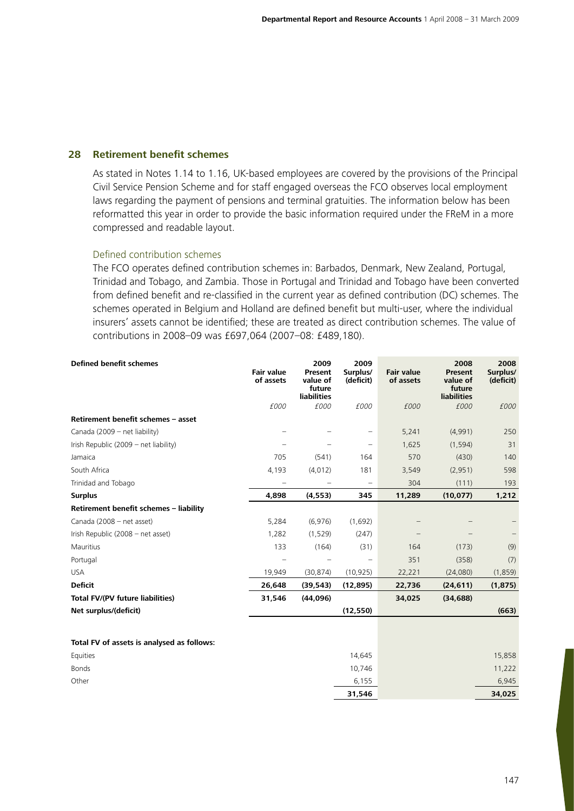### **28 Retirement benefit schemes**

As stated in Notes 1.14 to 1.16, UK-based employees are covered by the provisions of the Principal Civil Service Pension Scheme and for staff engaged overseas the FCO observes local employment laws regarding the payment of pensions and terminal gratuities. The information below has been reformatted this year in order to provide the basic information required under the FReM in a more compressed and readable layout.

#### Defined contribution schemes

The FCO operates defined contribution schemes in: Barbados, Denmark, New Zealand, Portugal, Trinidad and Tobago, and Zambia. Those in Portugal and Trinidad and Tobago have been converted from defined benefit and re-classified in the current year as defined contribution (DC) schemes. The schemes operated in Belgium and Holland are defined benefit but multi-user, where the individual insurers' assets cannot be identified; these are treated as direct contribution schemes. The value of contributions in 2008–09 was £697,064 (2007–08: £489,180).

| <b>Defined benefit schemes</b>             | <b>Fair value</b><br>of assets | 2009<br>Present<br>value of<br>future<br><b>liabilities</b> | 2009<br>Surplus/<br>(deficit) | <b>Fair value</b><br>of assets | 2008<br><b>Present</b><br>value of<br>future<br><b>liabilities</b> | 2008<br>Surplus/<br>(deficit) |
|--------------------------------------------|--------------------------------|-------------------------------------------------------------|-------------------------------|--------------------------------|--------------------------------------------------------------------|-------------------------------|
|                                            | £000                           | £000                                                        | £000                          | £000                           | £000                                                               | £000                          |
| Retirement benefit schemes - asset         |                                |                                                             |                               |                                |                                                                    |                               |
| Canada (2009 - net liability)              |                                |                                                             | $\overline{\phantom{0}}$      | 5,241                          | (4,991)                                                            | 250                           |
| Irish Republic (2009 - net liability)      |                                |                                                             | $\qquad \qquad -$             | 1,625                          | (1, 594)                                                           | 31                            |
| Jamaica                                    | 705                            | (541)                                                       | 164                           | 570                            | (430)                                                              | 140                           |
| South Africa                               | 4,193                          | (4,012)                                                     | 181                           | 3,549                          | (2,951)                                                            | 598                           |
| Trinidad and Tobago                        |                                |                                                             |                               | 304                            | (111)                                                              | 193                           |
| <b>Surplus</b>                             | 4,898                          | (4, 553)                                                    | 345                           | 11,289                         | (10, 077)                                                          | 1,212                         |
| Retirement benefit schemes - liability     |                                |                                                             |                               |                                |                                                                    |                               |
| Canada (2008 - net asset)                  | 5,284                          | (6,976)                                                     | (1,692)                       |                                |                                                                    |                               |
| Irish Republic (2008 - net asset)          | 1,282                          | (1,529)                                                     | (247)                         |                                |                                                                    |                               |
| Mauritius                                  | 133                            | (164)                                                       | (31)                          | 164                            | (173)                                                              | (9)                           |
| Portugal                                   |                                |                                                             |                               | 351                            | (358)                                                              | (7)                           |
| <b>USA</b>                                 | 19,949                         | (30, 874)                                                   | (10, 925)                     | 22,221                         | (24,080)                                                           | (1, 859)                      |
| <b>Deficit</b>                             | 26,648                         | (39, 543)                                                   | (12, 895)                     | 22,736                         | (24, 611)                                                          | (1, 875)                      |
| <b>Total FV/(PV future liabilities)</b>    | 31,546                         | (44,096)                                                    |                               | 34,025                         | (34, 688)                                                          |                               |
| Net surplus/(deficit)                      |                                |                                                             | (12, 550)                     |                                |                                                                    | (663)                         |
| Total FV of assets is analysed as follows: |                                |                                                             |                               |                                |                                                                    |                               |
| Equities                                   |                                |                                                             | 14,645                        |                                |                                                                    | 15,858                        |

|          | 31,546 | 34,025 |
|----------|--------|--------|
| Other    | 6,155  | 6,945  |
| Bonds    | 10,746 | 11,222 |
| Equities | 14,645 | 15,858 |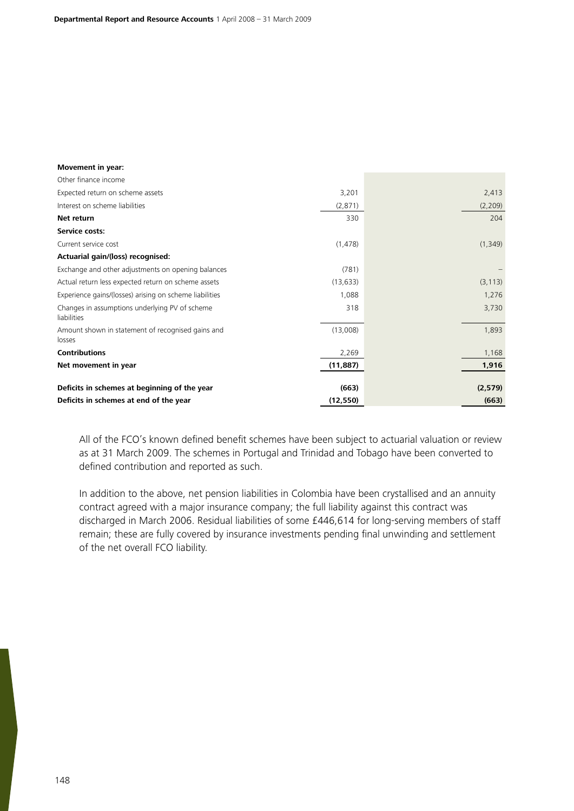| <b>Movement in year:</b>                                      |           |          |
|---------------------------------------------------------------|-----------|----------|
| Other finance income                                          |           |          |
| Expected return on scheme assets                              | 3,201     | 2,413    |
| Interest on scheme liabilities                                | (2,871)   | (2, 209) |
| Net return                                                    | 330       | 204      |
| Service costs:                                                |           |          |
| Current service cost                                          | (1, 478)  | (1, 349) |
| Actuarial gain/(loss) recognised:                             |           |          |
| Exchange and other adjustments on opening balances            | (781)     |          |
| Actual return less expected return on scheme assets           | (13, 633) | (3, 113) |
| Experience gains/(losses) arising on scheme liabilities       | 1,088     | 1,276    |
| Changes in assumptions underlying PV of scheme<br>liabilities | 318       | 3,730    |
| Amount shown in statement of recognised gains and<br>losses   | (13,008)  | 1,893    |
| <b>Contributions</b>                                          | 2,269     | 1,168    |
| Net movement in year                                          | (11, 887) | 1,916    |
|                                                               |           |          |
| Deficits in schemes at beginning of the year                  | (663)     | (2,579)  |
| Deficits in schemes at end of the year                        | (12, 550) | (663)    |

All of the FCO's known defined benefit schemes have been subject to actuarial valuation or review as at 31 March 2009. The schemes in Portugal and Trinidad and Tobago have been converted to defined contribution and reported as such.

In addition to the above, net pension liabilities in Colombia have been crystallised and an annuity contract agreed with a major insurance company; the full liability against this contract was discharged in March 2006. Residual liabilities of some £446,614 for long-serving members of staff remain; these are fully covered by insurance investments pending final unwinding and settlement of the net overall FCO liability.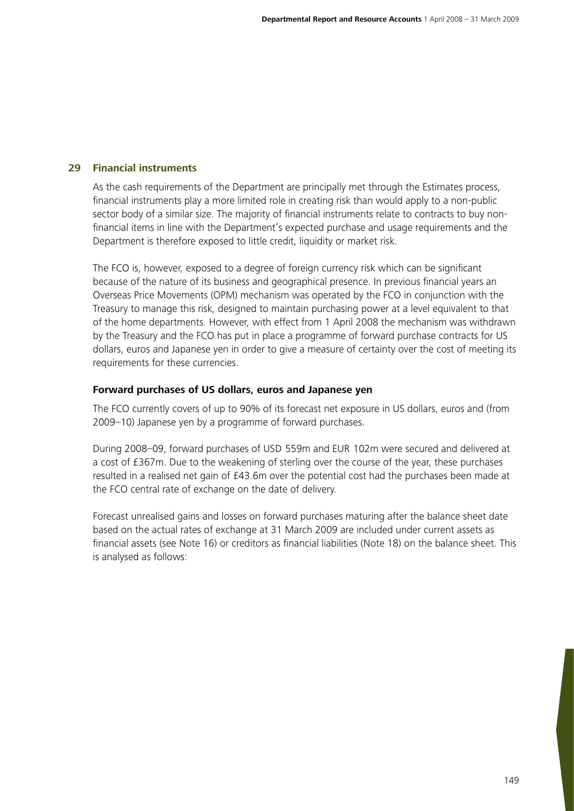### **29 Financial instruments**

As the cash requirements of the Department are principally met through the Estimates process, financial instruments play a more limited role in creating risk than would apply to a non-public sector body of a similar size. The majority of financial instruments relate to contracts to buy nonfinancial items in line with the Department's expected purchase and usage requirements and the Department is therefore exposed to little credit, liquidity or market risk.

The FCO is, however, exposed to a degree of foreign currency risk which can be significant because of the nature of its business and geographical presence. In previous financial years an Overseas Price Movements (OPM) mechanism was operated by the FCO in conjunction with the Treasury to manage this risk, designed to maintain purchasing power at a level equivalent to that of the home departments. However, with effect from 1 April 2008 the mechanism was withdrawn by the Treasury and the FCO has put in place a programme of forward purchase contracts for US dollars, euros and Japanese yen in order to give a measure of certainty over the cost of meeting its requirements for these currencies.

### **Forward purchases of US dollars, euros and Japanese yen**

The FCO currently covers of up to 90% of its forecast net exposure in US dollars, euros and (from 2009–10) Japanese yen by a programme of forward purchases.

During 2008–09, forward purchases of USD 559m and EUR 102m were secured and delivered at a cost of £367m. Due to the weakening of sterling over the course of the year, these purchases resulted in a realised net gain of £43.6m over the potential cost had the purchases been made at the FCO central rate of exchange on the date of delivery.

Forecast unrealised gains and losses on forward purchases maturing after the balance sheet date based on the actual rates of exchange at 31 March 2009 are included under current assets as financial assets (see Note 16) or creditors as financial liabilities (Note 18) on the balance sheet. This is analysed as follows: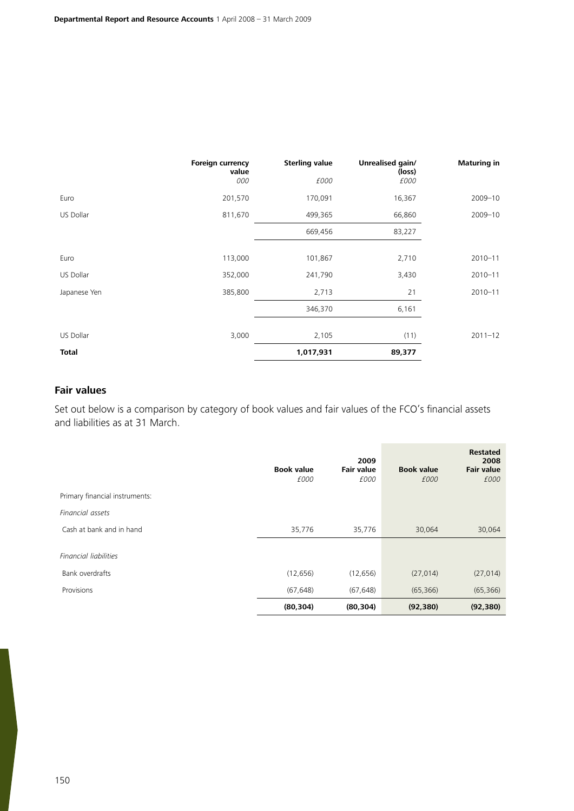|              | <b>Foreign currency</b><br>value<br>000 | <b>Sterling value</b><br>£000 | Unrealised gain/<br>(loss)<br>£000 | <b>Maturing in</b> |
|--------------|-----------------------------------------|-------------------------------|------------------------------------|--------------------|
| Euro         | 201,570                                 | 170,091                       | 16,367                             | 2009-10            |
| US Dollar    | 811,670                                 | 499,365                       | 66,860                             | 2009-10            |
|              |                                         | 669,456                       | 83,227                             |                    |
| Euro         | 113,000                                 | 101,867                       | 2,710                              | $2010 - 11$        |
| US Dollar    | 352,000                                 | 241,790                       | 3,430                              | $2010 - 11$        |
| Japanese Yen | 385,800                                 | 2,713                         | 21                                 | $2010 - 11$        |
|              |                                         | 346,370                       | 6,161                              |                    |
| US Dollar    | 3,000                                   | 2,105                         | (11)                               | $2011 - 12$        |
| <b>Total</b> |                                         | 1,017,931                     | 89,377                             |                    |

## **Fair values**

Set out below is a comparison by category of book values and fair values of the FCO's financial assets and liabilities as at 31 March.

|                                | <b>Book value</b><br>£000 | 2009<br><b>Fair value</b><br>£000 | <b>Book value</b><br>£000 | <b>Restated</b><br>2008<br><b>Fair value</b><br>£000 |
|--------------------------------|---------------------------|-----------------------------------|---------------------------|------------------------------------------------------|
| Primary financial instruments: |                           |                                   |                           |                                                      |
| Financial assets               |                           |                                   |                           |                                                      |
| Cash at bank and in hand       | 35,776                    | 35,776                            | 30,064                    | 30,064                                               |
| Financial liabilities          |                           |                                   |                           |                                                      |
| Bank overdrafts                | (12, 656)                 | (12, 656)                         | (27, 014)                 | (27, 014)                                            |
| Provisions                     | (67, 648)                 | (67, 648)                         | (65, 366)                 | (65, 366)                                            |
|                                | (80, 304)                 | (80, 304)                         | (92, 380)                 | (92, 380)                                            |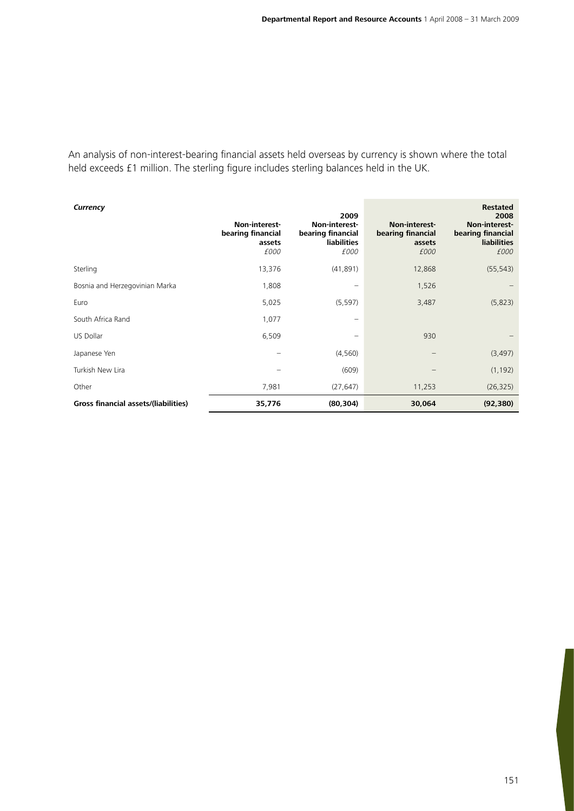An analysis of non-interest-bearing financial assets held overseas by currency is shown where the total held exceeds £1 million. The sterling figure includes sterling balances held in the UK.

| Currency                             | Non-interest-<br>bearing financial<br>assets<br>£000 | 2009<br>Non-interest-<br>bearing financial<br>liabilities<br>£000 | Non-interest-<br>bearing financial<br>assets<br>£000 | <b>Restated</b><br>2008<br>Non-interest-<br>bearing financial<br><b>liabilities</b><br>£000 |
|--------------------------------------|------------------------------------------------------|-------------------------------------------------------------------|------------------------------------------------------|---------------------------------------------------------------------------------------------|
| Sterling                             | 13,376                                               | (41,891)                                                          | 12,868                                               | (55, 543)                                                                                   |
| Bosnia and Herzegovinian Marka       | 1,808                                                |                                                                   | 1,526                                                |                                                                                             |
| Euro                                 | 5,025                                                | (5, 597)                                                          | 3,487                                                | (5,823)                                                                                     |
| South Africa Rand                    | 1,077                                                |                                                                   |                                                      |                                                                                             |
| US Dollar                            | 6,509                                                |                                                                   | 930                                                  |                                                                                             |
| Japanese Yen                         |                                                      | (4, 560)                                                          |                                                      | (3, 497)                                                                                    |
| Turkish New Lira                     |                                                      | (609)                                                             |                                                      | (1, 192)                                                                                    |
| Other                                | 7,981                                                | (27, 647)                                                         | 11,253                                               | (26, 325)                                                                                   |
| Gross financial assets/(liabilities) | 35,776                                               | (80, 304)                                                         | 30,064                                               | (92, 380)                                                                                   |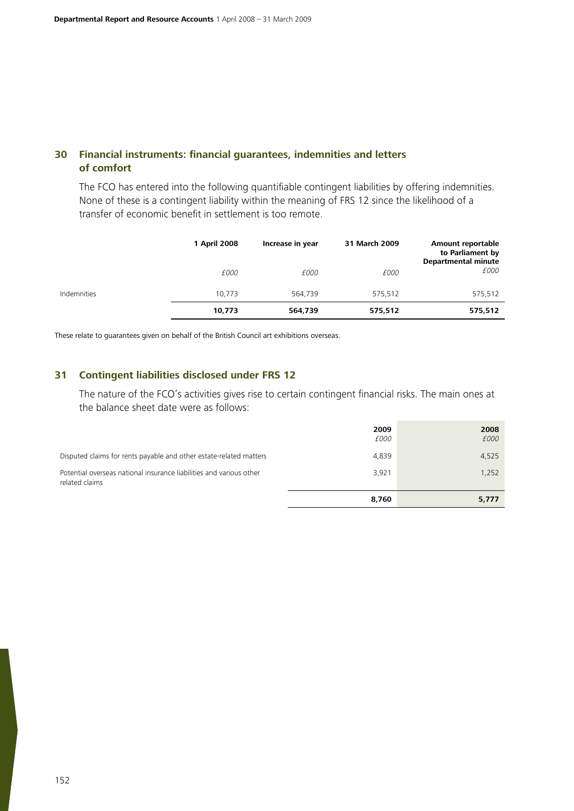# **30 Financial instruments: financial guarantees, indemnities and letters of comfort**

The FCO has entered into the following quantifiable contingent liabilities by offering indemnities. None of these is a contingent liability within the meaning of FRS 12 since the likelihood of a transfer of economic benefit in settlement is too remote.

|             | 1 April 2008 | Increase in year | 31 March 2009 | Amount reportable<br>to Parliament by<br><b>Departmental minute</b> |
|-------------|--------------|------------------|---------------|---------------------------------------------------------------------|
|             | £000         | £000             | £000          | £000                                                                |
| Indemnities | 10.773       | 564,739          | 575.512       | 575,512                                                             |
|             | 10,773       | 564,739          | 575,512       | 575,512                                                             |

These relate to guarantees given on behalf of the British Council art exhibitions overseas.

## **31 Contingent liabilities disclosed under FRS 12**

The nature of the FCO's activities gives rise to certain contingent financial risks. The main ones at the balance sheet date were as follows:

|                                                                                       | 8,760               | 5,777        |
|---------------------------------------------------------------------------------------|---------------------|--------------|
| Potential overseas national insurance liabilities and various other<br>related claims | 3,921               | 1,252        |
| Disputed claims for rents payable and other estate-related matters                    | 4,839               | 4,525        |
|                                                                                       | 2009<br><i>£000</i> | 2008<br>£000 |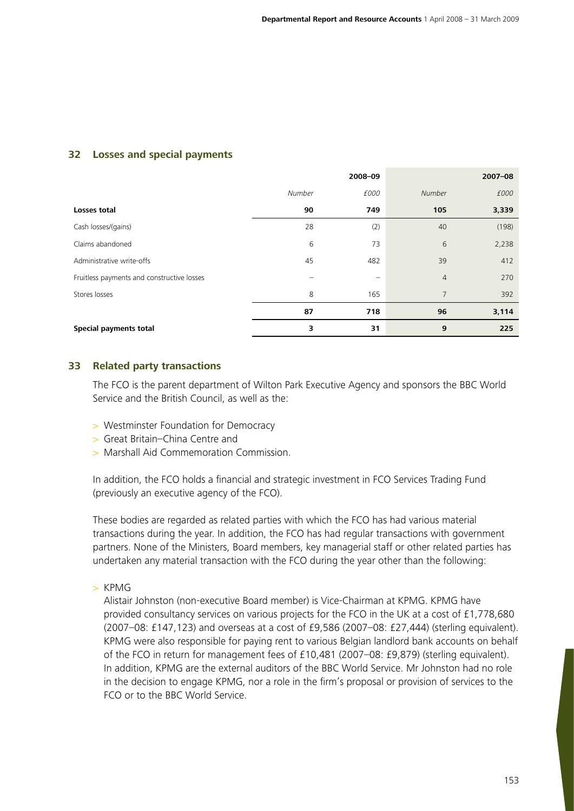# **32 Losses and special payments**

|                                            |        | 2008-09 |                | $2007 - 08$ |
|--------------------------------------------|--------|---------|----------------|-------------|
|                                            | Number | £000    | Number         | £000        |
| <b>Losses total</b>                        | 90     | 749     | 105            | 3,339       |
| Cash losses/(gains)                        | 28     | (2)     | 40             | (198)       |
| Claims abandoned                           | 6      | 73      | 6              | 2,238       |
| Administrative write-offs                  | 45     | 482     | 39             | 412         |
| Fruitless payments and constructive losses |        |         | $\overline{4}$ | 270         |
| Stores losses                              | 8      | 165     | 7              | 392         |
|                                            | 87     | 718     | 96             | 3,114       |
| Special payments total                     | з      | 31      | 9              | 225         |

### **33 Related party transactions**

The FCO is the parent department of Wilton Park Executive Agency and sponsors the BBC World Service and the British Council, as well as the:

- > Westminster Foundation for Democracy
- > Great Britain–China Centre and
- > Marshall Aid Commemoration Commission.

In addition, the FCO holds a financial and strategic investment in FCO Services Trading Fund (previously an executive agency of the FCO).

These bodies are regarded as related parties with which the FCO has had various material transactions during the year. In addition, the FCO has had regular transactions with government partners. None of the Ministers, Board members, key managerial staff or other related parties has undertaken any material transaction with the FCO during the year other than the following:

 $>$  KPMG

Alistair Johnston (non-executive Board member) is Vice-Chairman at KPMG. KPMG have provided consultancy services on various projects for the FCO in the UK at a cost of £1,778,680 (2007–08: £147,123) and overseas at a cost of £9,586 (2007–08: £27,444) (sterling equivalent). KPMG were also responsible for paying rent to various Belgian landlord bank accounts on behalf of the FCO in return for management fees of £10,481 (2007–08: £9,879) (sterling equivalent). In addition, KPMG are the external auditors of the BBC World Service. Mr Johnston had no role in the decision to engage KPMG, nor a role in the firm's proposal or provision of services to the FCO or to the BBC World Service.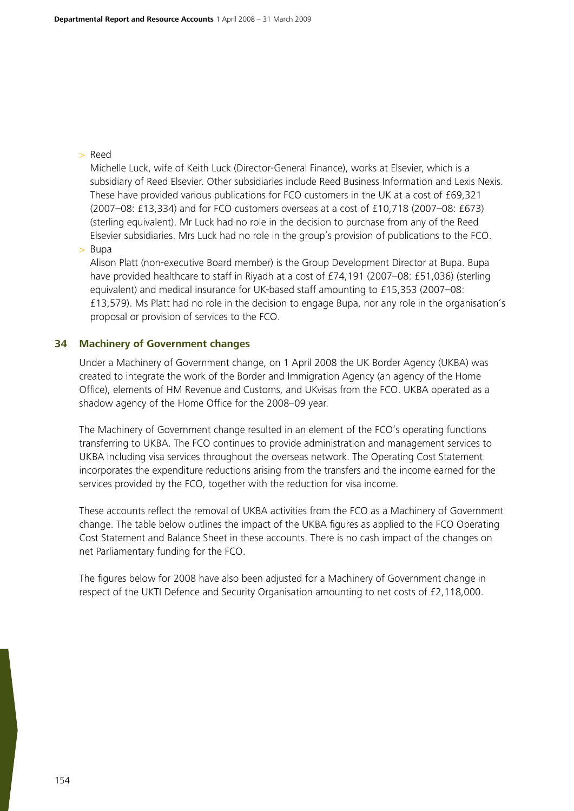## > Reed

Michelle Luck, wife of Keith Luck (Director-General Finance), works at Elsevier, which is a subsidiary of Reed Elsevier. Other subsidiaries include Reed Business Information and Lexis Nexis. These have provided various publications for FCO customers in the UK at a cost of £69,321 (2007–08: £13,334) and for FCO customers overseas at a cost of £10,718 (2007–08: £673) (sterling equivalent). Mr Luck had no role in the decision to purchase from any of the Reed Elsevier subsidiaries. Mrs Luck had no role in the group's provision of publications to the FCO.

> Bupa

Alison Platt (non-executive Board member) is the Group Development Director at Bupa. Bupa have provided healthcare to staff in Riyadh at a cost of £74,191 (2007–08: £51,036) (sterling equivalent) and medical insurance for UK-based staff amounting to £15,353 (2007–08: £13,579). Ms Platt had no role in the decision to engage Bupa, nor any role in the organisation's proposal or provision of services to the FCO.

## **34 Machinery of Government changes**

Under a Machinery of Government change, on 1 April 2008 the UK Border Agency (UKBA) was created to integrate the work of the Border and Immigration Agency (an agency of the Home Office), elements of HM Revenue and Customs, and UKvisas from the FCO. UKBA operated as a shadow agency of the Home Office for the 2008–09 year.

The Machinery of Government change resulted in an element of the FCO's operating functions transferring to UKBA. The FCO continues to provide administration and management services to UKBA including visa services throughout the overseas network. The Operating Cost Statement incorporates the expenditure reductions arising from the transfers and the income earned for the services provided by the FCO, together with the reduction for visa income.

These accounts reflect the removal of UKBA activities from the FCO as a Machinery of Government change. The table below outlines the impact of the UKBA figures as applied to the FCO Operating Cost Statement and Balance Sheet in these accounts. There is no cash impact of the changes on net Parliamentary funding for the FCO.

The figures below for 2008 have also been adjusted for a Machinery of Government change in respect of the UKTI Defence and Security Organisation amounting to net costs of £2,118,000.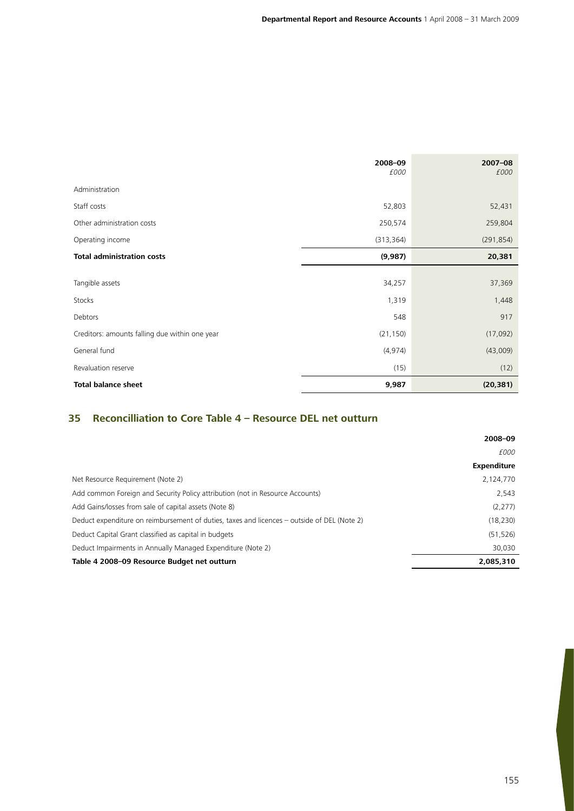|                                                | 2008-09<br>£000 | $2007 - 08$<br>£000 |
|------------------------------------------------|-----------------|---------------------|
|                                                |                 |                     |
| Administration                                 |                 |                     |
| Staff costs                                    | 52,803          | 52,431              |
| Other administration costs                     | 250,574         | 259,804             |
| Operating income                               | (313, 364)      | (291, 854)          |
| <b>Total administration costs</b>              | (9,987)         | 20,381              |
|                                                |                 |                     |
| Tangible assets                                | 34,257          | 37,369              |
| Stocks                                         | 1,319           | 1,448               |
| Debtors                                        | 548             | 917                 |
| Creditors: amounts falling due within one year | (21, 150)       | (17,092)            |
| General fund                                   | (4, 974)        | (43,009)            |
| Revaluation reserve                            | (15)            | (12)                |
| <b>Total balance sheet</b>                     | 9,987           | (20, 381)           |

# **35 Reconcilliation to Core Table 4 – Resource DEL net outturn**

|                                                                                             | 2008-09            |
|---------------------------------------------------------------------------------------------|--------------------|
|                                                                                             | £000               |
|                                                                                             | <b>Expenditure</b> |
| Net Resource Requirement (Note 2)                                                           | 2,124,770          |
| Add common Foreign and Security Policy attribution (not in Resource Accounts)               | 2,543              |
| Add Gains/losses from sale of capital assets (Note 8)                                       | (2, 277)           |
| Deduct expenditure on reimbursement of duties, taxes and licences – outside of DEL (Note 2) | (18, 230)          |
| Deduct Capital Grant classified as capital in budgets                                       | (51, 526)          |
| Deduct Impairments in Annually Managed Expenditure (Note 2)                                 | 30.030             |
| Table 4 2008-09 Resource Budget net outturn                                                 | 2,085,310          |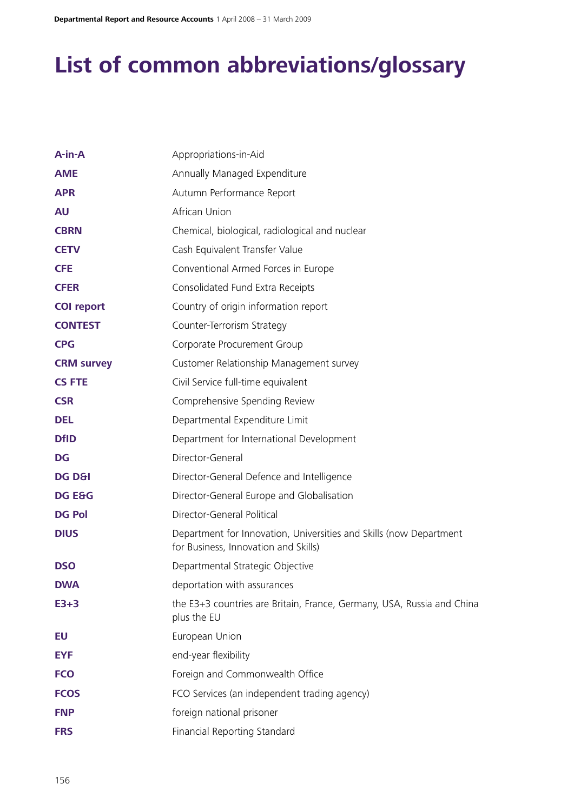# **List of common abbreviations/glossary**

| $A-in-A$          | Appropriations-in-Aid                                                                                      |
|-------------------|------------------------------------------------------------------------------------------------------------|
| <b>AME</b>        | Annually Managed Expenditure                                                                               |
| <b>APR</b>        | Autumn Performance Report                                                                                  |
| <b>AU</b>         | African Union                                                                                              |
| <b>CBRN</b>       | Chemical, biological, radiological and nuclear                                                             |
| <b>CETV</b>       | Cash Equivalent Transfer Value                                                                             |
| <b>CFE</b>        | Conventional Armed Forces in Europe                                                                        |
| <b>CFER</b>       | Consolidated Fund Extra Receipts                                                                           |
| <b>COI report</b> | Country of origin information report                                                                       |
| <b>CONTEST</b>    | Counter-Terrorism Strategy                                                                                 |
| <b>CPG</b>        | Corporate Procurement Group                                                                                |
| <b>CRM survey</b> | Customer Relationship Management survey                                                                    |
| <b>CS FTE</b>     | Civil Service full-time equivalent                                                                         |
| <b>CSR</b>        | Comprehensive Spending Review                                                                              |
| <b>DEL</b>        | Departmental Expenditure Limit                                                                             |
| <b>DfID</b>       | Department for International Development                                                                   |
| <b>DG</b>         | Director-General                                                                                           |
| <b>DG D&amp;I</b> | Director-General Defence and Intelligence                                                                  |
| <b>DG E&amp;G</b> | Director-General Europe and Globalisation                                                                  |
| <b>DG Pol</b>     | Director-General Political                                                                                 |
| <b>DIUS</b>       | Department for Innovation, Universities and Skills (now Department<br>for Business, Innovation and Skills) |
| <b>DSO</b>        | Departmental Strategic Objective                                                                           |
| <b>DWA</b>        | deportation with assurances                                                                                |
| $E3+3$            | the E3+3 countries are Britain, France, Germany, USA, Russia and China<br>plus the EU                      |
| EU                | European Union                                                                                             |
| <b>EYF</b>        | end-year flexibility                                                                                       |
| <b>FCO</b>        | Foreign and Commonwealth Office                                                                            |
| <b>FCOS</b>       | FCO Services (an independent trading agency)                                                               |
| <b>FNP</b>        | foreign national prisoner                                                                                  |
| <b>FRS</b>        | Financial Reporting Standard                                                                               |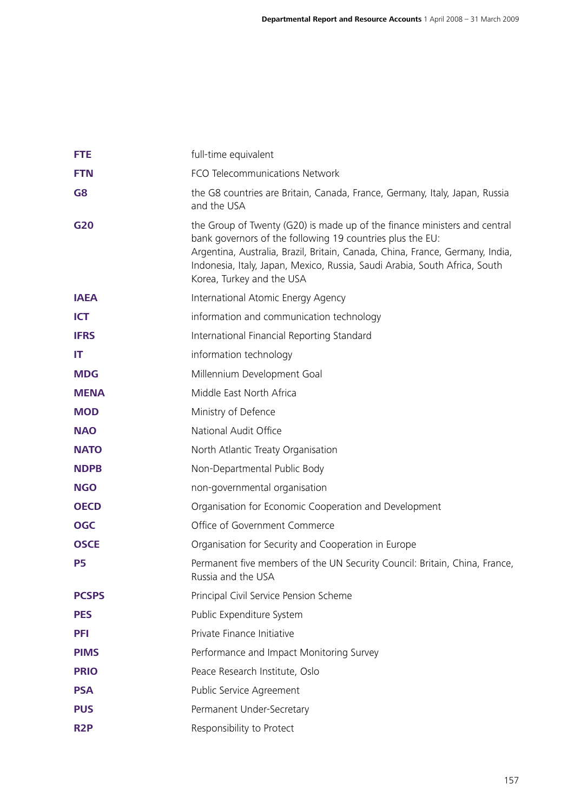| <b>FTE</b>       | full-time equivalent                                                                                                                                                                                                                                                                                                               |
|------------------|------------------------------------------------------------------------------------------------------------------------------------------------------------------------------------------------------------------------------------------------------------------------------------------------------------------------------------|
| <b>FTN</b>       | FCO Telecommunications Network                                                                                                                                                                                                                                                                                                     |
| G8               | the G8 countries are Britain, Canada, France, Germany, Italy, Japan, Russia<br>and the USA                                                                                                                                                                                                                                         |
| G20              | the Group of Twenty (G20) is made up of the finance ministers and central<br>bank governors of the following 19 countries plus the EU:<br>Argentina, Australia, Brazil, Britain, Canada, China, France, Germany, India,<br>Indonesia, Italy, Japan, Mexico, Russia, Saudi Arabia, South Africa, South<br>Korea, Turkey and the USA |
| <b>IAEA</b>      | International Atomic Energy Agency                                                                                                                                                                                                                                                                                                 |
| <b>ICT</b>       | information and communication technology                                                                                                                                                                                                                                                                                           |
| <b>IFRS</b>      | International Financial Reporting Standard                                                                                                                                                                                                                                                                                         |
| IT               | information technology                                                                                                                                                                                                                                                                                                             |
| <b>MDG</b>       | Millennium Development Goal                                                                                                                                                                                                                                                                                                        |
| <b>MENA</b>      | Middle East North Africa                                                                                                                                                                                                                                                                                                           |
| <b>MOD</b>       | Ministry of Defence                                                                                                                                                                                                                                                                                                                |
| <b>NAO</b>       | National Audit Office                                                                                                                                                                                                                                                                                                              |
| <b>NATO</b>      | North Atlantic Treaty Organisation                                                                                                                                                                                                                                                                                                 |
| <b>NDPB</b>      | Non-Departmental Public Body                                                                                                                                                                                                                                                                                                       |
| <b>NGO</b>       | non-governmental organisation                                                                                                                                                                                                                                                                                                      |
| <b>OECD</b>      | Organisation for Economic Cooperation and Development                                                                                                                                                                                                                                                                              |
| <b>OGC</b>       | Office of Government Commerce                                                                                                                                                                                                                                                                                                      |
| <b>OSCE</b>      | Organisation for Security and Cooperation in Europe                                                                                                                                                                                                                                                                                |
| <b>P5</b>        | Permanent five members of the UN Security Council: Britain, China, France,<br>Russia and the USA                                                                                                                                                                                                                                   |
| <b>PCSPS</b>     | Principal Civil Service Pension Scheme                                                                                                                                                                                                                                                                                             |
| <b>PES</b>       | Public Expenditure System                                                                                                                                                                                                                                                                                                          |
| <b>PFI</b>       | Private Finance Initiative                                                                                                                                                                                                                                                                                                         |
| <b>PIMS</b>      | Performance and Impact Monitoring Survey                                                                                                                                                                                                                                                                                           |
| <b>PRIO</b>      | Peace Research Institute, Oslo                                                                                                                                                                                                                                                                                                     |
| <b>PSA</b>       | Public Service Agreement                                                                                                                                                                                                                                                                                                           |
| <b>PUS</b>       | Permanent Under-Secretary                                                                                                                                                                                                                                                                                                          |
| R <sub>2</sub> P | Responsibility to Protect                                                                                                                                                                                                                                                                                                          |